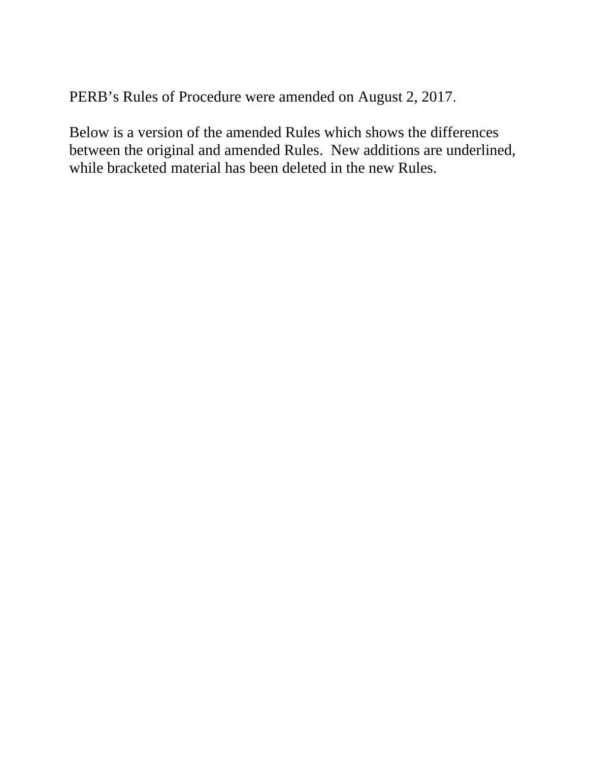PERB's Rules of Procedure were amended on August 2, 2017.

Below is a version of the amended Rules which shows the differences between the original and amended Rules. New additions are underlined, while bracketed material has been deleted in the new Rules.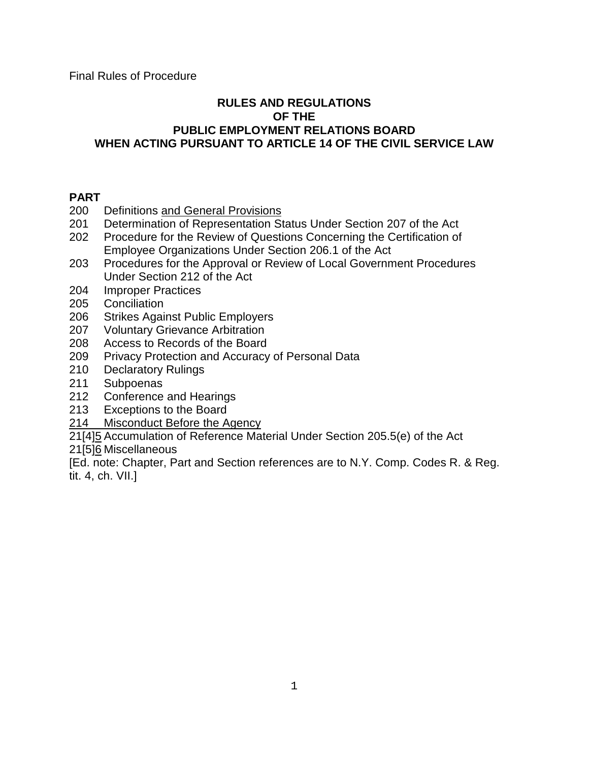## **RULES AND REGULATIONS OF THE PUBLIC EMPLOYMENT RELATIONS BOARD WHEN ACTING PURSUANT TO ARTICLE 14 OF THE CIVIL SERVICE LAW**

# **PART**

- 200 Definitions and General Provisions
- 201 Determination of Representation Status Under Section 207 of the Act
- 202 Procedure for the Review of Questions Concerning the Certification of Employee Organizations Under Section 206.1 of the Act
- 203 Procedures for the Approval or Review of Local Government Procedures Under Section 212 of the Act
- 204 Improper Practices
- 205 Conciliation
- 206 Strikes Against Public Employers
- 207 Voluntary Grievance Arbitration
- 208 Access to Records of the Board
- 209 Privacy Protection and Accuracy of Personal Data
- 210 Declaratory Rulings
- 211 Subpoenas
- 212 Conference and Hearings
- 213 Exceptions to the Board
- 214 Misconduct Before the Agency

21[4]5 Accumulation of Reference Material Under Section 205.5(e) of the Act

21[5]6 Miscellaneous

[Ed. note: Chapter, Part and Section references are to N.Y. Comp. Codes R. & Reg. tit. 4, ch. VII.]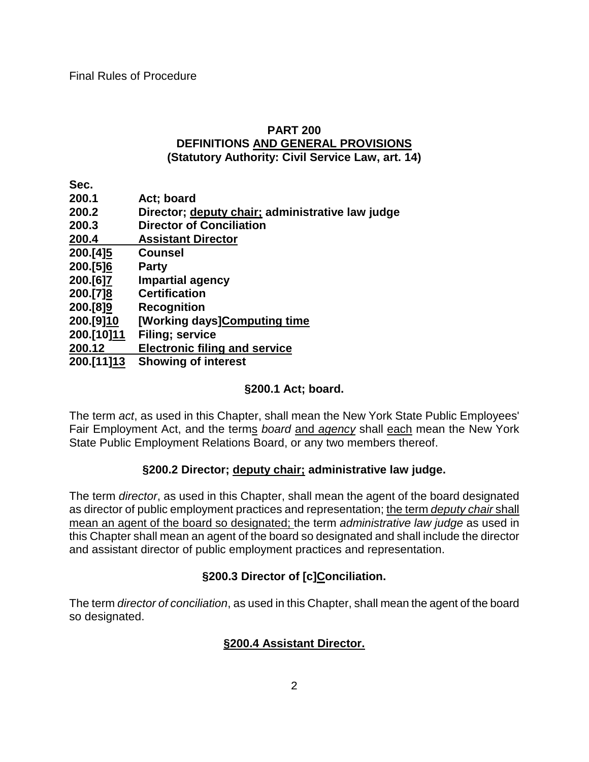# **PART 200 DEFINITIONS AND GENERAL PROVISIONS (Statutory Authority: Civil Service Law, art. 14)**

**Sec.**

| 200.1      | Act; board                                       |
|------------|--------------------------------------------------|
| 200.2      | Director; deputy chair; administrative law judge |
| 200.3      | <b>Director of Conciliation</b>                  |
| 200.4      | <b>Assistant Director</b>                        |
| 200.[4]5   | <b>Counsel</b>                                   |
| 200.[5]6   | <b>Party</b>                                     |
| 200.[6]7   | <b>Impartial agency</b>                          |
| 200.[7]8   | <b>Certification</b>                             |
| 200.[8]9   | <b>Recognition</b>                               |
| 200.[9]10  | [Working days]Computing time                     |
| 200.[10]11 | <b>Filing; service</b>                           |
| 200.12     | <b>Electronic filing and service</b>             |
| 200.[11]13 | <b>Showing of interest</b>                       |
|            |                                                  |

## **§200.1 Act; board.**

The term *act*, as used in this Chapter, shall mean the New York State Public Employees' Fair Employment Act, and the terms *board* and *agency* shall each mean the New York State Public Employment Relations Board, or any two members thereof.

## **§200.2 Director; deputy chair; administrative law judge.**

The term *director*, as used in this Chapter, shall mean the agent of the board designated as director of public employment practices and representation; the term *deputy chair* shall mean an agent of the board so designated; the term *administrative law judge* as used in this Chapter shall mean an agent of the board so designated and shall include the director and assistant director of public employment practices and representation.

# **§200.3 Director of [c]Conciliation.**

The term *director of conciliation*, as used in this Chapter, shall mean the agent of the board so designated.

## **§200.4 Assistant Director.**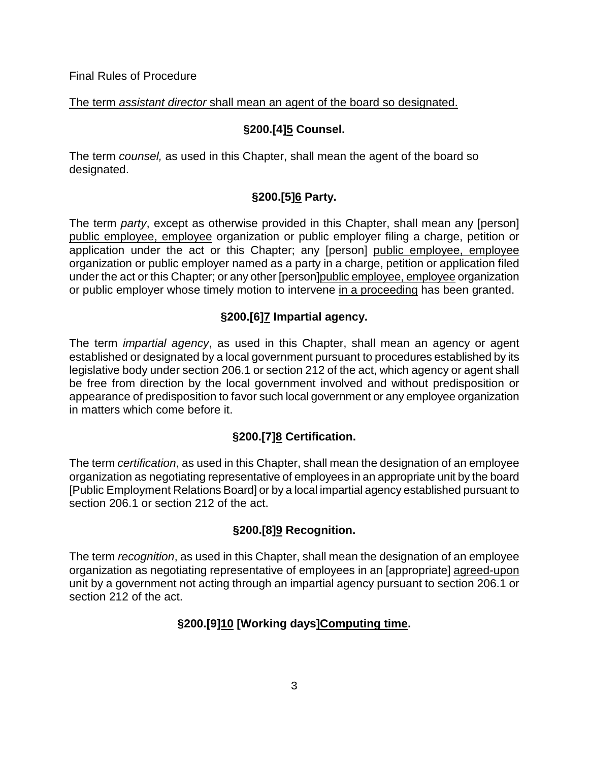The term *assistant director* shall mean an agent of the board so designated.

# **§200.[4]5 Counsel.**

The term *counsel,* as used in this Chapter, shall mean the agent of the board so designated.

# **§200.[5]6 Party.**

The term *party*, except as otherwise provided in this Chapter, shall mean any [person] public employee, employee organization or public employer filing a charge, petition or application under the act or this Chapter; any [person] public employee, employee organization or public employer named as a party in a charge, petition or application filed under the act or this Chapter; or any other [person]public employee, employee organization or public employer whose timely motion to intervene in a proceeding has been granted.

# **§200.[6]7 Impartial agency.**

The term *impartial agency*, as used in this Chapter, shall mean an agency or agent established or designated by a local government pursuant to procedures established by its legislative body under section 206.1 or section 212 of the act, which agency or agent shall be free from direction by the local government involved and without predisposition or appearance of predisposition to favor such local government or any employee organization in matters which come before it.

# **§200.[7]8 Certification.**

The term *certification*, as used in this Chapter, shall mean the designation of an employee organization as negotiating representative of employees in an appropriate unit by the board [Public Employment Relations Board] or by a local impartial agency established pursuant to section 206.1 or section 212 of the act.

# **§200.[8]9 Recognition.**

The term *recognition*, as used in this Chapter, shall mean the designation of an employee organization as negotiating representative of employees in an [appropriate] agreed-upon unit by a government not acting through an impartial agency pursuant to section 206.1 or section 212 of the act.

# **§200.[9]10 [Working days]Computing time.**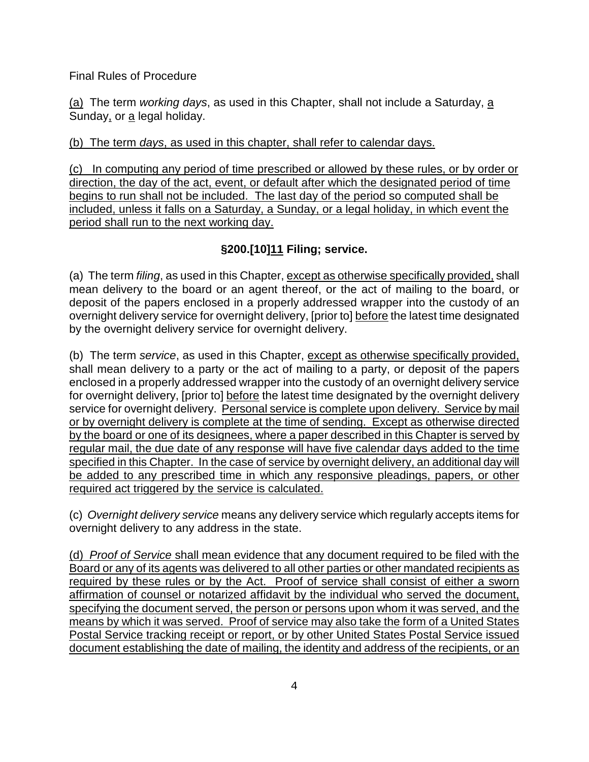(a) The term *working days*, as used in this Chapter, shall not include a Saturday, a Sunday, or a legal holiday.

## (b) The term *days*, as used in this chapter, shall refer to calendar days.

(c) In computing any period of time prescribed or allowed by these rules, or by order or direction, the day of the act, event, or default after which the designated period of time begins to run shall not be included. The last day of the period so computed shall be included, unless it falls on a Saturday, a Sunday, or a legal holiday, in which event the period shall run to the next working day.

# **§200.[10]11 Filing; service.**

(a) The term *filing*, as used in this Chapter, except as otherwise specifically provided, shall mean delivery to the board or an agent thereof, or the act of mailing to the board, or deposit of the papers enclosed in a properly addressed wrapper into the custody of an overnight delivery service for overnight delivery, [prior to] before the latest time designated by the overnight delivery service for overnight delivery.

(b) The term *service*, as used in this Chapter, except as otherwise specifically provided, shall mean delivery to a party or the act of mailing to a party, or deposit of the papers enclosed in a properly addressed wrapper into the custody of an overnight delivery service for overnight delivery, [prior to] before the latest time designated by the overnight delivery service for overnight delivery. Personal service is complete upon delivery. Service by mail or by overnight delivery is complete at the time of sending. Except as otherwise directed by the board or one of its designees, where a paper described in this Chapter is served by regular mail, the due date of any response will have five calendar days added to the time specified in this Chapter. In the case of service by overnight delivery, an additional day will be added to any prescribed time in which any responsive pleadings, papers, or other required act triggered by the service is calculated.

(c) *Overnight delivery service* means any delivery service which regularly accepts items for overnight delivery to any address in the state.

(d) *Proof of Service* shall mean evidence that any document required to be filed with the Board or any of its agents was delivered to all other parties or other mandated recipients as required by these rules or by the Act. Proof of service shall consist of either a sworn affirmation of counsel or notarized affidavit by the individual who served the document, specifying the document served, the person or persons upon whom it was served, and the means by which it was served. Proof of service may also take the form of a United States Postal Service tracking receipt or report, or by other United States Postal Service issued document establishing the date of mailing, the identity and address of the recipients, or an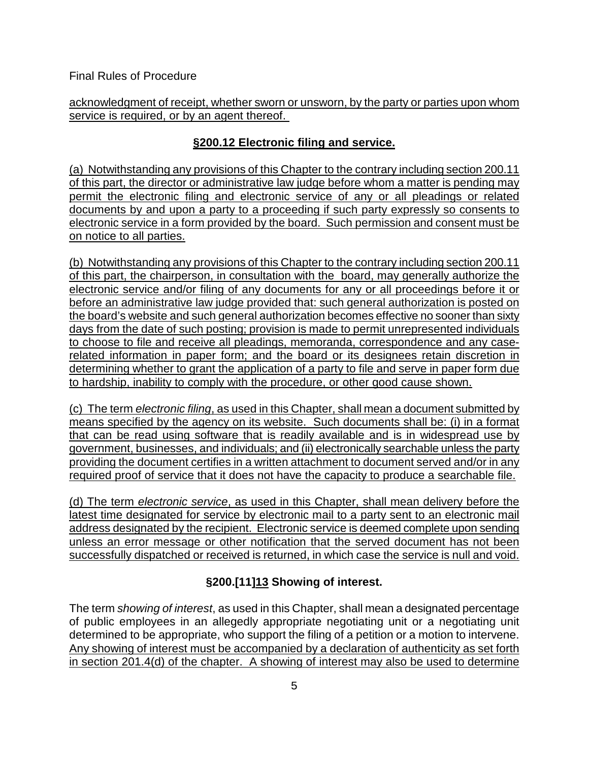acknowledgment of receipt, whether sworn or unsworn, by the party or parties upon whom service is required, or by an agent thereof.

# **§200.12 Electronic filing and service.**

(a) Notwithstanding any provisions of this Chapter to the contrary including section 200.11 of this part, the director or administrative law judge before whom a matter is pending may permit the electronic filing and electronic service of any or all pleadings or related documents by and upon a party to a proceeding if such party expressly so consents to electronic service in a form provided by the board. Such permission and consent must be on notice to all parties.

(b) Notwithstanding any provisions of this Chapter to the contrary including section 200.11 of this part, the chairperson, in consultation with the board, may generally authorize the electronic service and/or filing of any documents for any or all proceedings before it or before an administrative law judge provided that: such general authorization is posted on the board's website and such general authorization becomes effective no sooner than sixty days from the date of such posting; provision is made to permit unrepresented individuals to choose to file and receive all pleadings, memoranda, correspondence and any caserelated information in paper form; and the board or its designees retain discretion in determining whether to grant the application of a party to file and serve in paper form due to hardship, inability to comply with the procedure, or other good cause shown.

(c) The term *electronic filing*, as used in this Chapter, shall mean a document submitted by means specified by the agency on its website. Such documents shall be: (i) in a format that can be read using software that is readily available and is in widespread use by government, businesses, and individuals; and (ii) electronically searchable unless the party providing the document certifies in a written attachment to document served and/or in any required proof of service that it does not have the capacity to produce a searchable file.

(d) The term *electronic service*, as used in this Chapter, shall mean delivery before the latest time designated for service by electronic mail to a party sent to an electronic mail address designated by the recipient. Electronic service is deemed complete upon sending unless an error message or other notification that the served document has not been successfully dispatched or received is returned, in which case the service is null and void.

# **§200.[11]13 Showing of interest.**

The term *showing of interest*, as used in this Chapter, shall mean a designated percentage of public employees in an allegedly appropriate negotiating unit or a negotiating unit determined to be appropriate, who support the filing of a petition or a motion to intervene. Any showing of interest must be accompanied by a declaration of authenticity as set forth in section 201.4(d) of the chapter. A showing of interest may also be used to determine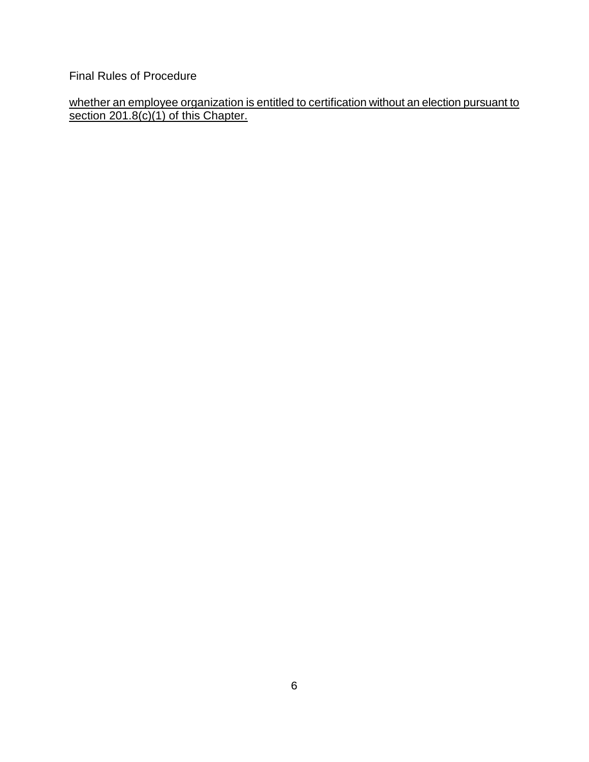whether an employee organization is entitled to certification without an election pursuant to section 201.8(c)(1) of this Chapter.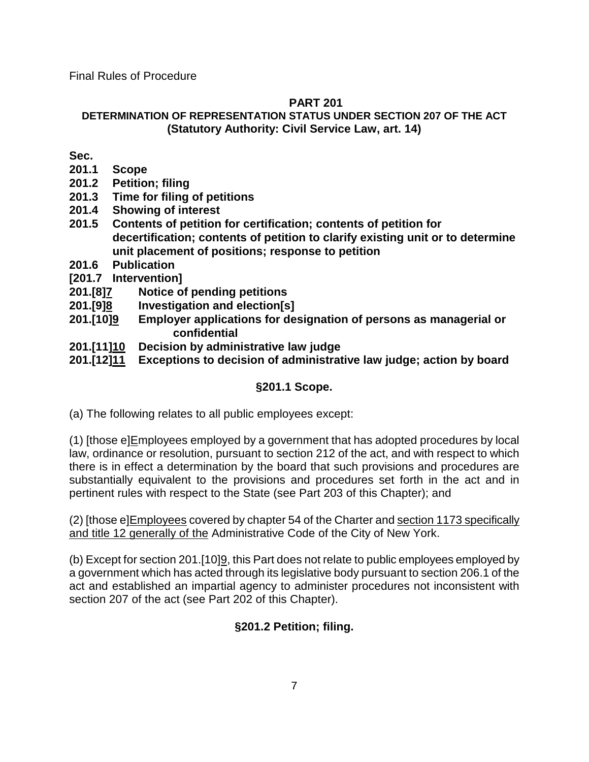## **PART 201**

# **DETERMINATION OF REPRESENTATION STATUS UNDER SECTION 207 OF THE ACT (Statutory Authority: Civil Service Law, art. 14)**

**Sec.**

- **201.1 Scope**
- **201.2 Petition; filing**
- **201.3 Time for filing of petitions**
- **201.4 Showing of interest**
- **201.5 Contents of petition for certification; contents of petition for decertification; contents of petition to clarify existing unit or to determine unit placement of positions; response to petition**
- **201.6 Publication**
- **[201.7 Intervention]**
- **201.[8]7 Notice of pending petitions**
- **201.[9]8 Investigation and election[s]**
- **201.[10]9 Employer applications for designation of persons as managerial or confidential**
- **201.[11]10 Decision by administrative law judge**
- **201.[12]11 Exceptions to decision of administrative law judge; action by board**

# **§201.1 Scope.**

(a) The following relates to all public employees except:

(1) [those e]Employees employed by a government that has adopted procedures by local law, ordinance or resolution, pursuant to section 212 of the act, and with respect to which there is in effect a determination by the board that such provisions and procedures are substantially equivalent to the provisions and procedures set forth in the act and in pertinent rules with respect to the State (see Part 203 of this Chapter); and

(2) [those e]Employees covered by chapter 54 of the Charter and section 1173 specifically and title 12 generally of the Administrative Code of the City of New York.

(b) Except for section 201.[10]9, this Part does not relate to public employees employed by a government which has acted through its legislative body pursuant to section 206.1 of the act and established an impartial agency to administer procedures not inconsistent with section 207 of the act (see Part 202 of this Chapter).

# **§201.2 Petition; filing.**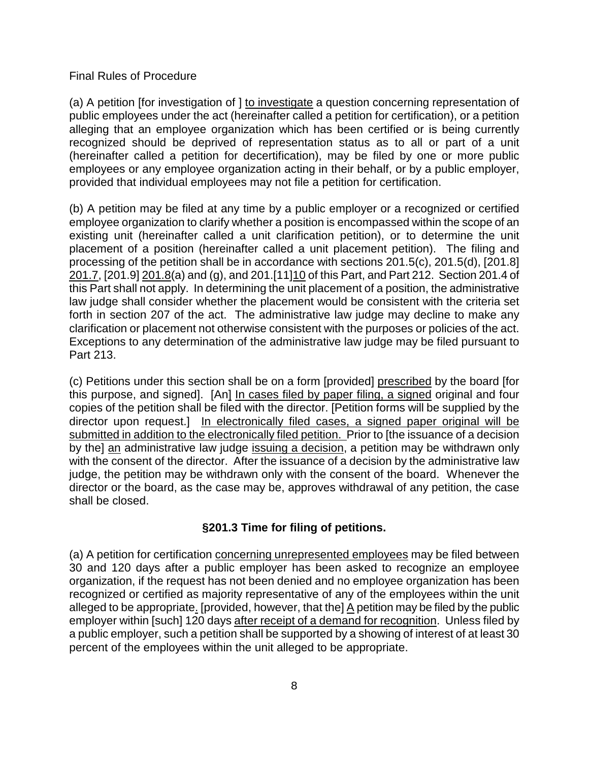(a) A petition [for investigation of ] to investigate a question concerning representation of public employees under the act (hereinafter called a petition for certification), or a petition alleging that an employee organization which has been certified or is being currently recognized should be deprived of representation status as to all or part of a unit (hereinafter called a petition for decertification), may be filed by one or more public employees or any employee organization acting in their behalf, or by a public employer, provided that individual employees may not file a petition for certification.

(b) A petition may be filed at any time by a public employer or a recognized or certified employee organization to clarify whether a position is encompassed within the scope of an existing unit (hereinafter called a unit clarification petition), or to determine the unit placement of a position (hereinafter called a unit placement petition). The filing and processing of the petition shall be in accordance with sections 201.5(c), 201.5(d), [201.8] 201.7, [201.9] 201.8(a) and (g), and 201.[11] 10 of this Part, and Part 212. Section 201.4 of this Part shall not apply. In determining the unit placement of a position, the administrative law judge shall consider whether the placement would be consistent with the criteria set forth in section 207 of the act. The administrative law judge may decline to make any clarification or placement not otherwise consistent with the purposes or policies of the act. Exceptions to any determination of the administrative law judge may be filed pursuant to Part 213.

(c) Petitions under this section shall be on a form [provided] prescribed by the board [for this purpose, and signed]. [An] In cases filed by paper filing, a signed original and four copies of the petition shall be filed with the director. [Petition forms will be supplied by the director upon request.] In electronically filed cases, a signed paper original will be submitted in addition to the electronically filed petition. Prior to [the issuance of a decision by the] an administrative law judge issuing a decision, a petition may be withdrawn only with the consent of the director. After the issuance of a decision by the administrative law judge, the petition may be withdrawn only with the consent of the board. Whenever the director or the board, as the case may be, approves withdrawal of any petition, the case shall be closed.

## **§201.3 Time for filing of petitions.**

(a) A petition for certification concerning unrepresented employees may be filed between 30 and 120 days after a public employer has been asked to recognize an employee organization, if the request has not been denied and no employee organization has been recognized or certified as majority representative of any of the employees within the unit alleged to be appropriate. [provided, however, that the] A petition may be filed by the public employer within [such] 120 days after receipt of a demand for recognition. Unless filed by a public employer, such a petition shall be supported by a showing of interest of at least 30 percent of the employees within the unit alleged to be appropriate.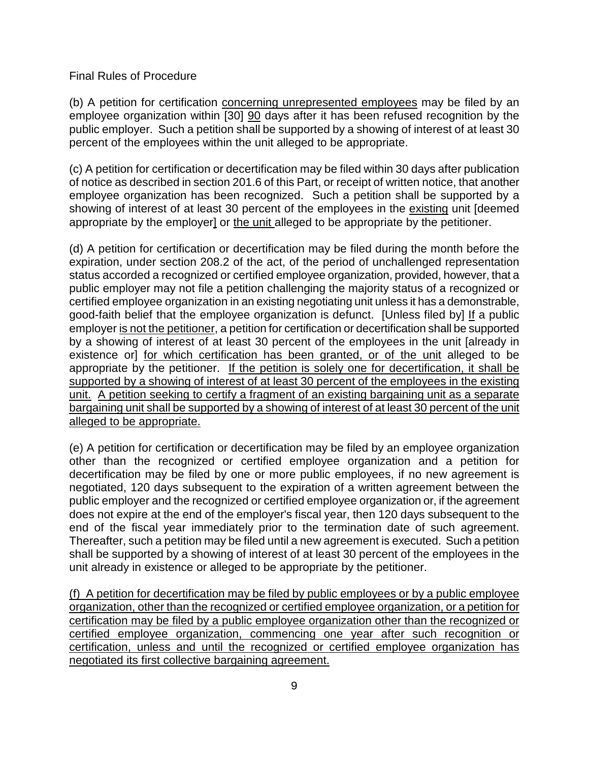(b) A petition for certification concerning unrepresented employees may be filed by an employee organization within [30] 90 days after it has been refused recognition by the public employer. Such a petition shall be supported by a showing of interest of at least 30 percent of the employees within the unit alleged to be appropriate.

(c) A petition for certification or decertification may be filed within 30 days after publication of notice as described in section 201.6 of this Part, or receipt of written notice, that another employee organization has been recognized. Such a petition shall be supported by a showing of interest of at least 30 percent of the employees in the existing unit [deemed appropriate by the employer] or the unit alleged to be appropriate by the petitioner.

(d) A petition for certification or decertification may be filed during the month before the expiration, under section 208.2 of the act, of the period of unchallenged representation status accorded a recognized or certified employee organization, provided, however, that a public employer may not file a petition challenging the majority status of a recognized or certified employee organization in an existing negotiating unit unless it has a demonstrable, good-faith belief that the employee organization is defunct. [Unless filed by] If a public employer is not the petitioner, a petition for certification or decertification shall be supported by a showing of interest of at least 30 percent of the employees in the unit [already in existence or] for which certification has been granted, or of the unit alleged to be appropriate by the petitioner. If the petition is solely one for decertification, it shall be supported by a showing of interest of at least 30 percent of the employees in the existing unit. A petition seeking to certify a fragment of an existing bargaining unit as a separate bargaining unit shall be supported by a showing of interest of at least 30 percent of the unit alleged to be appropriate.

(e) A petition for certification or decertification may be filed by an employee organization other than the recognized or certified employee organization and a petition for decertification may be filed by one or more public employees, if no new agreement is negotiated, 120 days subsequent to the expiration of a written agreement between the public employer and the recognized or certified employee organization or, if the agreement does not expire at the end of the employer's fiscal year, then 120 days subsequent to the end of the fiscal year immediately prior to the termination date of such agreement. Thereafter, such a petition may be filed until a new agreement is executed. Such a petition shall be supported by a showing of interest of at least 30 percent of the employees in the unit already in existence or alleged to be appropriate by the petitioner.

(f) A petition for decertification may be filed by public employees or by a public employee organization, other than the recognized or certified employee organization, or a petition for certification may be filed by a public employee organization other than the recognized or certified employee organization, commencing one year after such recognition or certification, unless and until the recognized or certified employee organization has negotiated its first collective bargaining agreement.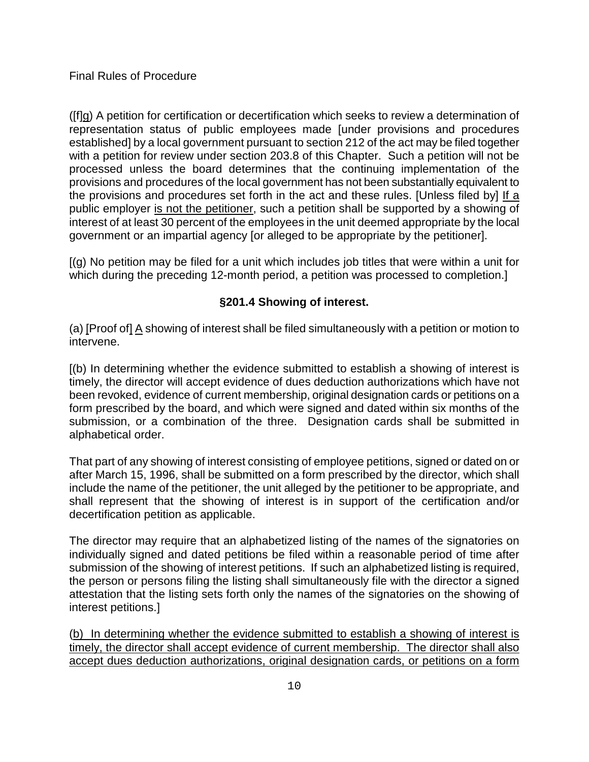([f]g) A petition for certification or decertification which seeks to review a determination of representation status of public employees made [under provisions and procedures established] by a local government pursuant to section 212 of the act may be filed together with a petition for review under section 203.8 of this Chapter. Such a petition will not be processed unless the board determines that the continuing implementation of the provisions and procedures of the local government has not been substantially equivalent to the provisions and procedures set forth in the act and these rules. [Unless filed by] If a public employer is not the petitioner, such a petition shall be supported by a showing of interest of at least 30 percent of the employees in the unit deemed appropriate by the local government or an impartial agency [or alleged to be appropriate by the petitioner].

[(g) No petition may be filed for a unit which includes job titles that were within a unit for which during the preceding 12-month period, a petition was processed to completion.]

## **§201.4 Showing of interest.**

(a) [Proof of] A showing of interest shall be filed simultaneously with a petition or motion to intervene.

[(b) In determining whether the evidence submitted to establish a showing of interest is timely, the director will accept evidence of dues deduction authorizations which have not been revoked, evidence of current membership, original designation cards or petitions on a form prescribed by the board, and which were signed and dated within six months of the submission, or a combination of the three. Designation cards shall be submitted in alphabetical order.

That part of any showing of interest consisting of employee petitions, signed or dated on or after March 15, 1996, shall be submitted on a form prescribed by the director, which shall include the name of the petitioner, the unit alleged by the petitioner to be appropriate, and shall represent that the showing of interest is in support of the certification and/or decertification petition as applicable.

The director may require that an alphabetized listing of the names of the signatories on individually signed and dated petitions be filed within a reasonable period of time after submission of the showing of interest petitions. If such an alphabetized listing is required, the person or persons filing the listing shall simultaneously file with the director a signed attestation that the listing sets forth only the names of the signatories on the showing of interest petitions.]

(b) In determining whether the evidence submitted to establish a showing of interest is timely, the director shall accept evidence of current membership. The director shall also accept dues deduction authorizations, original designation cards, or petitions on a form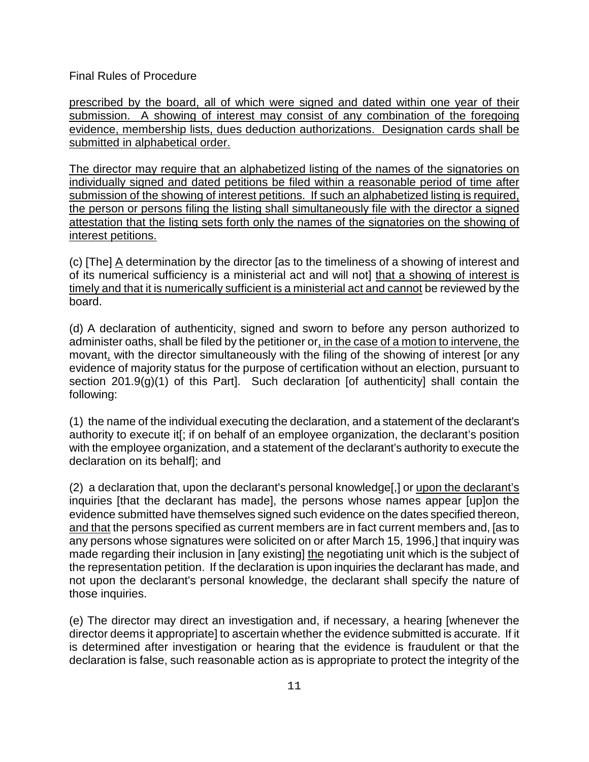prescribed by the board, all of which were signed and dated within one year of their submission. A showing of interest may consist of any combination of the foregoing evidence, membership lists, dues deduction authorizations. Designation cards shall be submitted in alphabetical order.

The director may require that an alphabetized listing of the names of the signatories on individually signed and dated petitions be filed within a reasonable period of time after submission of the showing of interest petitions. If such an alphabetized listing is required, the person or persons filing the listing shall simultaneously file with the director a signed attestation that the listing sets forth only the names of the signatories on the showing of interest petitions.

(c) [The] A determination by the director [as to the timeliness of a showing of interest and of its numerical sufficiency is a ministerial act and will not] that a showing of interest is timely and that it is numerically sufficient is a ministerial act and cannot be reviewed by the board.

(d) A declaration of authenticity, signed and sworn to before any person authorized to administer oaths, shall be filed by the petitioner or, in the case of a motion to intervene, the movant, with the director simultaneously with the filing of the showing of interest [or any evidence of majority status for the purpose of certification without an election, pursuant to section 201.9(g)(1) of this Part]. Such declaration [of authenticity] shall contain the following:

(1) the name of the individual executing the declaration, and a statement of the declarant's authority to execute it[; if on behalf of an employee organization, the declarant's position with the employee organization, and a statement of the declarant's authority to execute the declaration on its behalf]; and

(2) a declaration that, upon the declarant's personal knowledge[,] or upon the declarant's inquiries [that the declarant has made], the persons whose names appear [up]on the evidence submitted have themselves signed such evidence on the dates specified thereon, and that the persons specified as current members are in fact current members and, [as to any persons whose signatures were solicited on or after March 15, 1996,] that inquiry was made regarding their inclusion in [any existing] the negotiating unit which is the subject of the representation petition. If the declaration is upon inquiries the declarant has made, and not upon the declarant's personal knowledge, the declarant shall specify the nature of those inquiries.

(e) The director may direct an investigation and, if necessary, a hearing [whenever the director deems it appropriate] to ascertain whether the evidence submitted is accurate. If it is determined after investigation or hearing that the evidence is fraudulent or that the declaration is false, such reasonable action as is appropriate to protect the integrity of the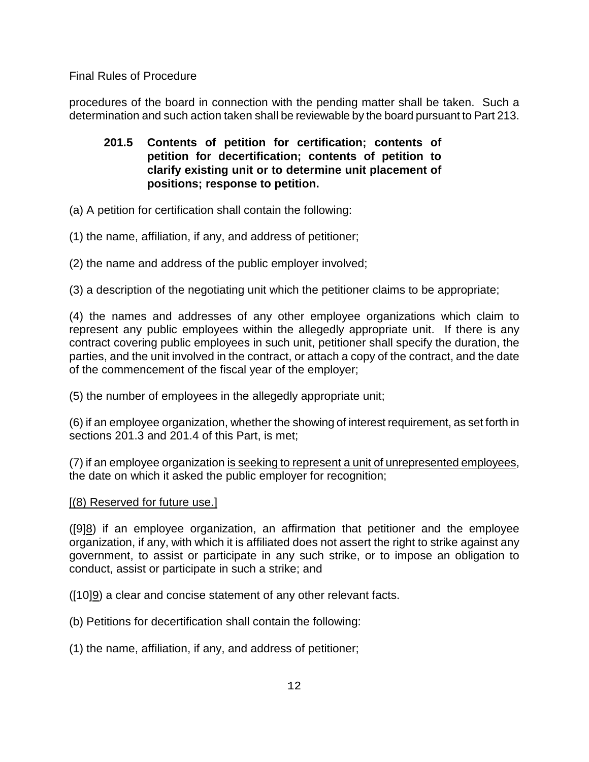procedures of the board in connection with the pending matter shall be taken. Such a determination and such action taken shall be reviewable by the board pursuant to Part 213.

# **201.5 Contents of petition for certification; contents of petition for decertification; contents of petition to clarify existing unit or to determine unit placement of positions; response to petition.**

- (a) A petition for certification shall contain the following:
- (1) the name, affiliation, if any, and address of petitioner;
- (2) the name and address of the public employer involved;

(3) a description of the negotiating unit which the petitioner claims to be appropriate;

(4) the names and addresses of any other employee organizations which claim to represent any public employees within the allegedly appropriate unit. If there is any contract covering public employees in such unit, petitioner shall specify the duration, the parties, and the unit involved in the contract, or attach a copy of the contract, and the date of the commencement of the fiscal year of the employer;

(5) the number of employees in the allegedly appropriate unit;

(6) if an employee organization, whether the showing of interest requirement, as set forth in sections 201.3 and 201.4 of this Part, is met;

(7) if an employee organization is seeking to represent a unit of unrepresented employees, the date on which it asked the public employer for recognition;

## [(8) Reserved for future use.]

([9]8) if an employee organization, an affirmation that petitioner and the employee organization, if any, with which it is affiliated does not assert the right to strike against any government, to assist or participate in any such strike, or to impose an obligation to conduct, assist or participate in such a strike; and

([10]9) a clear and concise statement of any other relevant facts.

- (b) Petitions for decertification shall contain the following:
- (1) the name, affiliation, if any, and address of petitioner;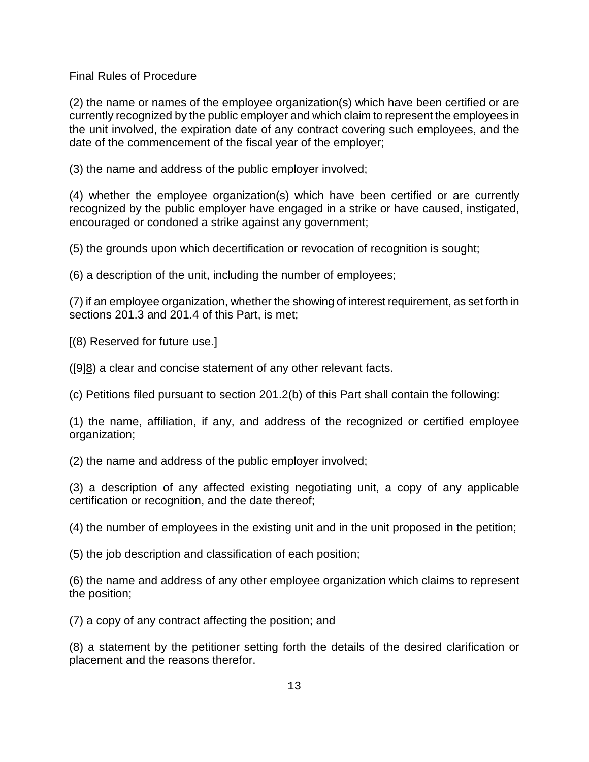(2) the name or names of the employee organization(s) which have been certified or are currently recognized by the public employer and which claim to represent the employees in the unit involved, the expiration date of any contract covering such employees, and the date of the commencement of the fiscal year of the employer;

(3) the name and address of the public employer involved;

(4) whether the employee organization(s) which have been certified or are currently recognized by the public employer have engaged in a strike or have caused, instigated, encouraged or condoned a strike against any government;

(5) the grounds upon which decertification or revocation of recognition is sought;

(6) a description of the unit, including the number of employees;

(7) if an employee organization, whether the showing of interest requirement, as set forth in sections 201.3 and 201.4 of this Part, is met;

[(8) Reserved for future use.]

([9]8) a clear and concise statement of any other relevant facts.

(c) Petitions filed pursuant to section 201.2(b) of this Part shall contain the following:

(1) the name, affiliation, if any, and address of the recognized or certified employee organization;

(2) the name and address of the public employer involved;

(3) a description of any affected existing negotiating unit, a copy of any applicable certification or recognition, and the date thereof;

(4) the number of employees in the existing unit and in the unit proposed in the petition;

(5) the job description and classification of each position;

(6) the name and address of any other employee organization which claims to represent the position;

(7) a copy of any contract affecting the position; and

(8) a statement by the petitioner setting forth the details of the desired clarification or placement and the reasons therefor.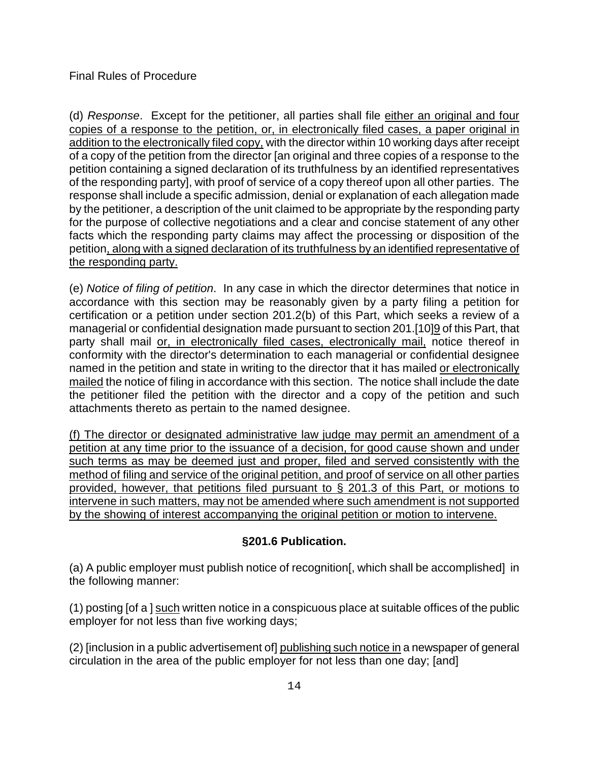(d) *Response*. Except for the petitioner, all parties shall file either an original and four copies of a response to the petition, or, in electronically filed cases, a paper original in addition to the electronically filed copy, with the director within 10 working days after receipt of a copy of the petition from the director [an original and three copies of a response to the petition containing a signed declaration of its truthfulness by an identified representatives of the responding party], with proof of service of a copy thereof upon all other parties. The response shall include a specific admission, denial or explanation of each allegation made by the petitioner, a description of the unit claimed to be appropriate by the responding party for the purpose of collective negotiations and a clear and concise statement of any other facts which the responding party claims may affect the processing or disposition of the petition, along with a signed declaration of its truthfulness by an identified representative of the responding party.

(e) *Notice of filing of petition*. In any case in which the director determines that notice in accordance with this section may be reasonably given by a party filing a petition for certification or a petition under section 201.2(b) of this Part, which seeks a review of a managerial or confidential designation made pursuant to section 201.[10]9 of this Part, that party shall mail or, in electronically filed cases, electronically mail, notice thereof in conformity with the director's determination to each managerial or confidential designee named in the petition and state in writing to the director that it has mailed or electronically mailed the notice of filing in accordance with this section. The notice shall include the date the petitioner filed the petition with the director and a copy of the petition and such attachments thereto as pertain to the named designee.

(f) The director or designated administrative law judge may permit an amendment of a petition at any time prior to the issuance of a decision, for good cause shown and under such terms as may be deemed just and proper, filed and served consistently with the method of filing and service of the original petition, and proof of service on all other parties provided, however, that petitions filed pursuant to § 201.3 of this Part, or motions to intervene in such matters, may not be amended where such amendment is not supported by the showing of interest accompanying the original petition or motion to intervene.

# **§201.6 Publication.**

(a) A public employer must publish notice of recognition[, which shall be accomplished] in the following manner:

(1) posting [of a ] such written notice in a conspicuous place at suitable offices of the public employer for not less than five working days;

(2) [inclusion in a public advertisement of] publishing such notice in a newspaper of general circulation in the area of the public employer for not less than one day; [and]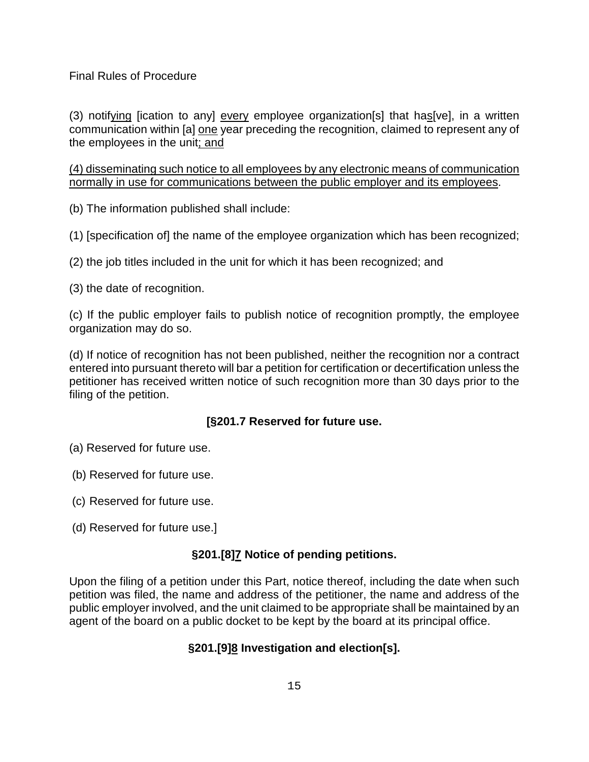(3) notifying [ication to any] every employee organization[s] that has [ve], in a written communication within [a] one year preceding the recognition, claimed to represent any of the employees in the unit; and

(4) disseminating such notice to all employees by any electronic means of communication normally in use for communications between the public employer and its employees.

(b) The information published shall include:

(1) [specification of] the name of the employee organization which has been recognized;

(2) the job titles included in the unit for which it has been recognized; and

(3) the date of recognition.

(c) If the public employer fails to publish notice of recognition promptly, the employee organization may do so.

(d) If notice of recognition has not been published, neither the recognition nor a contract entered into pursuant thereto will bar a petition for certification or decertification unless the petitioner has received written notice of such recognition more than 30 days prior to the filing of the petition.

## **[§201.7 Reserved for future use.**

- (a) Reserved for future use.
- (b) Reserved for future use.
- (c) Reserved for future use.
- (d) Reserved for future use.]

## **§201.[8]7 Notice of pending petitions.**

Upon the filing of a petition under this Part, notice thereof, including the date when such petition was filed, the name and address of the petitioner, the name and address of the public employer involved, and the unit claimed to be appropriate shall be maintained by an agent of the board on a public docket to be kept by the board at its principal office.

## **§201.[9]8 Investigation and election[s].**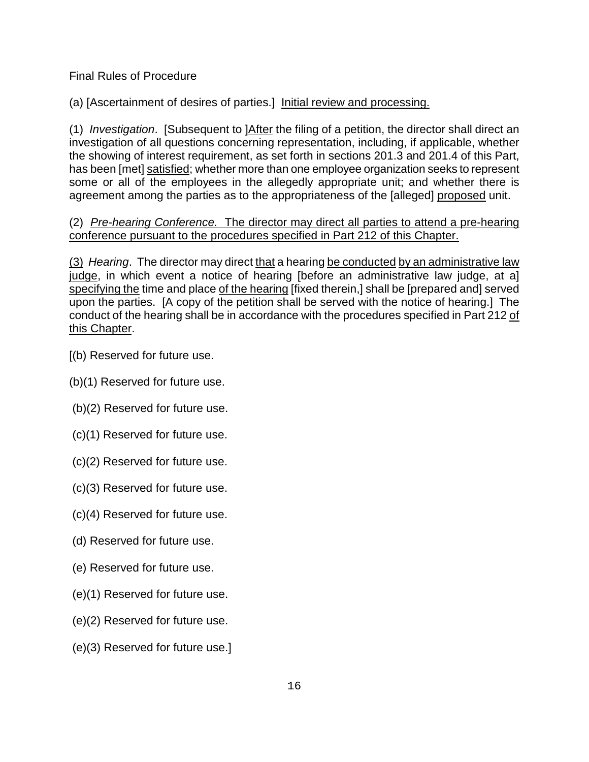(a) [Ascertainment of desires of parties.] Initial review and processing.

(1) *Investigation*. [Subsequent to ]After the filing of a petition, the director shall direct an investigation of all questions concerning representation, including, if applicable, whether the showing of interest requirement, as set forth in sections 201.3 and 201.4 of this Part, has been [met] satisfied; whether more than one employee organization seeks to represent some or all of the employees in the allegedly appropriate unit; and whether there is agreement among the parties as to the appropriateness of the [alleged] proposed unit.

## (2) *Pre-hearing Conference.* The director may direct all parties to attend a pre-hearing conference pursuant to the procedures specified in Part 212 of this Chapter.

(3) *Hearing*. The director may direct that a hearing be conducted by an administrative law judge, in which event a notice of hearing [before an administrative law judge, at a] specifying the time and place of the hearing [fixed therein,] shall be [prepared and] served upon the parties. [A copy of the petition shall be served with the notice of hearing.] The conduct of the hearing shall be in accordance with the procedures specified in Part 212 of this Chapter.

- [(b) Reserved for future use.
- (b)(1) Reserved for future use.
- (b)(2) Reserved for future use.
- (c)(1) Reserved for future use.
- (c)(2) Reserved for future use.
- (c)(3) Reserved for future use.
- (c)(4) Reserved for future use.
- (d) Reserved for future use.
- (e) Reserved for future use.
- (e)(1) Reserved for future use.
- (e)(2) Reserved for future use.
- (e)(3) Reserved for future use.]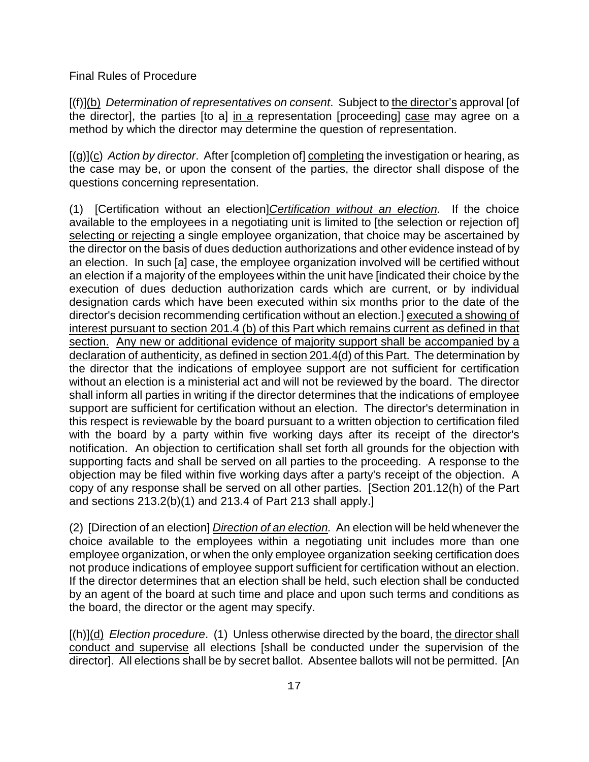[(f)](b) *Determination of representatives on consent*. Subject to the director's approval [of the director], the parties [to a] in a representation [proceeding] case may agree on a method by which the director may determine the question of representation.

[(g)](c) *Action by director*. After [completion of] completing the investigation or hearing, as the case may be, or upon the consent of the parties, the director shall dispose of the questions concerning representation.

(1) [Certification without an election]*Certification without an election.* If the choice available to the employees in a negotiating unit is limited to [the selection or rejection of] selecting or rejecting a single employee organization, that choice may be ascertained by the director on the basis of dues deduction authorizations and other evidence instead of by an election. In such [a] case, the employee organization involved will be certified without an election if a majority of the employees within the unit have [indicated their choice by the execution of dues deduction authorization cards which are current, or by individual designation cards which have been executed within six months prior to the date of the director's decision recommending certification without an election.] executed a showing of interest pursuant to section 201.4 (b) of this Part which remains current as defined in that section. Any new or additional evidence of majority support shall be accompanied by a declaration of authenticity, as defined in section 201.4(d) of this Part. The determination by the director that the indications of employee support are not sufficient for certification without an election is a ministerial act and will not be reviewed by the board. The director shall inform all parties in writing if the director determines that the indications of employee support are sufficient for certification without an election. The director's determination in this respect is reviewable by the board pursuant to a written objection to certification filed with the board by a party within five working days after its receipt of the director's notification. An objection to certification shall set forth all grounds for the objection with supporting facts and shall be served on all parties to the proceeding. A response to the objection may be filed within five working days after a party's receipt of the objection. A copy of any response shall be served on all other parties. [Section 201.12(h) of the Part and sections 213.2(b)(1) and 213.4 of Part 213 shall apply.]

(2) [Direction of an election] *Direction of an election.* An election will be held whenever the choice available to the employees within a negotiating unit includes more than one employee organization, or when the only employee organization seeking certification does not produce indications of employee support sufficient for certification without an election. If the director determines that an election shall be held, such election shall be conducted by an agent of the board at such time and place and upon such terms and conditions as the board, the director or the agent may specify.

[(h)](d) *Election procedure*. (1) Unless otherwise directed by the board, the director shall conduct and supervise all elections [shall be conducted under the supervision of the director]. All elections shall be by secret ballot. Absentee ballots will not be permitted. [An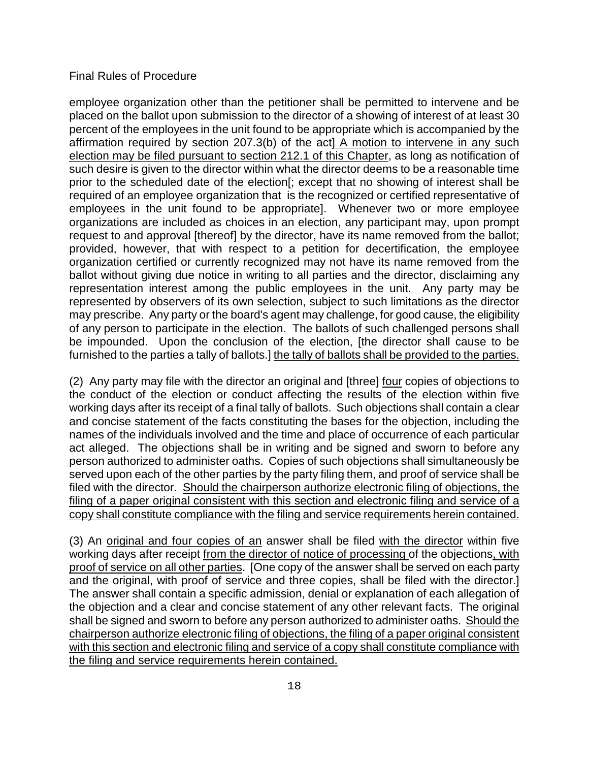employee organization other than the petitioner shall be permitted to intervene and be placed on the ballot upon submission to the director of a showing of interest of at least 30 percent of the employees in the unit found to be appropriate which is accompanied by the affirmation required by section 207.3(b) of the act] A motion to intervene in any such election may be filed pursuant to section 212.1 of this Chapter, as long as notification of such desire is given to the director within what the director deems to be a reasonable time prior to the scheduled date of the election[; except that no showing of interest shall be required of an employee organization that is the recognized or certified representative of employees in the unit found to be appropriate]. Whenever two or more employee organizations are included as choices in an election, any participant may, upon prompt request to and approval [thereof] by the director, have its name removed from the ballot; provided, however, that with respect to a petition for decertification, the employee organization certified or currently recognized may not have its name removed from the ballot without giving due notice in writing to all parties and the director, disclaiming any representation interest among the public employees in the unit. Any party may be represented by observers of its own selection, subject to such limitations as the director may prescribe. Any party or the board's agent may challenge, for good cause, the eligibility of any person to participate in the election. The ballots of such challenged persons shall be impounded. Upon the conclusion of the election, [the director shall cause to be furnished to the parties a tally of ballots.] the tally of ballots shall be provided to the parties.

(2) Any party may file with the director an original and [three] four copies of objections to the conduct of the election or conduct affecting the results of the election within five working days after its receipt of a final tally of ballots. Such objections shall contain a clear and concise statement of the facts constituting the bases for the objection, including the names of the individuals involved and the time and place of occurrence of each particular act alleged. The objections shall be in writing and be signed and sworn to before any person authorized to administer oaths. Copies of such objections shall simultaneously be served upon each of the other parties by the party filing them, and proof of service shall be filed with the director. Should the chairperson authorize electronic filing of objections, the filing of a paper original consistent with this section and electronic filing and service of a copy shall constitute compliance with the filing and service requirements herein contained.

(3) An original and four copies of an answer shall be filed with the director within five working days after receipt from the director of notice of processing of the objections, with proof of service on all other parties. [One copy of the answer shall be served on each party and the original, with proof of service and three copies, shall be filed with the director.] The answer shall contain a specific admission, denial or explanation of each allegation of the objection and a clear and concise statement of any other relevant facts. The original shall be signed and sworn to before any person authorized to administer oaths. Should the chairperson authorize electronic filing of objections, the filing of a paper original consistent with this section and electronic filing and service of a copy shall constitute compliance with the filing and service requirements herein contained.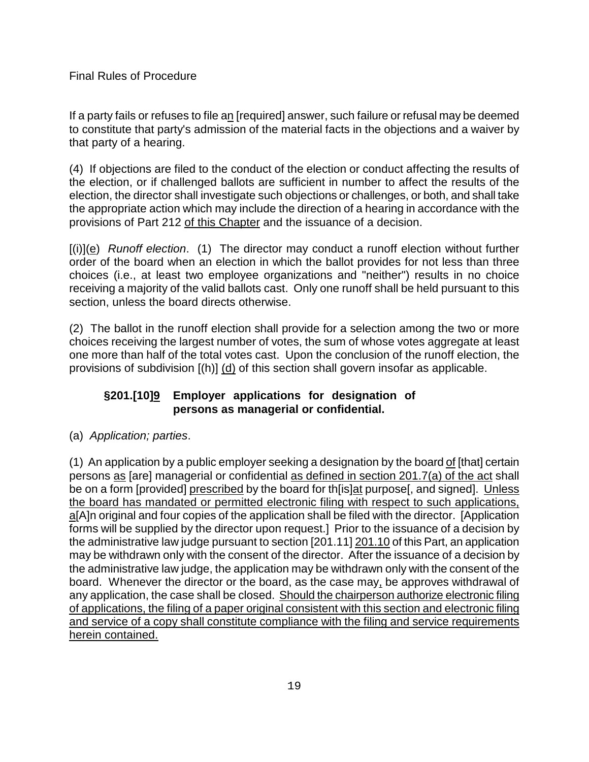If a party fails or refuses to file an [required] answer, such failure or refusal may be deemed to constitute that party's admission of the material facts in the objections and a waiver by that party of a hearing.

(4) If objections are filed to the conduct of the election or conduct affecting the results of the election, or if challenged ballots are sufficient in number to affect the results of the election, the director shall investigate such objections or challenges, or both, and shall take the appropriate action which may include the direction of a hearing in accordance with the provisions of Part 212 of this Chapter and the issuance of a decision.

[(i)](e) *Runoff election*. (1) The director may conduct a runoff election without further order of the board when an election in which the ballot provides for not less than three choices (i.e., at least two employee organizations and "neither") results in no choice receiving a majority of the valid ballots cast. Only one runoff shall be held pursuant to this section, unless the board directs otherwise.

(2) The ballot in the runoff election shall provide for a selection among the two or more choices receiving the largest number of votes, the sum of whose votes aggregate at least one more than half of the total votes cast. Upon the conclusion of the runoff election, the provisions of subdivision [(h)] (d) of this section shall govern insofar as applicable.

## **§201.[10]9 Employer applications for designation of persons as managerial or confidential.**

(a) *Application; parties*.

(1) An application by a public employer seeking a designation by the board of [that] certain persons as [are] managerial or confidential as defined in section 201.7(a) of the act shall be on a form [provided] prescribed by the board for th[is]at purpose[, and signed]. Unless the board has mandated or permitted electronic filing with respect to such applications, a[A]n original and four copies of the application shall be filed with the director. [Application forms will be supplied by the director upon request.] Prior to the issuance of a decision by the administrative law judge pursuant to section [201.11] 201.10 of this Part, an application may be withdrawn only with the consent of the director. After the issuance of a decision by the administrative law judge, the application may be withdrawn only with the consent of the board. Whenever the director or the board, as the case may, be approves withdrawal of any application, the case shall be closed. Should the chairperson authorize electronic filing of applications, the filing of a paper original consistent with this section and electronic filing and service of a copy shall constitute compliance with the filing and service requirements herein contained.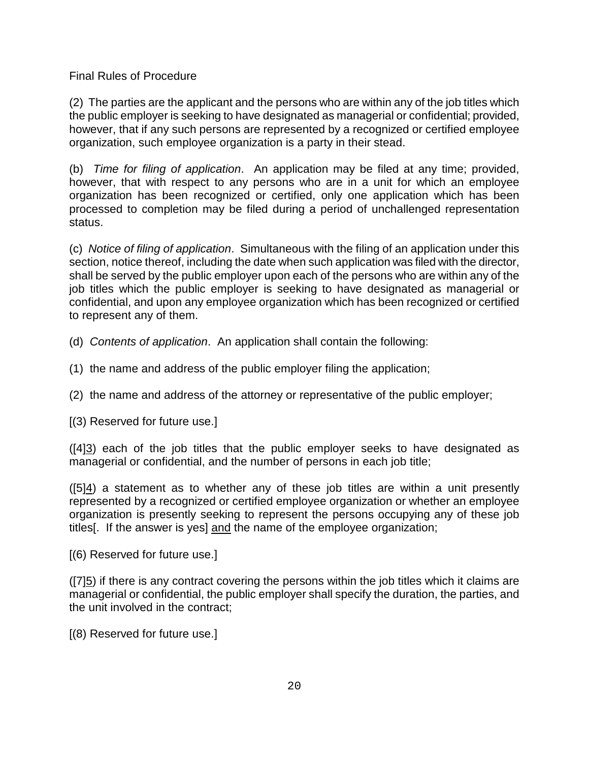(2) The parties are the applicant and the persons who are within any of the job titles which the public employer is seeking to have designated as managerial or confidential; provided, however, that if any such persons are represented by a recognized or certified employee organization, such employee organization is a party in their stead.

(b) *Time for filing of application*. An application may be filed at any time; provided, however, that with respect to any persons who are in a unit for which an employee organization has been recognized or certified, only one application which has been processed to completion may be filed during a period of unchallenged representation status.

(c) *Notice of filing of application*. Simultaneous with the filing of an application under this section, notice thereof, including the date when such application was filed with the director, shall be served by the public employer upon each of the persons who are within any of the job titles which the public employer is seeking to have designated as managerial or confidential, and upon any employee organization which has been recognized or certified to represent any of them.

- (d) *Contents of application*. An application shall contain the following:
- (1) the name and address of the public employer filing the application;
- (2) the name and address of the attorney or representative of the public employer;

[(3) Reserved for future use.]

([4]3) each of the job titles that the public employer seeks to have designated as managerial or confidential, and the number of persons in each job title;

 $([5]4)$  a statement as to whether any of these job titles are within a unit presently represented by a recognized or certified employee organization or whether an employee organization is presently seeking to represent the persons occupying any of these job titles[. If the answer is yes] and the name of the employee organization;

[(6) Reserved for future use.]

 $(7)$ <sub>5</sub>) if there is any contract covering the persons within the job titles which it claims are managerial or confidential, the public employer shall specify the duration, the parties, and the unit involved in the contract;

[(8) Reserved for future use.]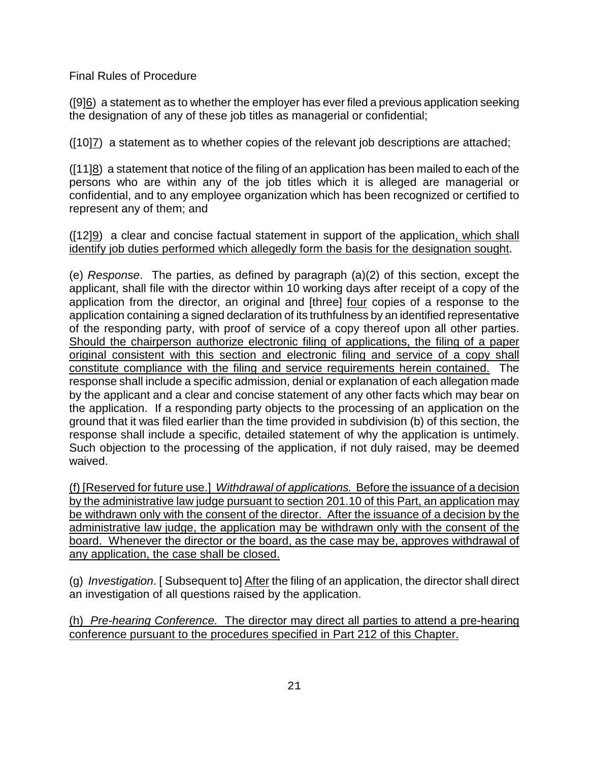([9]6) a statement as to whether the employer has ever filed a previous application seeking the designation of any of these job titles as managerial or confidential;

([10]7) a statement as to whether copies of the relevant job descriptions are attached;

([11]8) a statement that notice of the filing of an application has been mailed to each of the persons who are within any of the job titles which it is alleged are managerial or confidential, and to any employee organization which has been recognized or certified to represent any of them; and

([12]9) a clear and concise factual statement in support of the application, which shall identify job duties performed which allegedly form the basis for the designation sought.

(e) *Response*. The parties, as defined by paragraph (a)(2) of this section, except the applicant, shall file with the director within 10 working days after receipt of a copy of the application from the director, an original and [three] four copies of a response to the application containing a signed declaration of its truthfulness by an identified representative of the responding party, with proof of service of a copy thereof upon all other parties. Should the chairperson authorize electronic filing of applications, the filing of a paper original consistent with this section and electronic filing and service of a copy shall constitute compliance with the filing and service requirements herein contained. The response shall include a specific admission, denial or explanation of each allegation made by the applicant and a clear and concise statement of any other facts which may bear on the application. If a responding party objects to the processing of an application on the ground that it was filed earlier than the time provided in subdivision (b) of this section, the response shall include a specific, detailed statement of why the application is untimely. Such objection to the processing of the application, if not duly raised, may be deemed waived.

(f) [Reserved for future use.] *Withdrawal of applications.* Before the issuance of a decision by the administrative law judge pursuant to section 201.10 of this Part, an application may be withdrawn only with the consent of the director. After the issuance of a decision by the administrative law judge, the application may be withdrawn only with the consent of the board. Whenever the director or the board, as the case may be, approves withdrawal of any application, the case shall be closed.

(g) *Investigation*. [ Subsequent to] After the filing of an application, the director shall direct an investigation of all questions raised by the application.

(h) *Pre-hearing Conference.* The director may direct all parties to attend a pre-hearing conference pursuant to the procedures specified in Part 212 of this Chapter.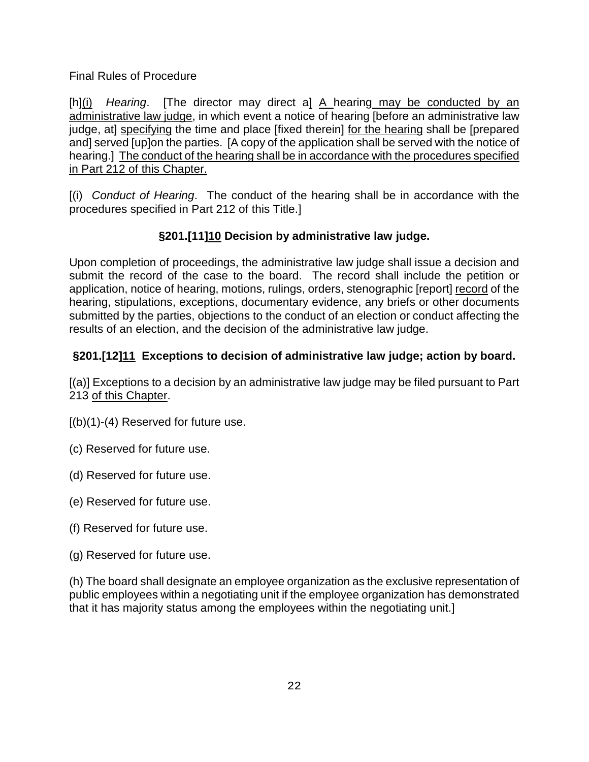[h](i) *Hearing*. [The director may direct a] A hearing may be conducted by an administrative law judge, in which event a notice of hearing [before an administrative law judge, at] specifying the time and place [fixed therein] for the hearing shall be [prepared and] served [up]on the parties. [A copy of the application shall be served with the notice of hearing.] The conduct of the hearing shall be in accordance with the procedures specified in Part 212 of this Chapter.

[(i) *Conduct of Hearing*. The conduct of the hearing shall be in accordance with the procedures specified in Part 212 of this Title.]

# **§201.[11]10 Decision by administrative law judge.**

Upon completion of proceedings, the administrative law judge shall issue a decision and submit the record of the case to the board. The record shall include the petition or application, notice of hearing, motions, rulings, orders, stenographic [report] record of the hearing, stipulations, exceptions, documentary evidence, any briefs or other documents submitted by the parties, objections to the conduct of an election or conduct affecting the results of an election, and the decision of the administrative law judge.

# **§201.[12]11 Exceptions to decision of administrative law judge; action by board.**

[(a)] Exceptions to a decision by an administrative law judge may be filed pursuant to Part 213 of this Chapter.

- $[(b)(1)-(4)$  Reserved for future use.
- (c) Reserved for future use.
- (d) Reserved for future use.
- (e) Reserved for future use.
- (f) Reserved for future use.
- (g) Reserved for future use.

(h) The board shall designate an employee organization as the exclusive representation of public employees within a negotiating unit if the employee organization has demonstrated that it has majority status among the employees within the negotiating unit.]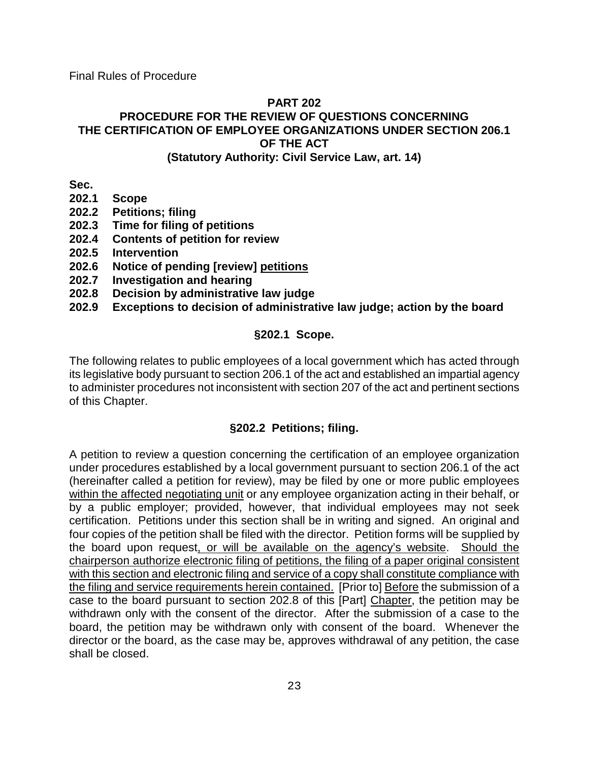#### **PART 202**

# **PROCEDURE FOR THE REVIEW OF QUESTIONS CONCERNING THE CERTIFICATION OF EMPLOYEE ORGANIZATIONS UNDER SECTION 206.1 OF THE ACT**

#### **(Statutory Authority: Civil Service Law, art. 14)**

**Sec.**

- **202.1 Scope**
- **202.2 Petitions; filing**
- **202.3 Time for filing of petitions**
- **202.4 Contents of petition for review**
- **202.5 Intervention**
- **202.6 Notice of pending [review] petitions**
- **202.7 Investigation and hearing**
- **202.8 Decision by administrative law judge**

## **202.9 Exceptions to decision of administrative law judge; action by the board**

## **§202.1 Scope.**

The following relates to public employees of a local government which has acted through its legislative body pursuant to section 206.1 of the act and established an impartial agency to administer procedures not inconsistent with section 207 of the act and pertinent sections of this Chapter.

# **§202.2 Petitions; filing.**

A petition to review a question concerning the certification of an employee organization under procedures established by a local government pursuant to section 206.1 of the act (hereinafter called a petition for review), may be filed by one or more public employees within the affected negotiating unit or any employee organization acting in their behalf, or by a public employer; provided, however, that individual employees may not seek certification. Petitions under this section shall be in writing and signed. An original and four copies of the petition shall be filed with the director. Petition forms will be supplied by the board upon request, or will be available on the agency's website. Should the chairperson authorize electronic filing of petitions, the filing of a paper original consistent with this section and electronic filing and service of a copy shall constitute compliance with the filing and service requirements herein contained. [Prior to] Before the submission of a case to the board pursuant to section 202.8 of this [Part] Chapter, the petition may be withdrawn only with the consent of the director. After the submission of a case to the board, the petition may be withdrawn only with consent of the board. Whenever the director or the board, as the case may be, approves withdrawal of any petition, the case shall be closed.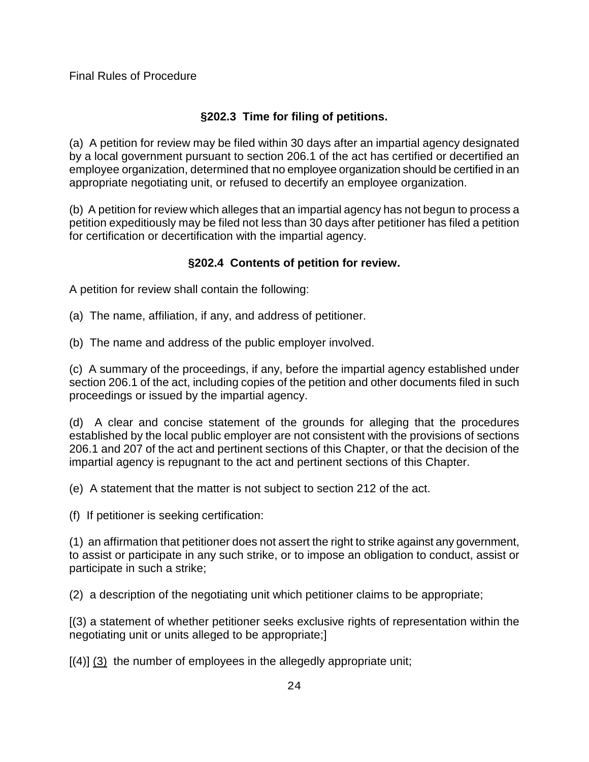# **§202.3 Time for filing of petitions.**

(a) A petition for review may be filed within 30 days after an impartial agency designated by a local government pursuant to section 206.1 of the act has certified or decertified an employee organization, determined that no employee organization should be certified in an appropriate negotiating unit, or refused to decertify an employee organization.

(b) A petition for review which alleges that an impartial agency has not begun to process a petition expeditiously may be filed not less than 30 days after petitioner has filed a petition for certification or decertification with the impartial agency.

# **§202.4 Contents of petition for review.**

A petition for review shall contain the following:

- (a) The name, affiliation, if any, and address of petitioner.
- (b) The name and address of the public employer involved.

(c) A summary of the proceedings, if any, before the impartial agency established under section 206.1 of the act, including copies of the petition and other documents filed in such proceedings or issued by the impartial agency.

(d) A clear and concise statement of the grounds for alleging that the procedures established by the local public employer are not consistent with the provisions of sections 206.1 and 207 of the act and pertinent sections of this Chapter, or that the decision of the impartial agency is repugnant to the act and pertinent sections of this Chapter.

(e) A statement that the matter is not subject to section 212 of the act.

(f) If petitioner is seeking certification:

(1) an affirmation that petitioner does not assert the right to strike against any government, to assist or participate in any such strike, or to impose an obligation to conduct, assist or participate in such a strike;

(2) a description of the negotiating unit which petitioner claims to be appropriate;

[(3) a statement of whether petitioner seeks exclusive rights of representation within the negotiating unit or units alleged to be appropriate;]

 $[(4)]$   $(3)$  the number of employees in the allegedly appropriate unit;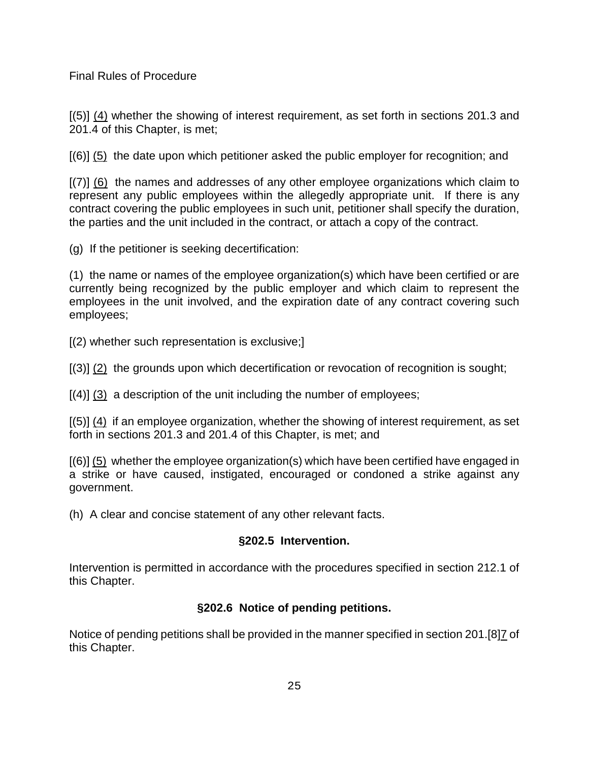[(5)] (4) whether the showing of interest requirement, as set forth in sections 201.3 and 201.4 of this Chapter, is met;

[(6)] (5) the date upon which petitioner asked the public employer for recognition; and

[(7)] (6) the names and addresses of any other employee organizations which claim to represent any public employees within the allegedly appropriate unit. If there is any contract covering the public employees in such unit, petitioner shall specify the duration, the parties and the unit included in the contract, or attach a copy of the contract.

(g) If the petitioner is seeking decertification:

(1) the name or names of the employee organization(s) which have been certified or are currently being recognized by the public employer and which claim to represent the employees in the unit involved, and the expiration date of any contract covering such employees;

[(2) whether such representation is exclusive;]

[(3)] (2) the grounds upon which decertification or revocation of recognition is sought;

 $[(4)]$  (3) a description of the unit including the number of employees;

[(5)] (4) if an employee organization, whether the showing of interest requirement, as set forth in sections 201.3 and 201.4 of this Chapter, is met; and

[(6)] (5) whether the employee organization(s) which have been certified have engaged in a strike or have caused, instigated, encouraged or condoned a strike against any government.

(h) A clear and concise statement of any other relevant facts.

# **§202.5 Intervention.**

Intervention is permitted in accordance with the procedures specified in section 212.1 of this Chapter.

# **§202.6 Notice of pending petitions.**

Notice of pending petitions shall be provided in the manner specified in section 201.[8]7 of this Chapter.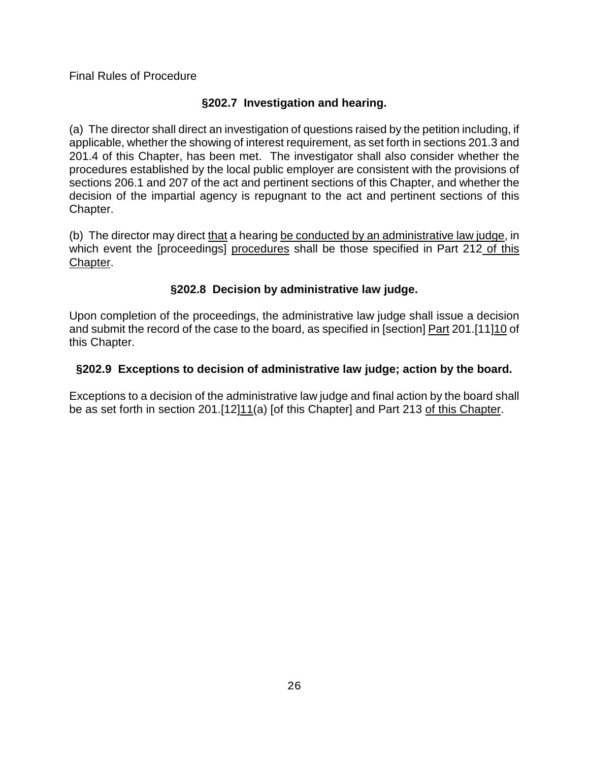# **§202.7 Investigation and hearing.**

(a) The director shall direct an investigation of questions raised by the petition including, if applicable, whether the showing of interest requirement, as set forth in sections 201.3 and 201.4 of this Chapter, has been met. The investigator shall also consider whether the procedures established by the local public employer are consistent with the provisions of sections 206.1 and 207 of the act and pertinent sections of this Chapter, and whether the decision of the impartial agency is repugnant to the act and pertinent sections of this Chapter.

(b) The director may direct that a hearing be conducted by an administrative law judge, in which event the [proceedings] procedures shall be those specified in Part 212 of this Chapter.

# **§202.8 Decision by administrative law judge.**

Upon completion of the proceedings, the administrative law judge shall issue a decision and submit the record of the case to the board, as specified in [section] Part 201.[11]10 of this Chapter.

# **§202.9 Exceptions to decision of administrative law judge; action by the board.**

Exceptions to a decision of the administrative law judge and final action by the board shall be as set forth in section 201.[12]11(a) [of this Chapter] and Part 213 of this Chapter.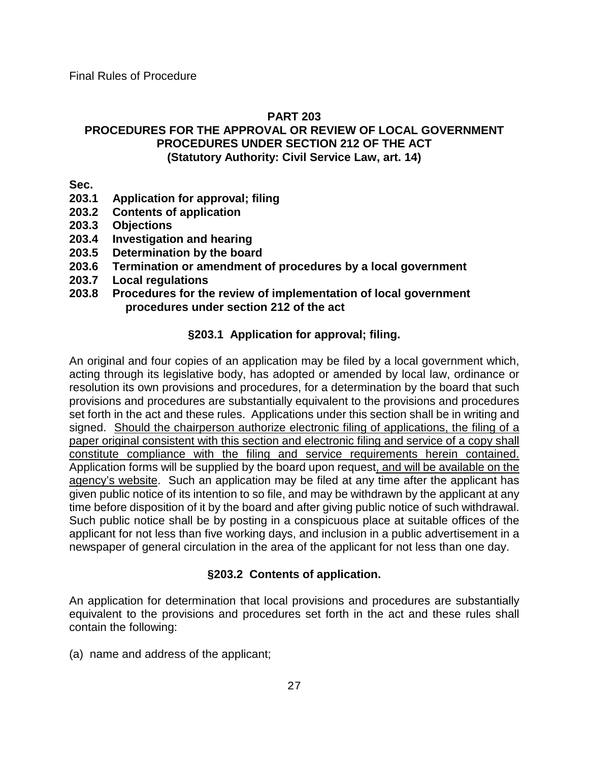#### **PART 203**

#### **PROCEDURES FOR THE APPROVAL OR REVIEW OF LOCAL GOVERNMENT PROCEDURES UNDER SECTION 212 OF THE ACT (Statutory Authority: Civil Service Law, art. 14)**

- **Sec.**<br>203.1 **203.1 Application for approval; filing**
- **203.2 Contents of application**
- **203.3 Objections**
- **203.4 Investigation and hearing**
- **203.5 Determination by the board**
- **203.6 Termination or amendment of procedures by a local government**
- **203.7 Local regulations**
- **203.8 Procedures for the review of implementation of local government procedures under section 212 of the act**

## **§203.1 Application for approval; filing.**

An original and four copies of an application may be filed by a local government which, acting through its legislative body, has adopted or amended by local law, ordinance or resolution its own provisions and procedures, for a determination by the board that such provisions and procedures are substantially equivalent to the provisions and procedures set forth in the act and these rules. Applications under this section shall be in writing and signed. Should the chairperson authorize electronic filing of applications, the filing of a paper original consistent with this section and electronic filing and service of a copy shall constitute compliance with the filing and service requirements herein contained. Application forms will be supplied by the board upon request, and will be available on the agency's website. Such an application may be filed at any time after the applicant has given public notice of its intention to so file, and may be withdrawn by the applicant at any time before disposition of it by the board and after giving public notice of such withdrawal. Such public notice shall be by posting in a conspicuous place at suitable offices of the applicant for not less than five working days, and inclusion in a public advertisement in a newspaper of general circulation in the area of the applicant for not less than one day.

## **§203.2 Contents of application.**

An application for determination that local provisions and procedures are substantially equivalent to the provisions and procedures set forth in the act and these rules shall contain the following:

(a) name and address of the applicant;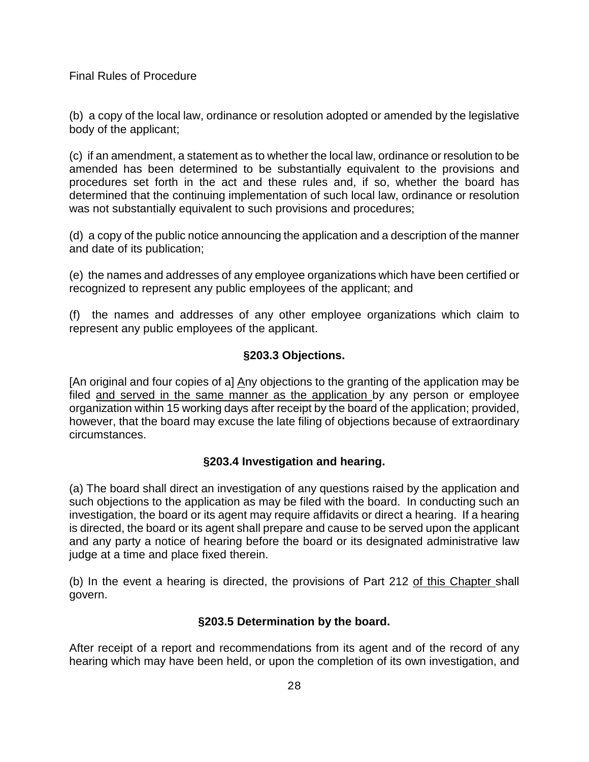(b) a copy of the local law, ordinance or resolution adopted or amended by the legislative body of the applicant;

(c) if an amendment, a statement as to whether the local law, ordinance or resolution to be amended has been determined to be substantially equivalent to the provisions and procedures set forth in the act and these rules and, if so, whether the board has determined that the continuing implementation of such local law, ordinance or resolution was not substantially equivalent to such provisions and procedures;

(d) a copy of the public notice announcing the application and a description of the manner and date of its publication;

(e) the names and addresses of any employee organizations which have been certified or recognized to represent any public employees of the applicant; and

(f) the names and addresses of any other employee organizations which claim to represent any public employees of the applicant.

## **§203.3 Objections.**

[An original and four copies of a] Any objections to the granting of the application may be filed and served in the same manner as the application by any person or employee organization within 15 working days after receipt by the board of the application; provided, however, that the board may excuse the late filing of objections because of extraordinary circumstances.

## **§203.4 Investigation and hearing.**

(a) The board shall direct an investigation of any questions raised by the application and such objections to the application as may be filed with the board. In conducting such an investigation, the board or its agent may require affidavits or direct a hearing. If a hearing is directed, the board or its agent shall prepare and cause to be served upon the applicant and any party a notice of hearing before the board or its designated administrative law judge at a time and place fixed therein.

(b) In the event a hearing is directed, the provisions of Part 212 of this Chapter shall govern.

## **§203.5 Determination by the board.**

After receipt of a report and recommendations from its agent and of the record of any hearing which may have been held, or upon the completion of its own investigation, and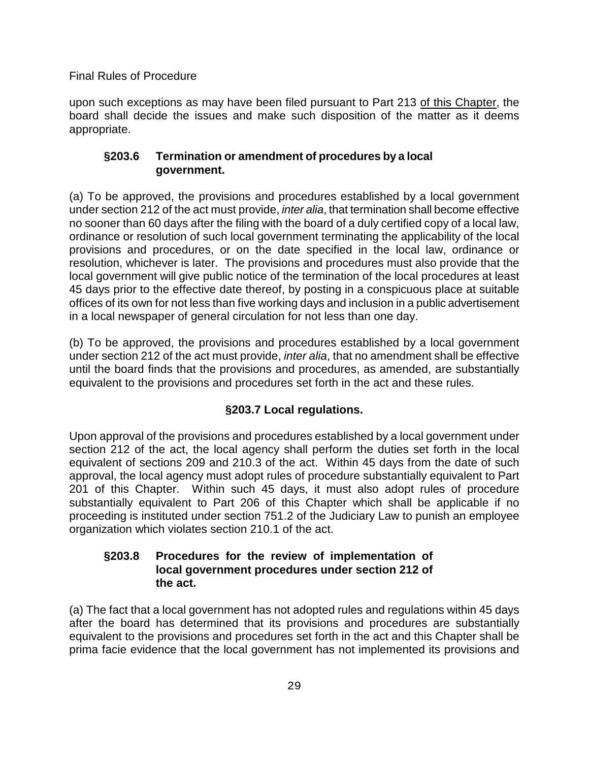upon such exceptions as may have been filed pursuant to Part 213 of this Chapter, the board shall decide the issues and make such disposition of the matter as it deems appropriate.

## **§203.6 Termination or amendment of procedures by a local government.**

(a) To be approved, the provisions and procedures established by a local government under section 212 of the act must provide, *inter alia*, that termination shall become effective no sooner than 60 days after the filing with the board of a duly certified copy of a local law, ordinance or resolution of such local government terminating the applicability of the local provisions and procedures, or on the date specified in the local law, ordinance or resolution, whichever is later. The provisions and procedures must also provide that the local government will give public notice of the termination of the local procedures at least 45 days prior to the effective date thereof, by posting in a conspicuous place at suitable offices of its own for not less than five working days and inclusion in a public advertisement in a local newspaper of general circulation for not less than one day.

(b) To be approved, the provisions and procedures established by a local government under section 212 of the act must provide, *inter alia*, that no amendment shall be effective until the board finds that the provisions and procedures, as amended, are substantially equivalent to the provisions and procedures set forth in the act and these rules.

# **§203.7 Local regulations.**

Upon approval of the provisions and procedures established by a local government under section 212 of the act, the local agency shall perform the duties set forth in the local equivalent of sections 209 and 210.3 of the act. Within 45 days from the date of such approval, the local agency must adopt rules of procedure substantially equivalent to Part 201 of this Chapter. Within such 45 days, it must also adopt rules of procedure substantially equivalent to Part 206 of this Chapter which shall be applicable if no proceeding is instituted under section 751.2 of the Judiciary Law to punish an employee organization which violates section 210.1 of the act.

## **§203.8 Procedures for the review of implementation of local government procedures under section 212 of the act.**

(a) The fact that a local government has not adopted rules and regulations within 45 days after the board has determined that its provisions and procedures are substantially equivalent to the provisions and procedures set forth in the act and this Chapter shall be prima facie evidence that the local government has not implemented its provisions and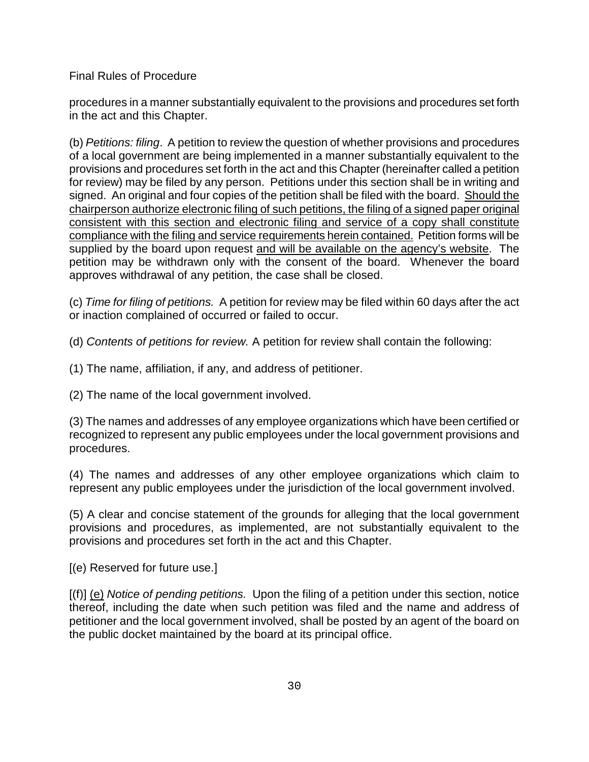procedures in a manner substantially equivalent to the provisions and procedures set forth in the act and this Chapter.

(b) *Petitions: filing*. A petition to review the question of whether provisions and procedures of a local government are being implemented in a manner substantially equivalent to the provisions and procedures set forth in the act and this Chapter (hereinafter called a petition for review) may be filed by any person. Petitions under this section shall be in writing and signed. An original and four copies of the petition shall be filed with the board. Should the chairperson authorize electronic filing of such petitions, the filing of a signed paper original consistent with this section and electronic filing and service of a copy shall constitute compliance with the filing and service requirements herein contained. Petition forms will be supplied by the board upon request and will be available on the agency's website. The petition may be withdrawn only with the consent of the board. Whenever the board approves withdrawal of any petition, the case shall be closed.

(c) *Time for filing of petitions.* A petition for review may be filed within 60 days after the act or inaction complained of occurred or failed to occur.

(d) *Contents of petitions for review.* A petition for review shall contain the following:

(1) The name, affiliation, if any, and address of petitioner.

(2) The name of the local government involved.

(3) The names and addresses of any employee organizations which have been certified or recognized to represent any public employees under the local government provisions and procedures.

(4) The names and addresses of any other employee organizations which claim to represent any public employees under the jurisdiction of the local government involved.

(5) A clear and concise statement of the grounds for alleging that the local government provisions and procedures, as implemented, are not substantially equivalent to the provisions and procedures set forth in the act and this Chapter.

[(e) Reserved for future use.]

[(f)] (e) *Notice of pending petitions.* Upon the filing of a petition under this section, notice thereof, including the date when such petition was filed and the name and address of petitioner and the local government involved, shall be posted by an agent of the board on the public docket maintained by the board at its principal office.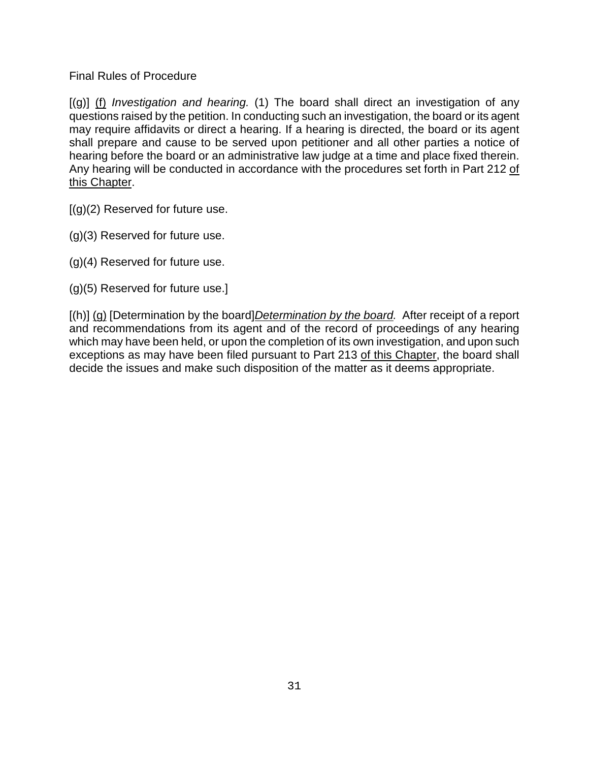[(g)] (f) *Investigation and hearing.* (1) The board shall direct an investigation of any questions raised by the petition. In conducting such an investigation, the board or its agent may require affidavits or direct a hearing. If a hearing is directed, the board or its agent shall prepare and cause to be served upon petitioner and all other parties a notice of hearing before the board or an administrative law judge at a time and place fixed therein. Any hearing will be conducted in accordance with the procedures set forth in Part 212 of this Chapter.

 $[(g)(2)$  Reserved for future use.

- (g)(3) Reserved for future use.
- (g)(4) Reserved for future use.
- (g)(5) Reserved for future use.]

[(h)] (g) [Determination by the board]*Determination by the board.* After receipt of a report and recommendations from its agent and of the record of proceedings of any hearing which may have been held, or upon the completion of its own investigation, and upon such exceptions as may have been filed pursuant to Part 213 of this Chapter, the board shall decide the issues and make such disposition of the matter as it deems appropriate.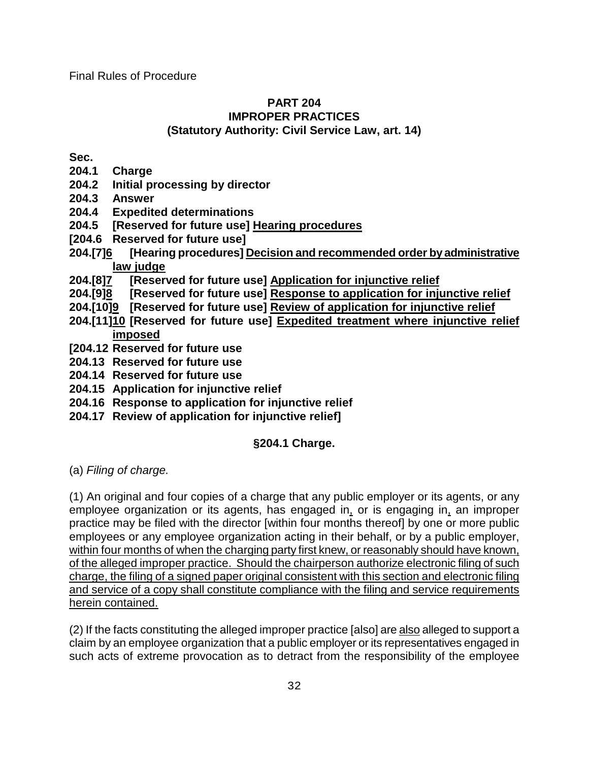## **PART 204 IMPROPER PRACTICES (Statutory Authority: Civil Service Law, art. 14)**

**Sec.**

- **204.1 Charge**
- **204.2 Initial processing by director**
- **204.3 Answer**
- **204.4 Expedited determinations**
- **204.5 [Reserved for future use] Hearing procedures**
- **[204.6 Reserved for future use]**
- **204.[7]6 [Hearing procedures] Decision and recommended order by administrative**
- <u>law judge</u><br>204.[8]<u>7</u> [Reser **204.[8]7 [Reserved for future use] Application for injunctive relief**
- **204.[9]8 [Reserved for future use] Response to application for injunctive relief**
- **204.[10]9 [Reserved for future use] Review of application for injunctive relief**
- **204.[11]10 [Reserved for future use] Expedited treatment where injunctive relief imposed**
- **[204.12 Reserved for future use**
- **204.13 Reserved for future use**
- **204.14 Reserved for future use**
- **204.15 Application for injunctive relief**
- **204.16 Response to application for injunctive relief**
- **204.17 Review of application for injunctive relief]**

# **§204.1 Charge.**

(a) *Filing of charge.*

(1) An original and four copies of a charge that any public employer or its agents, or any employee organization or its agents, has engaged in, or is engaging in, an improper practice may be filed with the director [within four months thereof] by one or more public employees or any employee organization acting in their behalf, or by a public employer, within four months of when the charging party first knew, or reasonably should have known, of the alleged improper practice. Should the chairperson authorize electronic filing of such charge, the filing of a signed paper original consistent with this section and electronic filing and service of a copy shall constitute compliance with the filing and service requirements herein contained.

(2) If the facts constituting the alleged improper practice [also] are also alleged to support a claim by an employee organization that a public employer or its representatives engaged in such acts of extreme provocation as to detract from the responsibility of the employee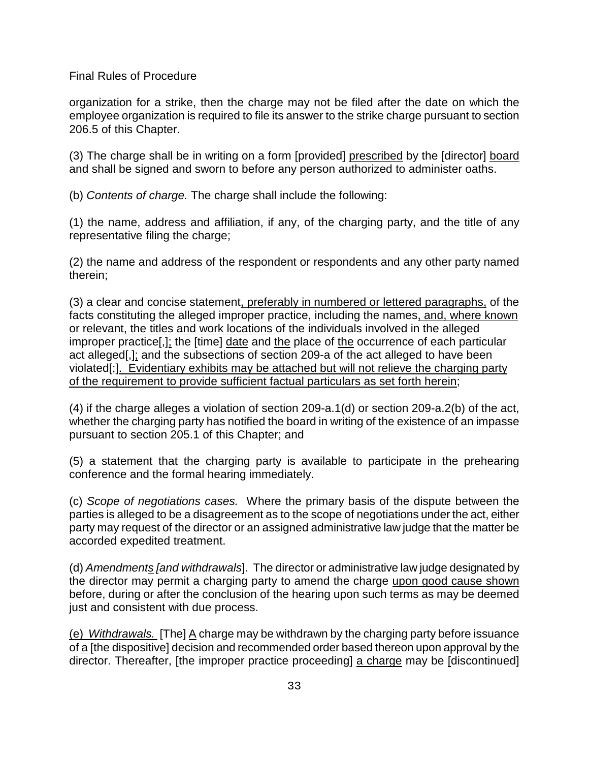organization for a strike, then the charge may not be filed after the date on which the employee organization is required to file its answer to the strike charge pursuant to section 206.5 of this Chapter.

(3) The charge shall be in writing on a form [provided] prescribed by the [director] board and shall be signed and sworn to before any person authorized to administer oaths.

(b) *Contents of charge.* The charge shall include the following:

(1) the name, address and affiliation, if any, of the charging party, and the title of any representative filing the charge;

(2) the name and address of the respondent or respondents and any other party named therein;

(3) a clear and concise statement, preferably in numbered or lettered paragraphs, of the facts constituting the alleged improper practice, including the names, and, where known or relevant, the titles and work locations of the individuals involved in the alleged improper practice[,]; the [time] date and the place of the occurrence of each particular act alleged[,]; and the subsections of section 209-a of the act alleged to have been violated[;]. Evidentiary exhibits may be attached but will not relieve the charging party of the requirement to provide sufficient factual particulars as set forth herein;

(4) if the charge alleges a violation of section 209-a.1(d) or section 209-a.2(b) of the act, whether the charging party has notified the board in writing of the existence of an impasse pursuant to section 205.1 of this Chapter; and

(5) a statement that the charging party is available to participate in the prehearing conference and the formal hearing immediately.

(c) *Scope of negotiations cases.* Where the primary basis of the dispute between the parties is alleged to be a disagreement as to the scope of negotiations under the act, either party may request of the director or an assigned administrative law judge that the matter be accorded expedited treatment.

(d) *Amendments [and withdrawals*]. The director or administrative law judge designated by the director may permit a charging party to amend the charge upon good cause shown before, during or after the conclusion of the hearing upon such terms as may be deemed just and consistent with due process.

(e) *Withdrawals.* [The] A charge may be withdrawn by the charging party before issuance of a [the dispositive] decision and recommended order based thereon upon approval by the director. Thereafter, [the improper practice proceeding] a charge may be [discontinued]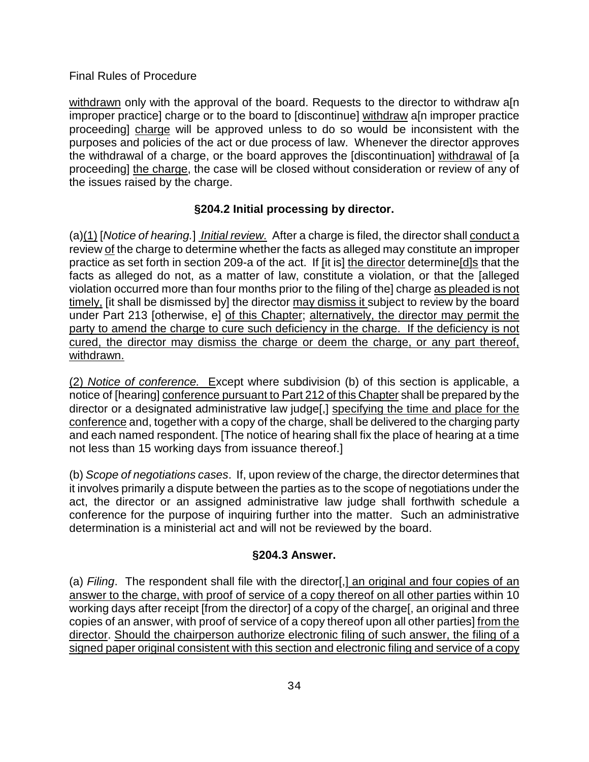withdrawn only with the approval of the board. Requests to the director to withdraw a[n] improper practice] charge or to the board to [discontinue] withdraw a[n improper practice proceeding] charge will be approved unless to do so would be inconsistent with the purposes and policies of the act or due process of law. Whenever the director approves the withdrawal of a charge, or the board approves the [discontinuation] withdrawal of [a proceeding] the charge, the case will be closed without consideration or review of any of the issues raised by the charge.

## **§204.2 Initial processing by director.**

(a)(1) [*Notice of hearing.*] *Initial review.* After a charge is filed, the director shall conduct a review of the charge to determine whether the facts as alleged may constitute an improper practice as set forth in section 209-a of the act. If [it is] the director determine  $\frac{d}{s}$  that the facts as alleged do not, as a matter of law, constitute a violation, or that the [alleged violation occurred more than four months prior to the filing of the] charge as pleaded is not timely, [it shall be dismissed by] the director may dismiss it subject to review by the board under Part 213 [otherwise, e] of this Chapter; alternatively, the director may permit the party to amend the charge to cure such deficiency in the charge. If the deficiency is not cured, the director may dismiss the charge or deem the charge, or any part thereof, withdrawn.

(2) *Notice of conference.* Except where subdivision (b) of this section is applicable, a notice of [hearing] conference pursuant to Part 212 of this Chapter shall be prepared by the director or a designated administrative law judge[,] specifying the time and place for the conference and, together with a copy of the charge, shall be delivered to the charging party and each named respondent. [The notice of hearing shall fix the place of hearing at a time not less than 15 working days from issuance thereof.]

(b) *Scope of negotiations cases*. If, upon review of the charge, the director determines that it involves primarily a dispute between the parties as to the scope of negotiations under the act, the director or an assigned administrative law judge shall forthwith schedule a conference for the purpose of inquiring further into the matter. Such an administrative determination is a ministerial act and will not be reviewed by the board.

# **§204.3 Answer.**

(a) *Filing*. The respondent shall file with the director[,] an original and four copies of an answer to the charge, with proof of service of a copy thereof on all other parties within 10 working days after receipt [from the director] of a copy of the charge[, an original and three copies of an answer, with proof of service of a copy thereof upon all other parties] from the director. Should the chairperson authorize electronic filing of such answer, the filing of a signed paper original consistent with this section and electronic filing and service of a copy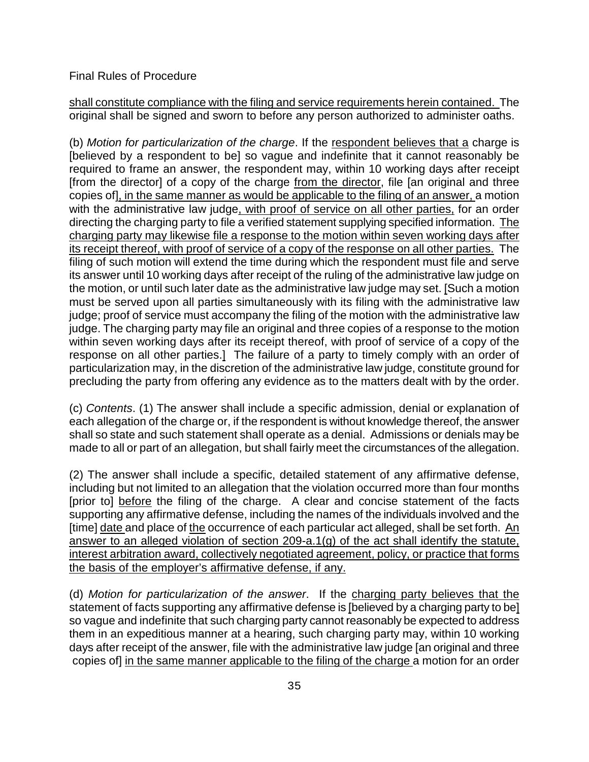shall constitute compliance with the filing and service requirements herein contained. The original shall be signed and sworn to before any person authorized to administer oaths.

(b) *Motion for particularization of the charge*. If the respondent believes that a charge is [believed by a respondent to be] so vague and indefinite that it cannot reasonably be required to frame an answer, the respondent may, within 10 working days after receipt [from the director] of a copy of the charge from the director, file [an original and three copies of], in the same manner as would be applicable to the filing of an answer, a motion with the administrative law judge, with proof of service on all other parties, for an order directing the charging party to file a verified statement supplying specified information. The charging party may likewise file a response to the motion within seven working days after its receipt thereof, with proof of service of a copy of the response on all other parties. The filing of such motion will extend the time during which the respondent must file and serve its answer until 10 working days after receipt of the ruling of the administrative law judge on the motion, or until such later date as the administrative law judge may set. [Such a motion must be served upon all parties simultaneously with its filing with the administrative law judge; proof of service must accompany the filing of the motion with the administrative law judge. The charging party may file an original and three copies of a response to the motion within seven working days after its receipt thereof, with proof of service of a copy of the response on all other parties.] The failure of a party to timely comply with an order of particularization may, in the discretion of the administrative law judge, constitute ground for precluding the party from offering any evidence as to the matters dealt with by the order.

(c) *Contents*. (1) The answer shall include a specific admission, denial or explanation of each allegation of the charge or, if the respondent is without knowledge thereof, the answer shall so state and such statement shall operate as a denial. Admissions or denials may be made to all or part of an allegation, but shall fairly meet the circumstances of the allegation.

(2) The answer shall include a specific, detailed statement of any affirmative defense, including but not limited to an allegation that the violation occurred more than four months [prior to] before the filing of the charge. A clear and concise statement of the facts supporting any affirmative defense, including the names of the individuals involved and the [time] date and place of the occurrence of each particular act alleged, shall be set forth. An answer to an alleged violation of section 209-a.1(g) of the act shall identify the statute, interest arbitration award, collectively negotiated agreement, policy, or practice that forms the basis of the employer's affirmative defense, if any.

(d) *Motion for particularization of the answer*. If the charging party believes that the statement of facts supporting any affirmative defense is [believed by a charging party to be] so vague and indefinite that such charging party cannot reasonably be expected to address them in an expeditious manner at a hearing, such charging party may, within 10 working days after receipt of the answer, file with the administrative law judge [an original and three copies of] in the same manner applicable to the filing of the charge a motion for an order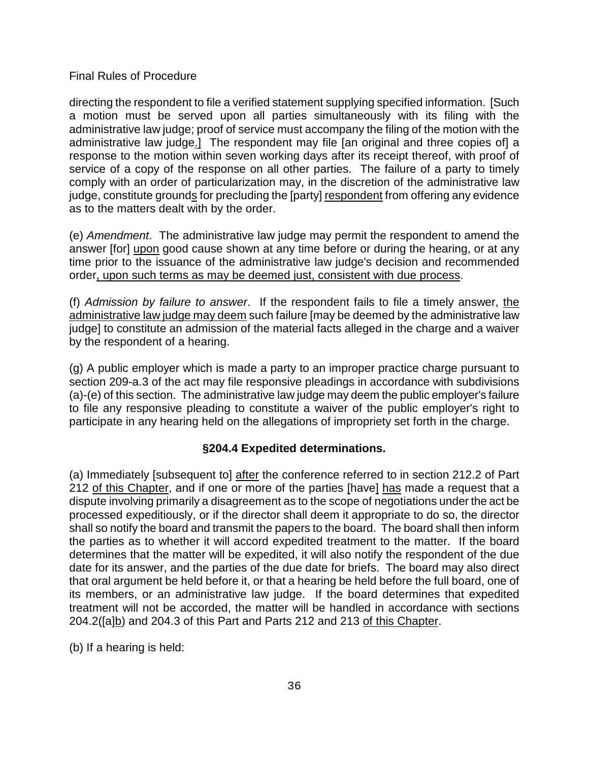directing the respondent to file a verified statement supplying specified information. [Such a motion must be served upon all parties simultaneously with its filing with the administrative law judge; proof of service must accompany the filing of the motion with the administrative law judge.] The respondent may file [an original and three copies of] a response to the motion within seven working days after its receipt thereof, with proof of service of a copy of the response on all other parties. The failure of a party to timely comply with an order of particularization may, in the discretion of the administrative law judge, constitute grounds for precluding the [party] respondent from offering any evidence as to the matters dealt with by the order.

(e) *Amendment*. The administrative law judge may permit the respondent to amend the answer [for] upon good cause shown at any time before or during the hearing, or at any time prior to the issuance of the administrative law judge's decision and recommended order, upon such terms as may be deemed just, consistent with due process.

(f) *Admission by failure to answer*. If the respondent fails to file a timely answer, the administrative law judge may deem such failure [may be deemed by the administrative law judge] to constitute an admission of the material facts alleged in the charge and a waiver by the respondent of a hearing.

(g) A public employer which is made a party to an improper practice charge pursuant to section 209-a.3 of the act may file responsive pleadings in accordance with subdivisions (a)-(e) of this section. The administrative law judge may deem the public employer's failure to file any responsive pleading to constitute a waiver of the public employer's right to participate in any hearing held on the allegations of impropriety set forth in the charge.

### **§204.4 Expedited determinations.**

(a) Immediately [subsequent to] after the conference referred to in section 212.2 of Part 212 of this Chapter, and if one or more of the parties [have] has made a request that a dispute involving primarily a disagreement as to the scope of negotiations under the act be processed expeditiously, or if the director shall deem it appropriate to do so, the director shall so notify the board and transmit the papers to the board. The board shall then inform the parties as to whether it will accord expedited treatment to the matter. If the board determines that the matter will be expedited, it will also notify the respondent of the due date for its answer, and the parties of the due date for briefs. The board may also direct that oral argument be held before it, or that a hearing be held before the full board, one of its members, or an administrative law judge. If the board determines that expedited treatment will not be accorded, the matter will be handled in accordance with sections 204.2([a]b) and 204.3 of this Part and Parts 212 and 213 of this Chapter.

(b) If a hearing is held: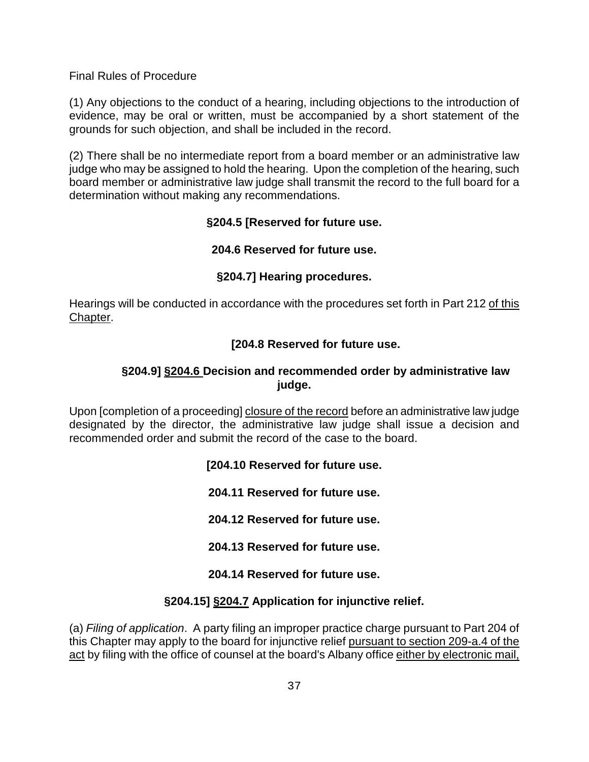(1) Any objections to the conduct of a hearing, including objections to the introduction of evidence, may be oral or written, must be accompanied by a short statement of the grounds for such objection, and shall be included in the record.

(2) There shall be no intermediate report from a board member or an administrative law judge who may be assigned to hold the hearing. Upon the completion of the hearing, such board member or administrative law judge shall transmit the record to the full board for a determination without making any recommendations.

### **§204.5 [Reserved for future use.**

### **204.6 Reserved for future use.**

### **§204.7] Hearing procedures.**

Hearings will be conducted in accordance with the procedures set forth in Part 212 of this Chapter.

### **[204.8 Reserved for future use.**

### **§204.9] §204.6 Decision and recommended order by administrative law judge.**

Upon [completion of a proceeding] closure of the record before an administrative law judge designated by the director, the administrative law judge shall issue a decision and recommended order and submit the record of the case to the board.

### **[204.10 Reserved for future use.**

**204.11 Reserved for future use.** 

**204.12 Reserved for future use.** 

**204.13 Reserved for future use.** 

### **204.14 Reserved for future use.**

### **§204.15] §204.7 Application for injunctive relief.**

(a) *Filing of application*. A party filing an improper practice charge pursuant to Part 204 of this Chapter may apply to the board for injunctive relief pursuant to section 209-a.4 of the act by filing with the office of counsel at the board's Albany office either by electronic mail,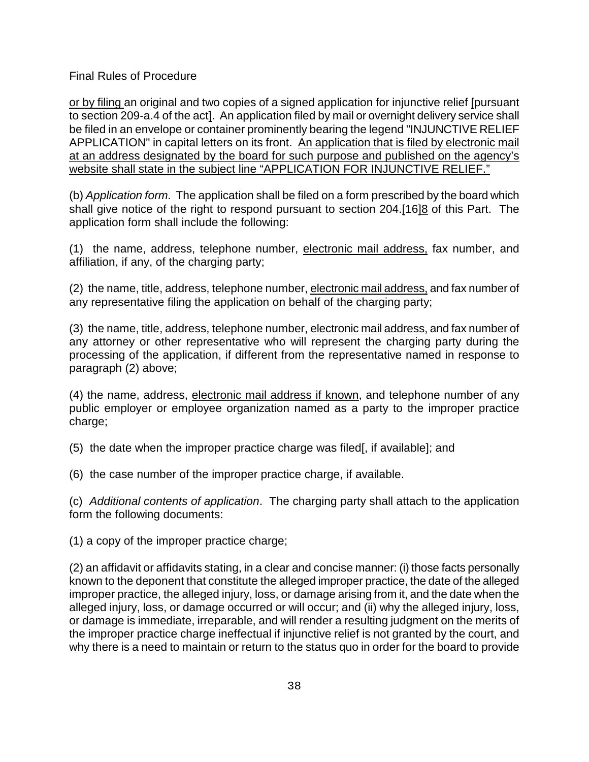or by filing an original and two copies of a signed application for injunctive relief [pursuant to section 209-a.4 of the act]. An application filed by mail or overnight delivery service shall be filed in an envelope or container prominently bearing the legend "INJUNCTIVE RELIEF APPLICATION" in capital letters on its front. An application that is filed by electronic mail at an address designated by the board for such purpose and published on the agency's website shall state in the subject line "APPLICATION FOR INJUNCTIVE RELIEF."

(b) *Application form*. The application shall be filed on a form prescribed by the board which shall give notice of the right to respond pursuant to section 204.[16]8 of this Part. The application form shall include the following:

(1) the name, address, telephone number, electronic mail address, fax number, and affiliation, if any, of the charging party;

(2) the name, title, address, telephone number, electronic mail address, and fax number of any representative filing the application on behalf of the charging party;

(3) the name, title, address, telephone number, electronic mail address, and fax number of any attorney or other representative who will represent the charging party during the processing of the application, if different from the representative named in response to paragraph (2) above;

(4) the name, address, electronic mail address if known, and telephone number of any public employer or employee organization named as a party to the improper practice charge;

(5) the date when the improper practice charge was filed[, if available]; and

(6) the case number of the improper practice charge, if available.

(c) *Additional contents of application*. The charging party shall attach to the application form the following documents:

(1) a copy of the improper practice charge;

(2) an affidavit or affidavits stating, in a clear and concise manner: (i) those facts personally known to the deponent that constitute the alleged improper practice, the date of the alleged improper practice, the alleged injury, loss, or damage arising from it, and the date when the alleged injury, loss, or damage occurred or will occur; and (ii) why the alleged injury, loss, or damage is immediate, irreparable, and will render a resulting judgment on the merits of the improper practice charge ineffectual if injunctive relief is not granted by the court, and why there is a need to maintain or return to the status quo in order for the board to provide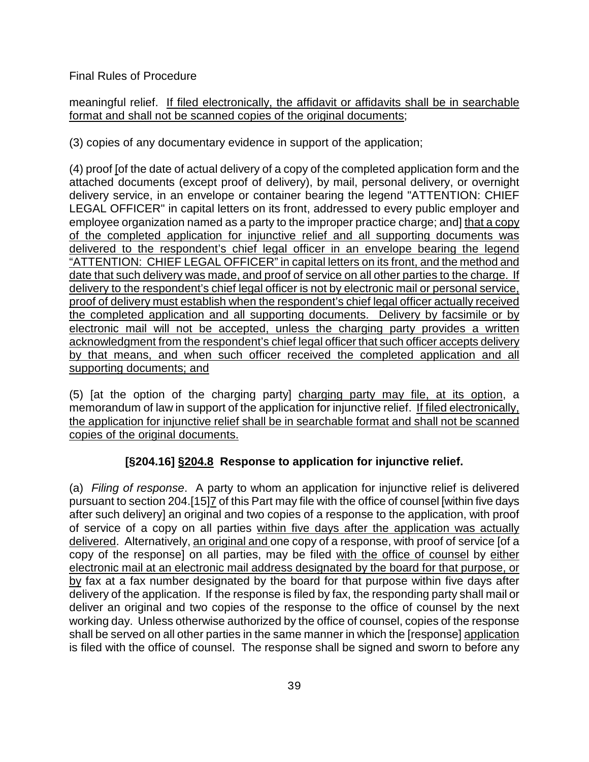meaningful relief. If filed electronically, the affidavit or affidavits shall be in searchable format and shall not be scanned copies of the original documents;

(3) copies of any documentary evidence in support of the application;

(4) proof [of the date of actual delivery of a copy of the completed application form and the attached documents (except proof of delivery), by mail, personal delivery, or overnight delivery service, in an envelope or container bearing the legend "ATTENTION: CHIEF LEGAL OFFICER" in capital letters on its front, addressed to every public employer and employee organization named as a party to the improper practice charge; and] that a copy of the completed application for injunctive relief and all supporting documents was delivered to the respondent's chief legal officer in an envelope bearing the legend "ATTENTION: CHIEF LEGAL OFFICER" in capital letters on its front, and the method and date that such delivery was made, and proof of service on all other parties to the charge. If delivery to the respondent's chief legal officer is not by electronic mail or personal service, proof of delivery must establish when the respondent's chief legal officer actually received the completed application and all supporting documents. Delivery by facsimile or by electronic mail will not be accepted, unless the charging party provides a written acknowledgment from the respondent's chief legal officer that such officer accepts delivery by that means, and when such officer received the completed application and all supporting documents; and

(5) [at the option of the charging party] charging party may file, at its option, a memorandum of law in support of the application for injunctive relief. If filed electronically, the application for injunctive relief shall be in searchable format and shall not be scanned copies of the original documents.

# **[§204.16] §204.8 Response to application for injunctive relief.**

(a) *Filing of response*. A party to whom an application for injunctive relief is delivered pursuant to section 204.[15]7 of this Part may file with the office of counsel [within five days after such delivery] an original and two copies of a response to the application, with proof of service of a copy on all parties within five days after the application was actually delivered. Alternatively, an original and one copy of a response, with proof of service [of a copy of the response] on all parties, may be filed with the office of counsel by either electronic mail at an electronic mail address designated by the board for that purpose, or by fax at a fax number designated by the board for that purpose within five days after delivery of the application. If the response is filed by fax, the responding party shall mail or deliver an original and two copies of the response to the office of counsel by the next working day. Unless otherwise authorized by the office of counsel, copies of the response shall be served on all other parties in the same manner in which the [response] application is filed with the office of counsel. The response shall be signed and sworn to before any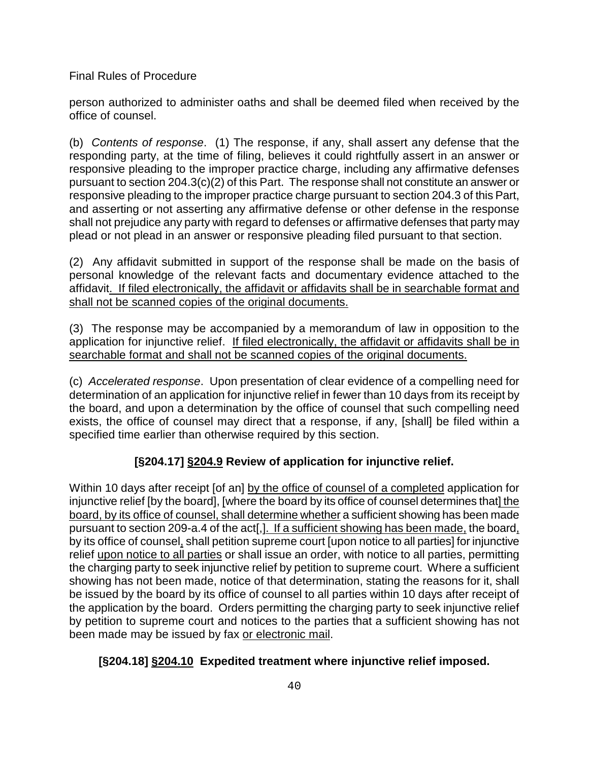person authorized to administer oaths and shall be deemed filed when received by the office of counsel.

(b) *Contents of response*. (1) The response, if any, shall assert any defense that the responding party, at the time of filing, believes it could rightfully assert in an answer or responsive pleading to the improper practice charge, including any affirmative defenses pursuant to section 204.3(c)(2) of this Part. The response shall not constitute an answer or responsive pleading to the improper practice charge pursuant to section 204.3 of this Part, and asserting or not asserting any affirmative defense or other defense in the response shall not prejudice any party with regard to defenses or affirmative defenses that party may plead or not plead in an answer or responsive pleading filed pursuant to that section.

(2) Any affidavit submitted in support of the response shall be made on the basis of personal knowledge of the relevant facts and documentary evidence attached to the affidavit. If filed electronically, the affidavit or affidavits shall be in searchable format and shall not be scanned copies of the original documents.

(3) The response may be accompanied by a memorandum of law in opposition to the application for injunctive relief. If filed electronically, the affidavit or affidavits shall be in searchable format and shall not be scanned copies of the original documents.

(c) *Accelerated response*. Upon presentation of clear evidence of a compelling need for determination of an application for injunctive relief in fewer than 10 days from its receipt by the board, and upon a determination by the office of counsel that such compelling need exists, the office of counsel may direct that a response, if any, [shall] be filed within a specified time earlier than otherwise required by this section.

# **[§204.17] §204.9 Review of application for injunctive relief.**

Within 10 days after receipt [of an] by the office of counsel of a completed application for injunctive relief [by the board], [where the board by its office of counsel determines that] the board, by its office of counsel, shall determine whether a sufficient showing has been made pursuant to section 209-a.4 of the act[,]. If a sufficient showing has been made, the board, by its office of counsel, shall petition supreme court [upon notice to all parties] for injunctive relief upon notice to all parties or shall issue an order, with notice to all parties, permitting the charging party to seek injunctive relief by petition to supreme court. Where a sufficient showing has not been made, notice of that determination, stating the reasons for it, shall be issued by the board by its office of counsel to all parties within 10 days after receipt of the application by the board. Orders permitting the charging party to seek injunctive relief by petition to supreme court and notices to the parties that a sufficient showing has not been made may be issued by fax or electronic mail.

# **[§204.18] §204.10 Expedited treatment where injunctive relief imposed.**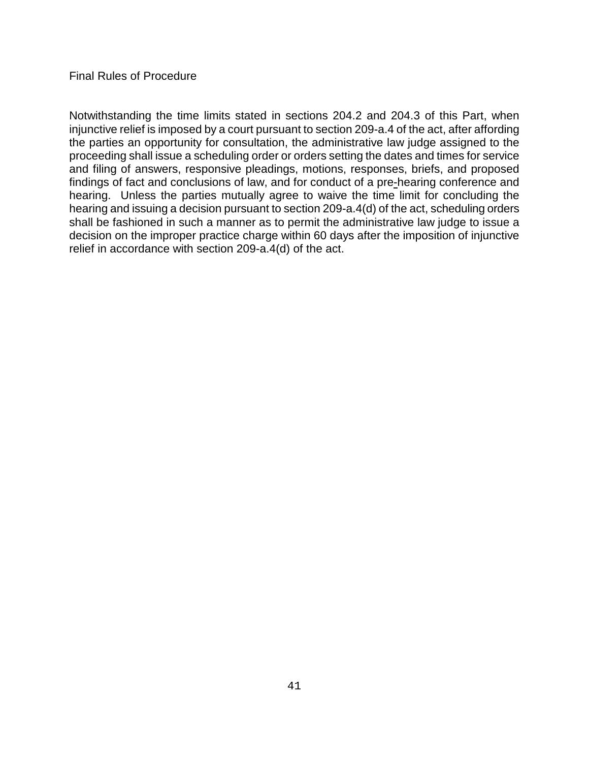Notwithstanding the time limits stated in sections 204.2 and 204.3 of this Part, when injunctive relief is imposed by a court pursuant to section 209-a.4 of the act, after affording the parties an opportunity for consultation, the administrative law judge assigned to the proceeding shall issue a scheduling order or orders setting the dates and times for service and filing of answers, responsive pleadings, motions, responses, briefs, and proposed findings of fact and conclusions of law, and for conduct of a pre-hearing conference and hearing. Unless the parties mutually agree to waive the time limit for concluding the hearing and issuing a decision pursuant to section 209-a.4(d) of the act, scheduling orders shall be fashioned in such a manner as to permit the administrative law judge to issue a decision on the improper practice charge within 60 days after the imposition of injunctive relief in accordance with section 209-a.4(d) of the act.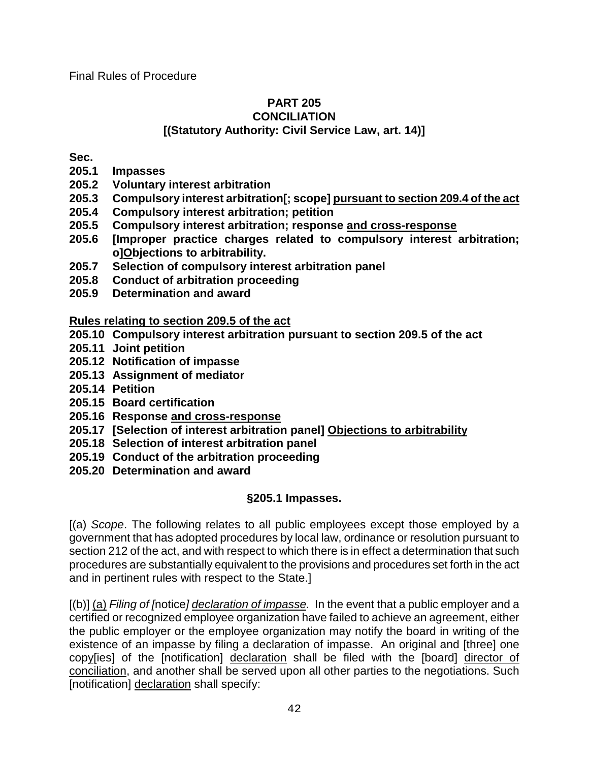#### **PART 205 CONCILIATION [(Statutory Authority: Civil Service Law, art. 14)]**

**Sec.**

- **205.1 Impasses**
- **205.2 Voluntary interest arbitration**
- **205.3 Compulsory interest arbitration[; scope] pursuant to section 209.4 of the act**
- **205.4 Compulsory interest arbitration; petition**
- **205.5 Compulsory interest arbitration; response and cross-response**
- **205.6 [Improper practice charges related to compulsory interest arbitration; o]Objections to arbitrability.**
- **205.7 Selection of compulsory interest arbitration panel**
- **205.8 Conduct of arbitration proceeding**
- **205.9 Determination and award**

**Rules relating to section 209.5 of the act**

- **205.10 Compulsory interest arbitration pursuant to section 209.5 of the act**
- **205.11 Joint petition**
- **205.12 Notification of impasse**
- **205.13 Assignment of mediator**
- **205.14 Petition**
- **205.15 Board certification**
- **205.16 Response and cross-response**
- **205.17 [Selection of interest arbitration panel] Objections to arbitrability**
- **205.18 Selection of interest arbitration panel**
- **205.19 Conduct of the arbitration proceeding**
- **205.20 Determination and award**

# **§205.1 Impasses.**

[(a) *Scope*. The following relates to all public employees except those employed by a government that has adopted procedures by local law, ordinance or resolution pursuant to section 212 of the act, and with respect to which there is in effect a determination that such procedures are substantially equivalent to the provisions and procedures set forth in the act and in pertinent rules with respect to the State.]

[(b)] (a) *Filing of [*notice*] declaration of impasse.*In the event that a public employer and a certified or recognized employee organization have failed to achieve an agreement, either the public employer or the employee organization may notify the board in writing of the existence of an impasse by filing a declaration of impasse. An original and [three] one copy[ies] of the [notification] declaration shall be filed with the [board] director of conciliation, and another shall be served upon all other parties to the negotiations. Such [notification] declaration shall specify: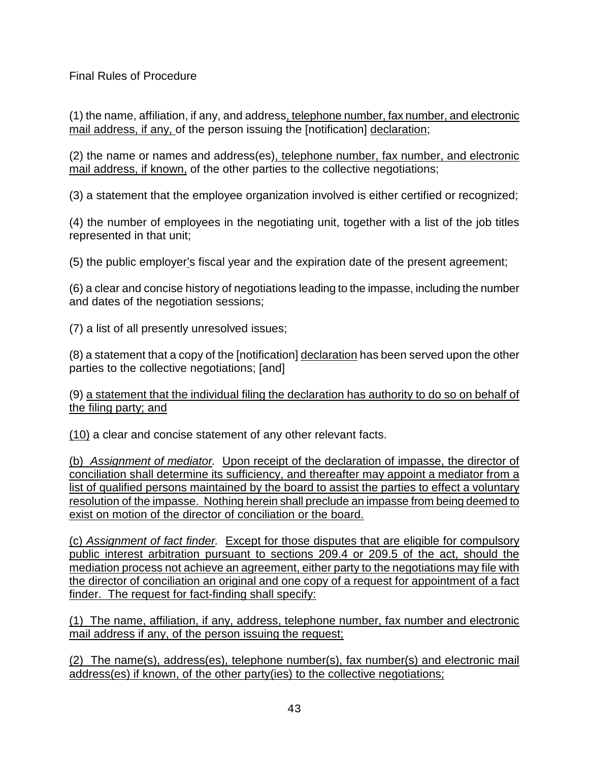(1) the name, affiliation, if any, and address, telephone number, fax number, and electronic mail address, if any, of the person issuing the [notification] declaration;

(2) the name or names and address(es), telephone number, fax number, and electronic mail address, if known, of the other parties to the collective negotiations;

(3) a statement that the employee organization involved is either certified or recognized;

(4) the number of employees in the negotiating unit, together with a list of the job titles represented in that unit;

(5) the public employer's fiscal year and the expiration date of the present agreement;

(6) a clear and concise history of negotiations leading to the impasse, including the number and dates of the negotiation sessions;

(7) a list of all presently unresolved issues;

(8) a statement that a copy of the [notification] declaration has been served upon the other parties to the collective negotiations; [and]

(9) a statement that the individual filing the declaration has authority to do so on behalf of the filing party; and

(10) a clear and concise statement of any other relevant facts.

(b) *Assignment of mediator.*Upon receipt of the declaration of impasse, the director of conciliation shall determine its sufficiency, and thereafter may appoint a mediator from a list of qualified persons maintained by the board to assist the parties to effect a voluntary resolution of the impasse. Nothing herein shall preclude an impasse from being deemed to exist on motion of the director of conciliation or the board.

(c) *Assignment of fact finder.*Except for those disputes that are eligible for compulsory public interest arbitration pursuant to sections 209.4 or 209.5 of the act, should the mediation process not achieve an agreement, either party to the negotiations may file with the director of conciliation an original and one copy of a request for appointment of a fact finder. The request for fact-finding shall specify:

(1) The name, affiliation, if any, address, telephone number, fax number and electronic mail address if any, of the person issuing the request;

(2) The name(s), address(es), telephone number(s), fax number(s) and electronic mail address(es) if known, of the other party(ies) to the collective negotiations;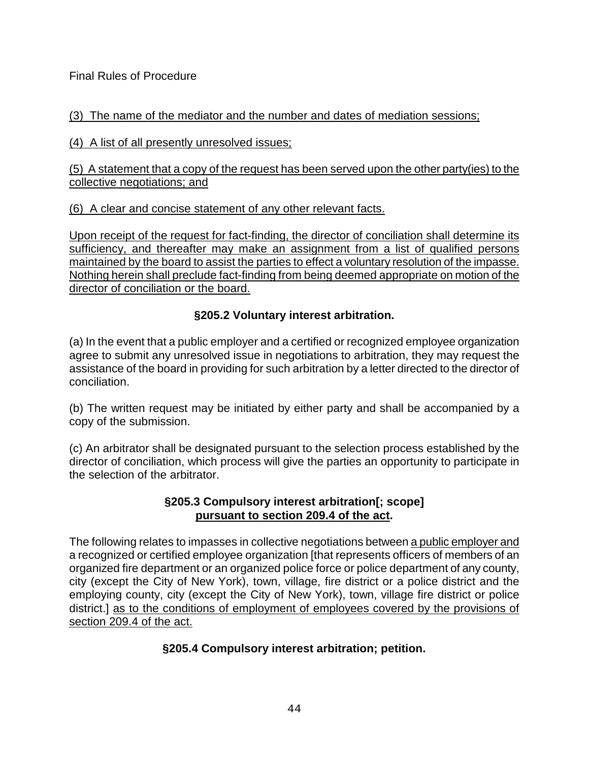# (3) The name of the mediator and the number and dates of mediation sessions;

(4) A list of all presently unresolved issues;

(5) A statement that a copy of the request has been served upon the other party(ies) to the collective negotiations; and

(6) A clear and concise statement of any other relevant facts.

Upon receipt of the request for fact-finding, the director of conciliation shall determine its sufficiency, and thereafter may make an assignment from a list of qualified persons maintained by the board to assist the parties to effect a voluntary resolution of the impasse. Nothing herein shall preclude fact-finding from being deemed appropriate on motion of the director of conciliation or the board.

# **§205.2 Voluntary interest arbitration.**

(a) In the event that a public employer and a certified or recognized employee organization agree to submit any unresolved issue in negotiations to arbitration, they may request the assistance of the board in providing for such arbitration by a letter directed to the director of conciliation.

(b) The written request may be initiated by either party and shall be accompanied by a copy of the submission.

(c) An arbitrator shall be designated pursuant to the selection process established by the director of conciliation, which process will give the parties an opportunity to participate in the selection of the arbitrator.

# **§205.3 Compulsory interest arbitration[; scope] pursuant to section 209.4 of the act.**

The following relates to impasses in collective negotiations between a public employer and a recognized or certified employee organization [that represents officers of members of an organized fire department or an organized police force or police department of any county, city (except the City of New York), town, village, fire district or a police district and the employing county, city (except the City of New York), town, village fire district or police district.] as to the conditions of employment of employees covered by the provisions of section 209.4 of the act.

# **§205.4 Compulsory interest arbitration; petition.**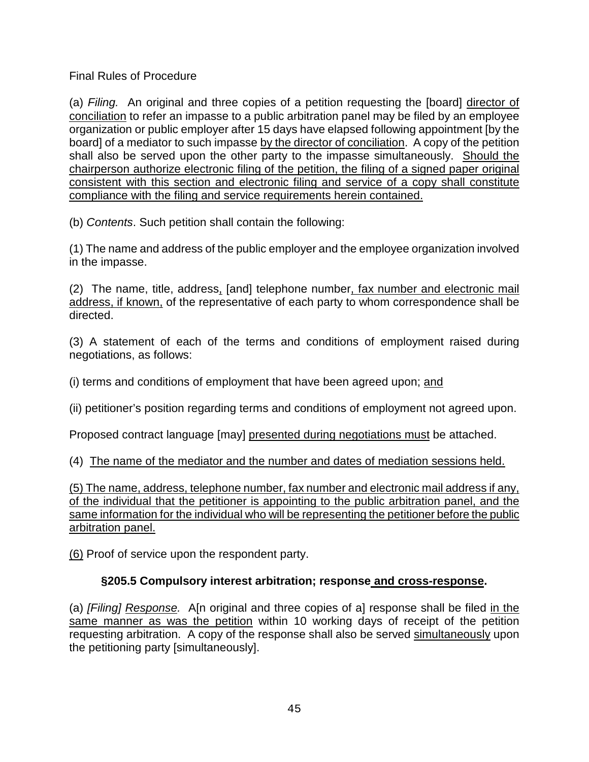(a) *Filing.*An original and three copies of a petition requesting the [board] director of conciliation to refer an impasse to a public arbitration panel may be filed by an employee organization or public employer after 15 days have elapsed following appointment [by the board] of a mediator to such impasse by the director of conciliation. A copy of the petition shall also be served upon the other party to the impasse simultaneously. Should the chairperson authorize electronic filing of the petition, the filing of a signed paper original consistent with this section and electronic filing and service of a copy shall constitute compliance with the filing and service requirements herein contained.

(b) *Contents*. Such petition shall contain the following:

(1) The name and address of the public employer and the employee organization involved in the impasse.

(2)The name, title, address, [and] telephone number, fax number and electronic mail address, if known, of the representative of each party to whom correspondence shall be directed.

(3) A statement of each of the terms and conditions of employment raised during negotiations, as follows:

(i) terms and conditions of employment that have been agreed upon; and

(ii) petitioner's position regarding terms and conditions of employment not agreed upon.

Proposed contract language [may] presented during negotiations must be attached.

(4) The name of the mediator and the number and dates of mediation sessions held.

(5) The name, address, telephone number, fax number and electronic mail address if any, of the individual that the petitioner is appointing to the public arbitration panel, and the same information for the individual who will be representing the petitioner before the public arbitration panel.

(6) Proof of service upon the respondent party.

# **§205.5 Compulsory interest arbitration; response and cross-response.**

(a) *[Filing] Response.*A[n original and three copies of a] response shall be filed in the same manner as was the petition within 10 working days of receipt of the petition requesting arbitration. A copy of the response shall also be served simultaneously upon the petitioning party [simultaneously].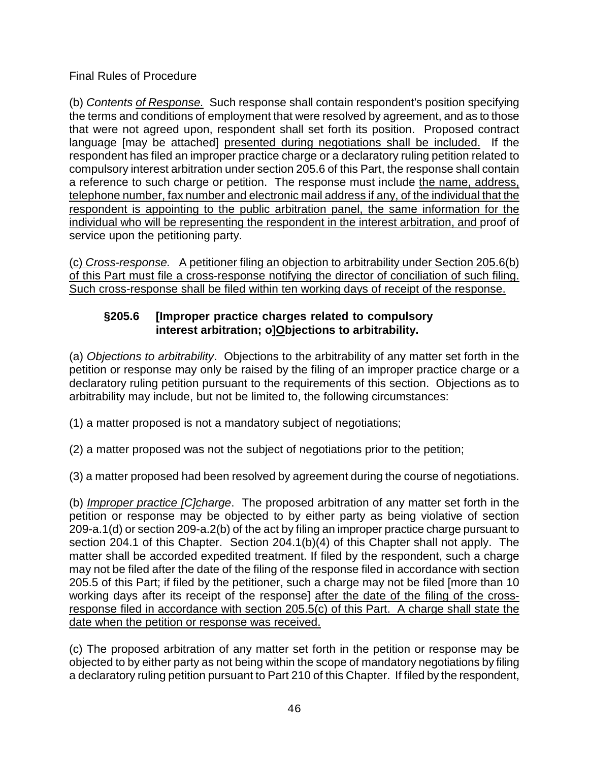(b) *Contents of Response.* Such response shall contain respondent's position specifying the terms and conditions of employment that were resolved by agreement, and as to those that were not agreed upon, respondent shall set forth its position. Proposed contract language [may be attached] presented during negotiations shall be included. If the respondent has filed an improper practice charge or a declaratory ruling petition related to compulsory interest arbitration under section 205.6 of this Part, the response shall contain a reference to such charge or petition. The response must include the name, address, telephone number, fax number and electronic mail address if any, of the individual that the respondent is appointing to the public arbitration panel, the same information for the individual who will be representing the respondent in the interest arbitration, and proof of service upon the petitioning party.

(c) *Cross-response.* A petitioner filing an objection to arbitrability under Section 205.6(b) of this Part must file a cross-response notifying the director of conciliation of such filing. Such cross-response shall be filed within ten working days of receipt of the response.

# **§205.6 [Improper practice charges related to compulsory interest arbitration; o]Objections to arbitrability.**

(a) *Objections to arbitrability*. Objections to the arbitrability of any matter set forth in the petition or response may only be raised by the filing of an improper practice charge or a declaratory ruling petition pursuant to the requirements of this section. Objections as to arbitrability may include, but not be limited to, the following circumstances:

(1) a matter proposed is not a mandatory subject of negotiations;

(2) a matter proposed was not the subject of negotiations prior to the petition;

(3) a matter proposed had been resolved by agreement during the course of negotiations.

(b) *Improper practice [C]charge*. The proposed arbitration of any matter set forth in the petition or response may be objected to by either party as being violative of section 209-a.1(d) or section 209-a.2(b) of the act by filing an improper practice charge pursuant to section 204.1 of this Chapter. Section 204.1(b)(4) of this Chapter shall not apply. The matter shall be accorded expedited treatment. If filed by the respondent, such a charge may not be filed after the date of the filing of the response filed in accordance with section 205.5 of this Part; if filed by the petitioner, such a charge may not be filed [more than 10 working days after its receipt of the response] after the date of the filing of the crossresponse filed in accordance with section  $205.5(c)$  of this Part. A charge shall state the date when the petition or response was received.

(c) The proposed arbitration of any matter set forth in the petition or response may be objected to by either party as not being within the scope of mandatory negotiations by filing a declaratory ruling petition pursuant to Part 210 of this Chapter. If filed by the respondent,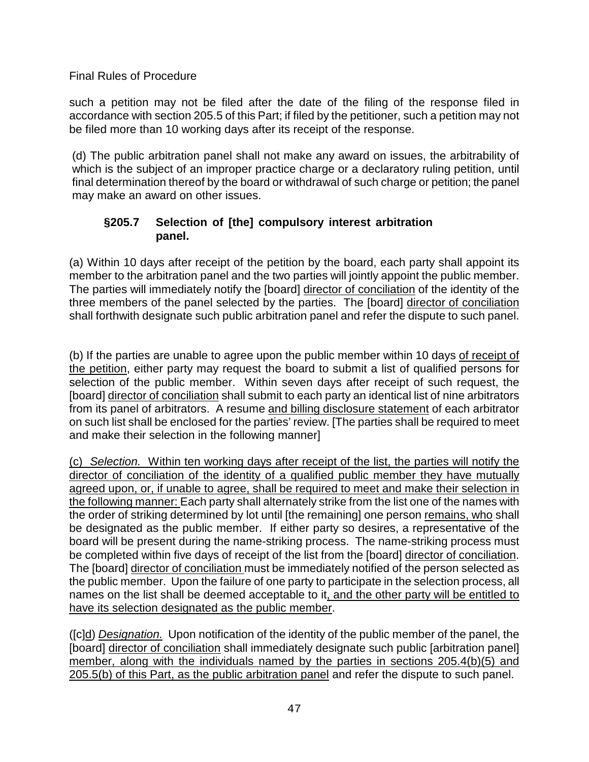such a petition may not be filed after the date of the filing of the response filed in accordance with section 205.5 of this Part; if filed by the petitioner, such a petition may not be filed more than 10 working days after its receipt of the response.

(d) The public arbitration panel shall not make any award on issues, the arbitrability of which is the subject of an improper practice charge or a declaratory ruling petition, until final determination thereof by the board or withdrawal of such charge or petition; the panel may make an award on other issues.

# **§205.7 Selection of [the] compulsory interest arbitration panel.**

(a) Within 10 days after receipt of the petition by the board, each party shall appoint its member to the arbitration panel and the two parties will jointly appoint the public member. The parties will immediately notify the [board] director of conciliation of the identity of the three members of the panel selected by the parties. The [board] director of conciliation shall forthwith designate such public arbitration panel and refer the dispute to such panel.

(b) If the parties are unable to agree upon the public member within 10 days of receipt of the petition, either party may request the board to submit a list of qualified persons for selection of the public member. Within seven days after receipt of such request, the [board] director of conciliation shall submit to each party an identical list of nine arbitrators from its panel of arbitrators. A resume and billing disclosure statement of each arbitrator on such list shall be enclosed for the parties' review. [The parties shall be required to meet and make their selection in the following manner]

(c) *Selection.* Within ten working days after receipt of the list, the parties will notify the director of conciliation of the identity of a qualified public member they have mutually agreed upon, or, if unable to agree, shall be required to meet and make their selection in the following manner: Each party shall alternately strike from the list one of the names with the order of striking determined by lot until [the remaining] one person remains, who shall be designated as the public member. If either party so desires, a representative of the board will be present during the name-striking process. The name-striking process must be completed within five days of receipt of the list from the [board] director of conciliation. The [board] director of conciliation must be immediately notified of the person selected as the public member. Upon the failure of one party to participate in the selection process, all names on the list shall be deemed acceptable to it, and the other party will be entitled to have its selection designated as the public member.

([c]d) *Designation.* Upon notification of the identity of the public member of the panel, the [board] director of conciliation shall immediately designate such public [arbitration panel] member, along with the individuals named by the parties in sections 205.4(b)(5) and 205.5(b) of this Part, as the public arbitration panel and refer the dispute to such panel.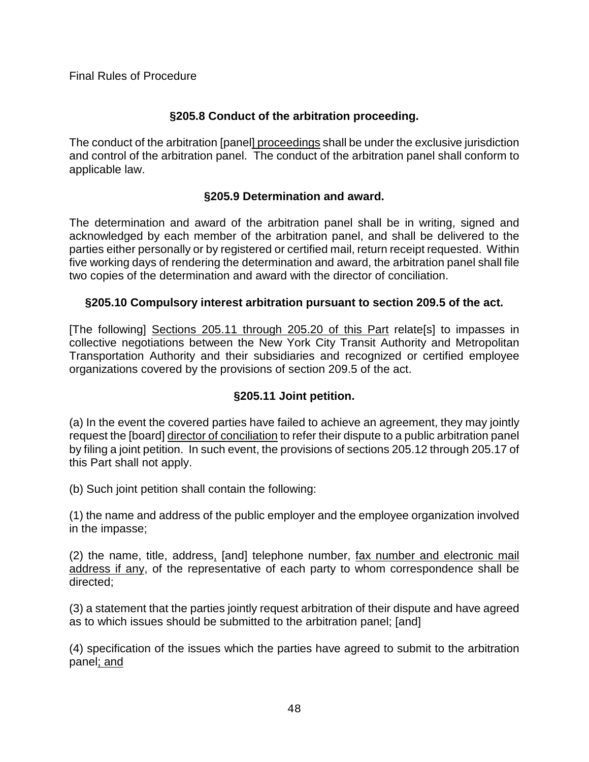# **§205.8 Conduct of the arbitration proceeding.**

The conduct of the arbitration [panel] proceedings shall be under the exclusive jurisdiction and control of the arbitration panel. The conduct of the arbitration panel shall conform to applicable law.

## **§205.9 Determination and award.**

The determination and award of the arbitration panel shall be in writing, signed and acknowledged by each member of the arbitration panel, and shall be delivered to the parties either personally or by registered or certified mail, return receipt requested. Within five working days of rendering the determination and award, the arbitration panel shall file two copies of the determination and award with the director of conciliation.

## **§205.10 Compulsory interest arbitration pursuant to section 209.5 of the act.**

[The following] Sections 205.11 through 205.20 of this Part relate[s] to impasses in collective negotiations between the New York City Transit Authority and Metropolitan Transportation Authority and their subsidiaries and recognized or certified employee organizations covered by the provisions of section 209.5 of the act.

# **§205.11 Joint petition.**

(a) In the event the covered parties have failed to achieve an agreement, they may jointly request the [board] director of conciliation to refer their dispute to a public arbitration panel by filing a joint petition. In such event, the provisions of sections 205.12 through 205.17 of this Part shall not apply.

(b) Such joint petition shall contain the following:

(1) the name and address of the public employer and the employee organization involved in the impasse;

(2) the name, title, address, [and] telephone number, fax number and electronic mail address if any, of the representative of each party to whom correspondence shall be directed;

(3) a statement that the parties jointly request arbitration of their dispute and have agreed as to which issues should be submitted to the arbitration panel; [and]

(4) specification of the issues which the parties have agreed to submit to the arbitration panel; and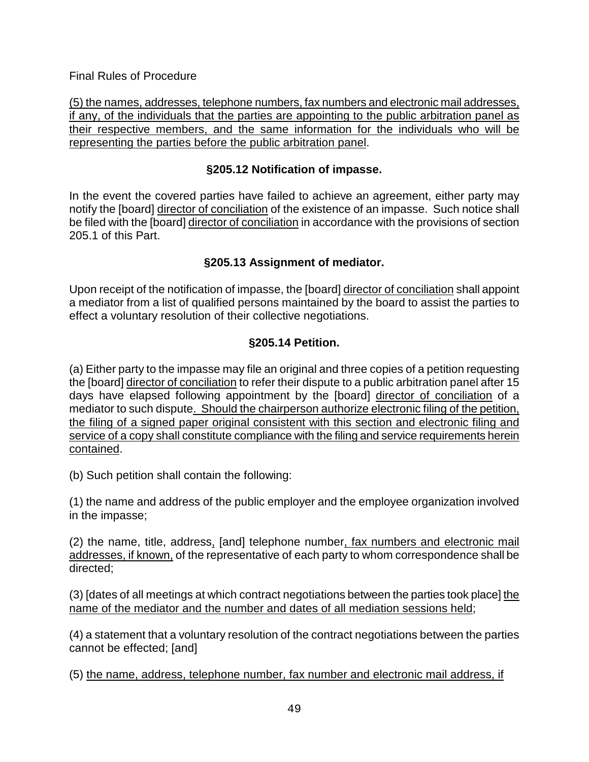(5) the names, addresses, telephone numbers, fax numbers and electronic mail addresses, if any, of the individuals that the parties are appointing to the public arbitration panel as their respective members, and the same information for the individuals who will be representing the parties before the public arbitration panel.

# **§205.12 Notification of impasse.**

In the event the covered parties have failed to achieve an agreement, either party may notify the [board] director of conciliation of the existence of an impasse. Such notice shall be filed with the [board] director of conciliation in accordance with the provisions of section 205.1 of this Part.

# **§205.13 Assignment of mediator.**

Upon receipt of the notification of impasse, the [board] director of conciliation shall appoint a mediator from a list of qualified persons maintained by the board to assist the parties to effect a voluntary resolution of their collective negotiations.

# **§205.14 Petition.**

(a) Either party to the impasse may file an original and three copies of a petition requesting the [board] director of conciliation to refer their dispute to a public arbitration panel after 15 days have elapsed following appointment by the [board] director of conciliation of a mediator to such dispute. Should the chairperson authorize electronic filing of the petition, the filing of a signed paper original consistent with this section and electronic filing and service of a copy shall constitute compliance with the filing and service requirements herein contained.

(b) Such petition shall contain the following:

(1) the name and address of the public employer and the employee organization involved in the impasse;

(2) the name, title, address, [and] telephone number, fax numbers and electronic mail addresses, if known, of the representative of each party to whom correspondence shall be directed;

(3) [dates of all meetings at which contract negotiations between the parties took place] the name of the mediator and the number and dates of all mediation sessions held;

(4) a statement that a voluntary resolution of the contract negotiations between the parties cannot be effected; [and]

(5) the name, address, telephone number, fax number and electronic mail address, if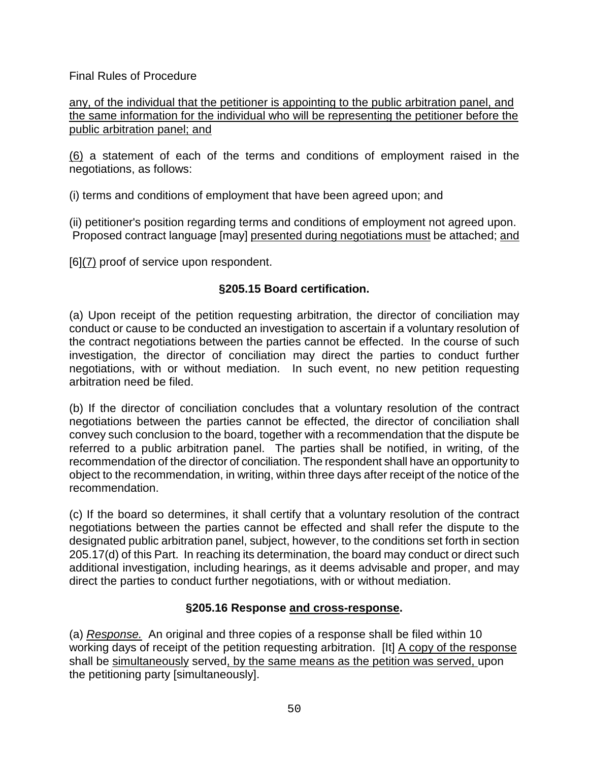any, of the individual that the petitioner is appointing to the public arbitration panel, and the same information for the individual who will be representing the petitioner before the public arbitration panel; and

(6) a statement of each of the terms and conditions of employment raised in the negotiations, as follows:

(i) terms and conditions of employment that have been agreed upon; and

(ii) petitioner's position regarding terms and conditions of employment not agreed upon. Proposed contract language [may] presented during negotiations must be attached; and

[6](7) proof of service upon respondent.

# **§205.15 Board certification.**

(a) Upon receipt of the petition requesting arbitration, the director of conciliation may conduct or cause to be conducted an investigation to ascertain if a voluntary resolution of the contract negotiations between the parties cannot be effected. In the course of such investigation, the director of conciliation may direct the parties to conduct further negotiations, with or without mediation. In such event, no new petition requesting arbitration need be filed.

(b) If the director of conciliation concludes that a voluntary resolution of the contract negotiations between the parties cannot be effected, the director of conciliation shall convey such conclusion to the board, together with a recommendation that the dispute be referred to a public arbitration panel. The parties shall be notified, in writing, of the recommendation of the director of conciliation. The respondent shall have an opportunity to object to the recommendation, in writing, within three days after receipt of the notice of the recommendation.

(c) If the board so determines, it shall certify that a voluntary resolution of the contract negotiations between the parties cannot be effected and shall refer the dispute to the designated public arbitration panel, subject, however, to the conditions set forth in section 205.17(d) of this Part. In reaching its determination, the board may conduct or direct such additional investigation, including hearings, as it deems advisable and proper, and may direct the parties to conduct further negotiations, with or without mediation.

# **§205.16 Response and cross-response.**

(a) *Response.*An original and three copies of a response shall be filed within 10 working days of receipt of the petition requesting arbitration. [It] A copy of the response shall be simultaneously served, by the same means as the petition was served, upon the petitioning party [simultaneously].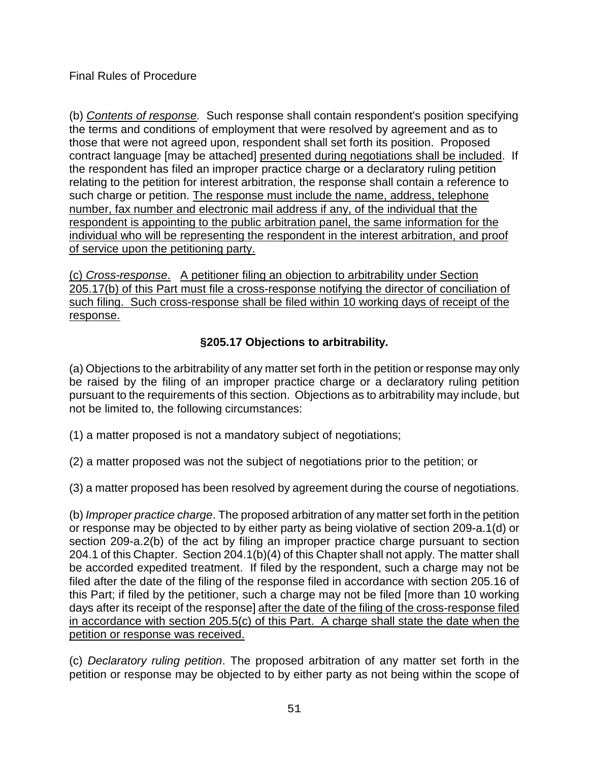(b) *Contents of response.* Such response shall contain respondent's position specifying the terms and conditions of employment that were resolved by agreement and as to those that were not agreed upon, respondent shall set forth its position. Proposed contract language [may be attached] presented during negotiations shall be included. If the respondent has filed an improper practice charge or a declaratory ruling petition relating to the petition for interest arbitration, the response shall contain a reference to such charge or petition. The response must include the name, address, telephone number, fax number and electronic mail address if any, of the individual that the respondent is appointing to the public arbitration panel, the same information for the individual who will be representing the respondent in the interest arbitration, and proof of service upon the petitioning party.

(c) *Cross-response*.A petitioner filing an objection to arbitrability under Section 205.17(b) of this Part must file a cross-response notifying the director of conciliation of such filing. Such cross-response shall be filed within 10 working days of receipt of the response.

# **§205.17 Objections to arbitrability.**

(a) Objections to the arbitrability of any matter set forth in the petition or response may only be raised by the filing of an improper practice charge or a declaratory ruling petition pursuant to the requirements of this section. Objections as to arbitrability may include, but not be limited to, the following circumstances:

(1) a matter proposed is not a mandatory subject of negotiations;

(2) a matter proposed was not the subject of negotiations prior to the petition; or

(3) a matter proposed has been resolved by agreement during the course of negotiations.

(b) *Improper practice charge*. The proposed arbitration of any matter set forth in the petition or response may be objected to by either party as being violative of section 209-a.1(d) or section 209-a.2(b) of the act by filing an improper practice charge pursuant to section 204.1 of this Chapter. Section 204.1(b)(4) of this Chapter shall not apply. The matter shall be accorded expedited treatment. If filed by the respondent, such a charge may not be filed after the date of the filing of the response filed in accordance with section 205.16 of this Part; if filed by the petitioner, such a charge may not be filed [more than 10 working days after its receipt of the response] after the date of the filing of the cross-response filed in accordance with section 205.5(c) of this Part. A charge shall state the date when the petition or response was received.

(c) *Declaratory ruling petition*. The proposed arbitration of any matter set forth in the petition or response may be objected to by either party as not being within the scope of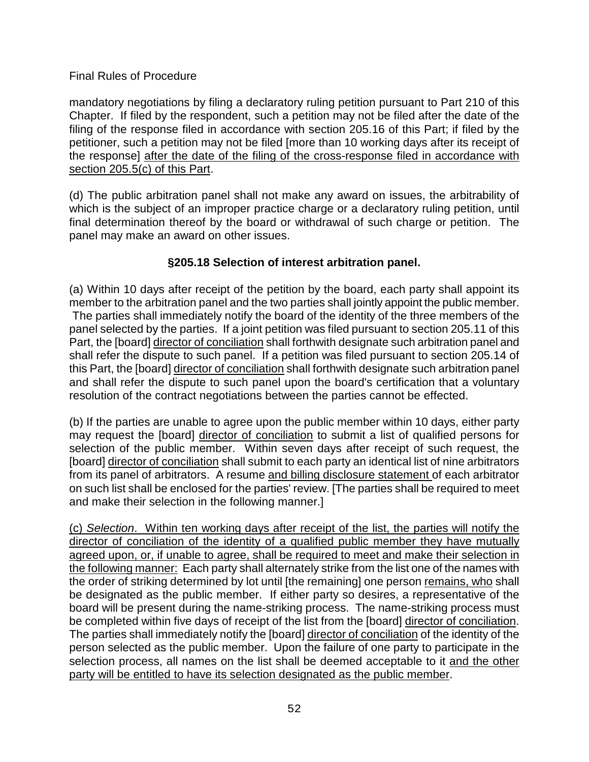mandatory negotiations by filing a declaratory ruling petition pursuant to Part 210 of this Chapter. If filed by the respondent, such a petition may not be filed after the date of the filing of the response filed in accordance with section 205.16 of this Part; if filed by the petitioner, such a petition may not be filed [more than 10 working days after its receipt of the response] after the date of the filing of the cross-response filed in accordance with section 205.5(c) of this Part.

(d) The public arbitration panel shall not make any award on issues, the arbitrability of which is the subject of an improper practice charge or a declaratory ruling petition, until final determination thereof by the board or withdrawal of such charge or petition. The panel may make an award on other issues.

# **§205.18 Selection of interest arbitration panel.**

(a) Within 10 days after receipt of the petition by the board, each party shall appoint its member to the arbitration panel and the two parties shall jointly appoint the public member. The parties shall immediately notify the board of the identity of the three members of the panel selected by the parties. If a joint petition was filed pursuant to section 205.11 of this Part, the [board] director of conciliation shall forthwith designate such arbitration panel and shall refer the dispute to such panel. If a petition was filed pursuant to section 205.14 of this Part, the [board] director of conciliation shall forthwith designate such arbitration panel and shall refer the dispute to such panel upon the board's certification that a voluntary resolution of the contract negotiations between the parties cannot be effected.

(b) If the parties are unable to agree upon the public member within 10 days, either party may request the [board] director of conciliation to submit a list of qualified persons for selection of the public member. Within seven days after receipt of such request, the [board] director of conciliation shall submit to each party an identical list of nine arbitrators from its panel of arbitrators. A resume and billing disclosure statement of each arbitrator on such list shall be enclosed for the parties' review. [The parties shall be required to meet and make their selection in the following manner.]

(c) *Selection*. Within ten working days after receipt of the list, the parties will notify the director of conciliation of the identity of a qualified public member they have mutually agreed upon, or, if unable to agree, shall be required to meet and make their selection in the following manner: Each party shall alternately strike from the list one of the names with the order of striking determined by lot until [the remaining] one person remains, who shall be designated as the public member. If either party so desires, a representative of the board will be present during the name-striking process. The name-striking process must be completed within five days of receipt of the list from the [board] director of conciliation. The parties shall immediately notify the [board] director of conciliation of the identity of the person selected as the public member. Upon the failure of one party to participate in the selection process, all names on the list shall be deemed acceptable to it and the other party will be entitled to have its selection designated as the public member.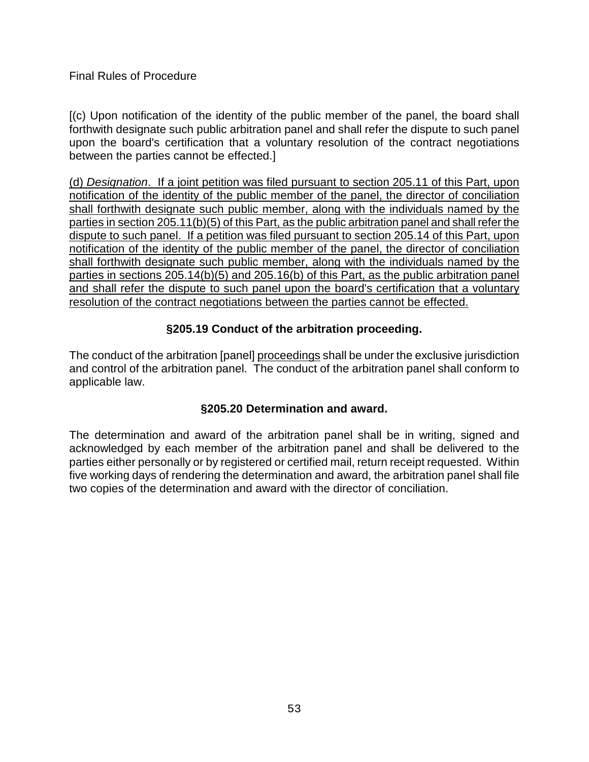[(c) Upon notification of the identity of the public member of the panel, the board shall forthwith designate such public arbitration panel and shall refer the dispute to such panel upon the board's certification that a voluntary resolution of the contract negotiations between the parties cannot be effected.]

(d) *Designation*. If a joint petition was filed pursuant to section 205.11 of this Part, upon notification of the identity of the public member of the panel, the director of conciliation shall forthwith designate such public member, along with the individuals named by the parties in section 205.11(b)(5) of this Part, as the public arbitration panel and shall refer the dispute to such panel. If a petition was filed pursuant to section 205.14 of this Part, upon notification of the identity of the public member of the panel, the director of conciliation shall forthwith designate such public member, along with the individuals named by the parties in sections 205.14(b)(5) and 205.16(b) of this Part, as the public arbitration panel and shall refer the dispute to such panel upon the board's certification that a voluntary resolution of the contract negotiations between the parties cannot be effected.

# **§205.19 Conduct of the arbitration proceeding.**

The conduct of the arbitration [panel] proceedings shall be under the exclusive jurisdiction and control of the arbitration panel. The conduct of the arbitration panel shall conform to applicable law.

# **§205.20 Determination and award.**

The determination and award of the arbitration panel shall be in writing, signed and acknowledged by each member of the arbitration panel and shall be delivered to the parties either personally or by registered or certified mail, return receipt requested. Within five working days of rendering the determination and award, the arbitration panel shall file two copies of the determination and award with the director of conciliation.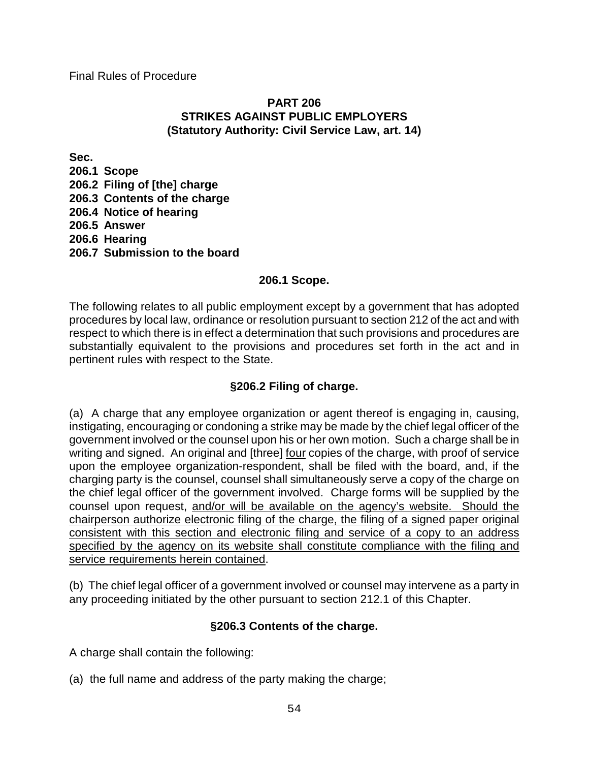### **PART 206 STRIKES AGAINST PUBLIC EMPLOYERS (Statutory Authority: Civil Service Law, art. 14)**

**Sec. 206.1 Scope 206.2 Filing of [the] charge 206.3 Contents of the charge 206.4 Notice of hearing 206.5 Answer 206.6 Hearing 206.7 Submission to the board**

## **206.1 Scope.**

The following relates to all public employment except by a government that has adopted procedures by local law, ordinance or resolution pursuant to section 212 of the act and with respect to which there is in effect a determination that such provisions and procedures are substantially equivalent to the provisions and procedures set forth in the act and in pertinent rules with respect to the State.

# **§206.2 Filing of charge.**

(a) A charge that any employee organization or agent thereof is engaging in, causing, instigating, encouraging or condoning a strike may be made by the chief legal officer of the government involved or the counsel upon his or her own motion. Such a charge shall be in writing and signed. An original and [three] four copies of the charge, with proof of service upon the employee organization-respondent, shall be filed with the board, and, if the charging party is the counsel, counsel shall simultaneously serve a copy of the charge on the chief legal officer of the government involved. Charge forms will be supplied by the counsel upon request, and/or will be available on the agency's website. Should the chairperson authorize electronic filing of the charge, the filing of a signed paper original consistent with this section and electronic filing and service of a copy to an address specified by the agency on its website shall constitute compliance with the filing and service requirements herein contained.

(b) The chief legal officer of a government involved or counsel may intervene as a party in any proceeding initiated by the other pursuant to section 212.1 of this Chapter.

# **§206.3 Contents of the charge.**

A charge shall contain the following:

(a) the full name and address of the party making the charge;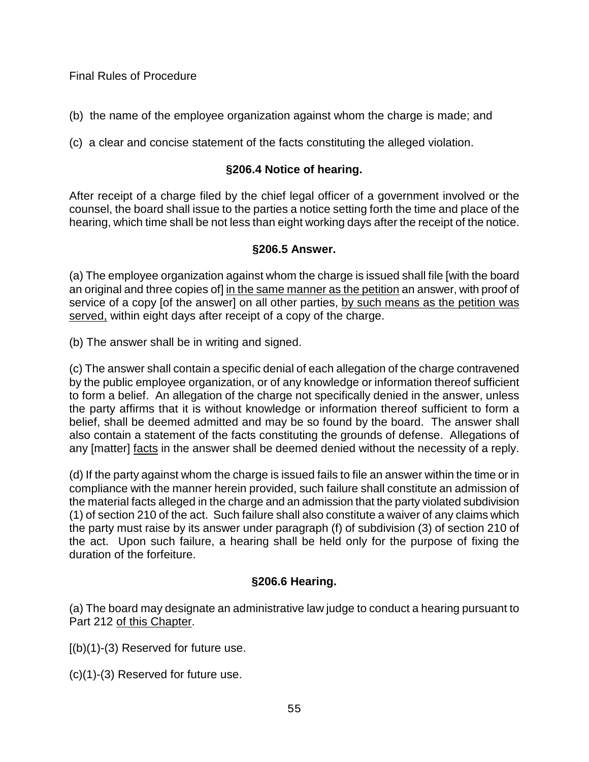(b) the name of the employee organization against whom the charge is made; and

(c) a clear and concise statement of the facts constituting the alleged violation.

# **§206.4 Notice of hearing.**

After receipt of a charge filed by the chief legal officer of a government involved or the counsel, the board shall issue to the parties a notice setting forth the time and place of the hearing, which time shall be not less than eight working days after the receipt of the notice.

# **§206.5 Answer.**

(a) The employee organization against whom the charge is issued shall file [with the board an original and three copies of] in the same manner as the petition an answer, with proof of service of a copy [of the answer] on all other parties, by such means as the petition was served, within eight days after receipt of a copy of the charge.

(b) The answer shall be in writing and signed.

(c) The answer shall contain a specific denial of each allegation of the charge contravened by the public employee organization, or of any knowledge or information thereof sufficient to form a belief. An allegation of the charge not specifically denied in the answer, unless the party affirms that it is without knowledge or information thereof sufficient to form a belief, shall be deemed admitted and may be so found by the board. The answer shall also contain a statement of the facts constituting the grounds of defense. Allegations of any [matter] facts in the answer shall be deemed denied without the necessity of a reply.

(d) If the party against whom the charge is issued fails to file an answer within the time or in compliance with the manner herein provided, such failure shall constitute an admission of the material facts alleged in the charge and an admission that the party violated subdivision (1) of section 210 of the act. Such failure shall also constitute a waiver of any claims which the party must raise by its answer under paragraph (f) of subdivision (3) of section 210 of the act. Upon such failure, a hearing shall be held only for the purpose of fixing the duration of the forfeiture.

# **§206.6 Hearing.**

(a) The board may designate an administrative law judge to conduct a hearing pursuant to Part 212 of this Chapter.

 $[(b)(1)-(3)$  Reserved for future use.

(c)(1)-(3) Reserved for future use.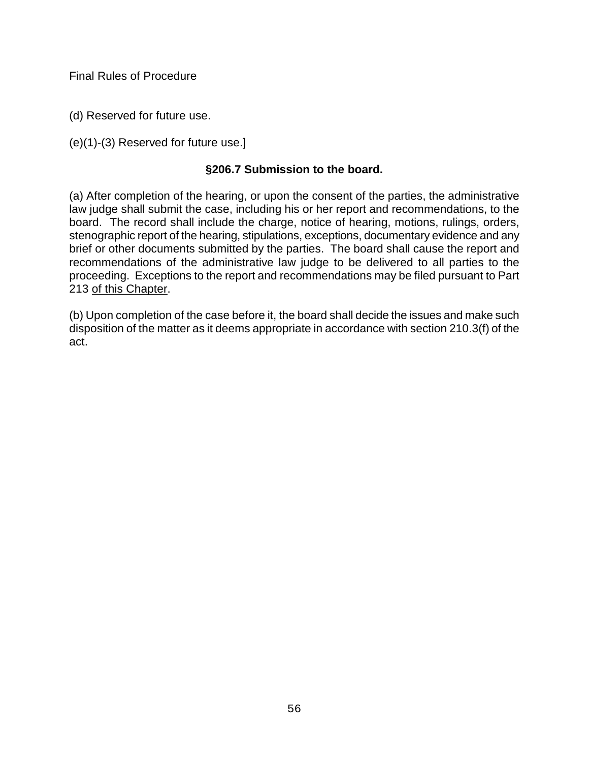(d) Reserved for future use.

(e)(1)-(3) Reserved for future use.]

## **§206.7 Submission to the board.**

(a) After completion of the hearing, or upon the consent of the parties, the administrative law judge shall submit the case, including his or her report and recommendations, to the board. The record shall include the charge, notice of hearing, motions, rulings, orders, stenographic report of the hearing, stipulations, exceptions, documentary evidence and any brief or other documents submitted by the parties. The board shall cause the report and recommendations of the administrative law judge to be delivered to all parties to the proceeding. Exceptions to the report and recommendations may be filed pursuant to Part 213 of this Chapter.

(b) Upon completion of the case before it, the board shall decide the issues and make such disposition of the matter as it deems appropriate in accordance with section 210.3(f) of the act.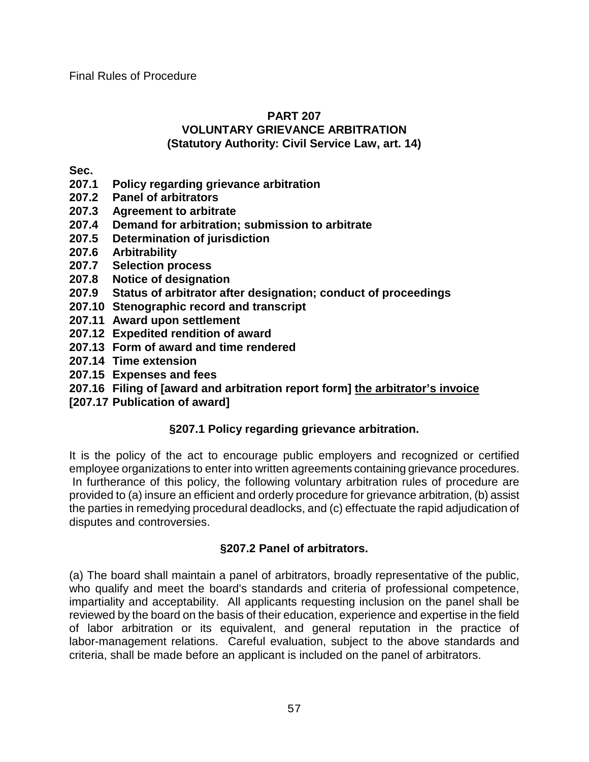#### **PART 207 VOLUNTARY GRIEVANCE ARBITRATION (Statutory Authority: Civil Service Law, art. 14)**

**Sec.**

- **207.1 Policy regarding grievance arbitration**
- **207.2 Panel of arbitrators**
- **207.3 Agreement to arbitrate**
- **207.4 Demand for arbitration; submission to arbitrate**
- **207.5 Determination of jurisdiction**
- **207.6 Arbitrability**
- **207.7 Selection process**
- **207.8 Notice of designation**
- **207.9 Status of arbitrator after designation; conduct of proceedings**
- **207.10 Stenographic record and transcript**
- **207.11 Award upon settlement**
- **207.12 Expedited rendition of award**
- **207.13 Form of award and time rendered**
- **207.14 Time extension**
- **207.15 Expenses and fees**
- **207.16 Filing of [award and arbitration report form] the arbitrator's invoice**
- **[207.17 Publication of award]**

# **§207.1 Policy regarding grievance arbitration.**

It is the policy of the act to encourage public employers and recognized or certified employee organizations to enter into written agreements containing grievance procedures. In furtherance of this policy, the following voluntary arbitration rules of procedure are provided to (a) insure an efficient and orderly procedure for grievance arbitration, (b) assist the parties in remedying procedural deadlocks, and (c) effectuate the rapid adjudication of disputes and controversies.

# **§207.2 Panel of arbitrators.**

(a) The board shall maintain a panel of arbitrators, broadly representative of the public, who qualify and meet the board's standards and criteria of professional competence, impartiality and acceptability. All applicants requesting inclusion on the panel shall be reviewed by the board on the basis of their education, experience and expertise in the field of labor arbitration or its equivalent, and general reputation in the practice of labor-management relations. Careful evaluation, subject to the above standards and criteria, shall be made before an applicant is included on the panel of arbitrators.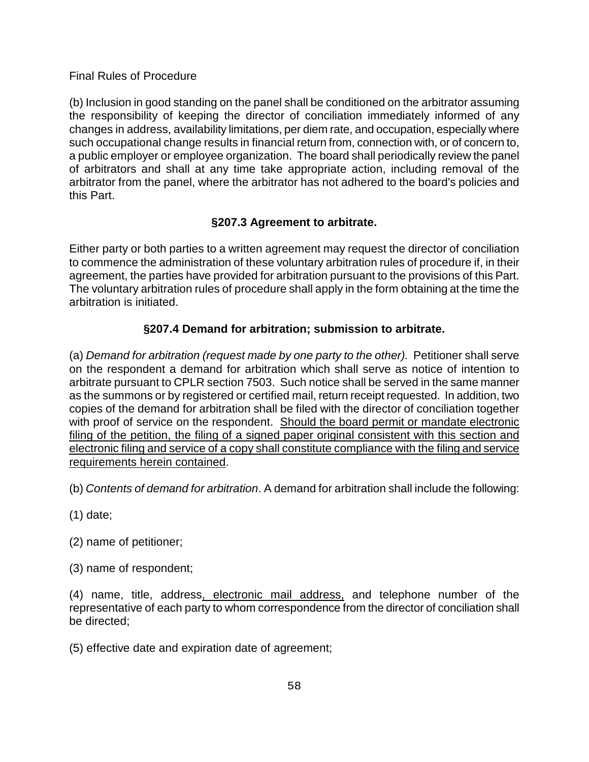(b) Inclusion in good standing on the panel shall be conditioned on the arbitrator assuming the responsibility of keeping the director of conciliation immediately informed of any changes in address, availability limitations, per diem rate, and occupation, especially where such occupational change results in financial return from, connection with, or of concern to, a public employer or employee organization. The board shall periodically review the panel of arbitrators and shall at any time take appropriate action, including removal of the arbitrator from the panel, where the arbitrator has not adhered to the board's policies and this Part.

## **§207.3 Agreement to arbitrate.**

Either party or both parties to a written agreement may request the director of conciliation to commence the administration of these voluntary arbitration rules of procedure if, in their agreement, the parties have provided for arbitration pursuant to the provisions of this Part. The voluntary arbitration rules of procedure shall apply in the form obtaining at the time the arbitration is initiated.

## **§207.4 Demand for arbitration; submission to arbitrate.**

(a) *Demand for arbitration (request made by one party to the other).* Petitioner shall serve on the respondent a demand for arbitration which shall serve as notice of intention to arbitrate pursuant to CPLR section 7503. Such notice shall be served in the same manner as the summons or by registered or certified mail, return receipt requested. In addition, two copies of the demand for arbitration shall be filed with the director of conciliation together with proof of service on the respondent. Should the board permit or mandate electronic filing of the petition, the filing of a signed paper original consistent with this section and electronic filing and service of a copy shall constitute compliance with the filing and service requirements herein contained.

(b) *Contents of demand for arbitration*. A demand for arbitration shall include the following:

(1) date;

(2) name of petitioner;

(3) name of respondent;

(4) name, title, address, electronic mail address, and telephone number of the representative of each party to whom correspondence from the director of conciliation shall be directed;

(5) effective date and expiration date of agreement;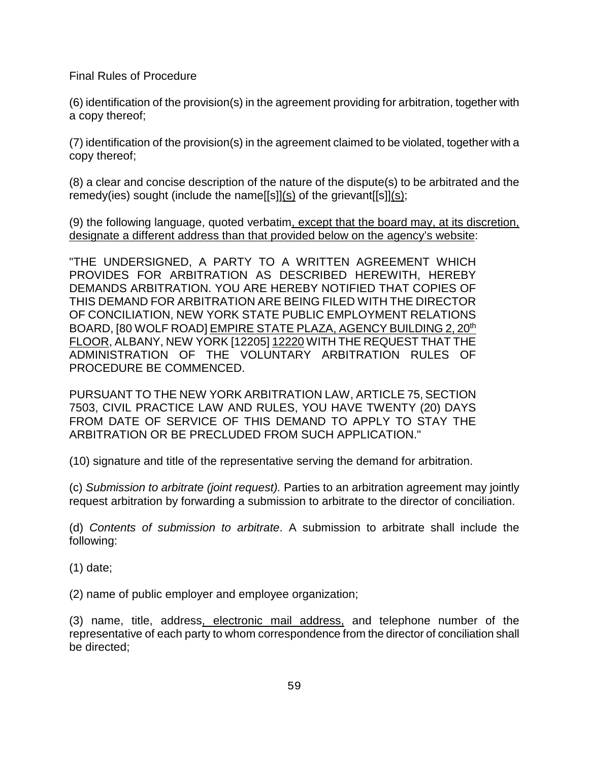(6) identification of the provision(s) in the agreement providing for arbitration, together with a copy thereof;

(7) identification of the provision(s) in the agreement claimed to be violated, together with a copy thereof;

(8) a clear and concise description of the nature of the dispute(s) to be arbitrated and the remedy(ies) sought (include the name[[s]](s) of the grievant[[s]](s);

(9) the following language, quoted verbatim, except that the board may, at its discretion, designate a different address than that provided below on the agency's website:

"THE UNDERSIGNED, A PARTY TO A WRITTEN AGREEMENT WHICH PROVIDES FOR ARBITRATION AS DESCRIBED HEREWITH, HEREBY DEMANDS ARBITRATION. YOU ARE HEREBY NOTIFIED THAT COPIES OF THIS DEMAND FOR ARBITRATION ARE BEING FILED WITH THE DIRECTOR OF CONCILIATION, NEW YORK STATE PUBLIC EMPLOYMENT RELATIONS BOARD, [80 WOLF ROAD] EMPIRE STATE PLAZA, AGENCY BUILDING 2, 20<sup>th</sup> FLOOR, ALBANY, NEW YORK [12205] 12220 WITH THE REQUEST THAT THE ADMINISTRATION OF THE VOLUNTARY ARBITRATION RULES OF PROCEDURE BE COMMENCED.

PURSUANT TO THE NEW YORK ARBITRATION LAW, ARTICLE 75, SECTION 7503, CIVIL PRACTICE LAW AND RULES, YOU HAVE TWENTY (20) DAYS FROM DATE OF SERVICE OF THIS DEMAND TO APPLY TO STAY THE ARBITRATION OR BE PRECLUDED FROM SUCH APPLICATION."

(10) signature and title of the representative serving the demand for arbitration.

(c) *Submission to arbitrate (joint request).* Parties to an arbitration agreement may jointly request arbitration by forwarding a submission to arbitrate to the director of conciliation.

(d) *Contents of submission to arbitrate*. A submission to arbitrate shall include the following:

(1) date;

(2) name of public employer and employee organization;

(3) name, title, address, electronic mail address, and telephone number of the representative of each party to whom correspondence from the director of conciliation shall be directed;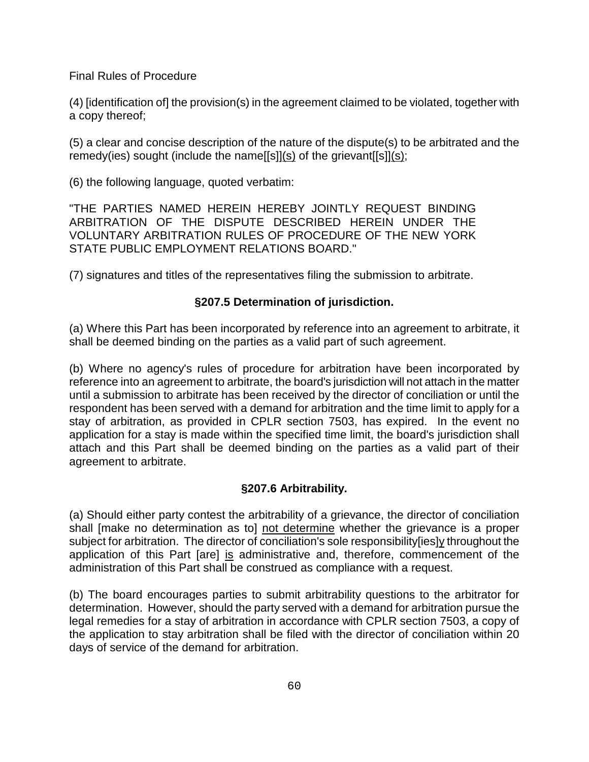(4) [identification of] the provision(s) in the agreement claimed to be violated, together with a copy thereof;

(5) a clear and concise description of the nature of the dispute(s) to be arbitrated and the remedy(ies) sought (include the name[[s]](s) of the grievant[[s]](s);

(6) the following language, quoted verbatim:

"THE PARTIES NAMED HEREIN HEREBY JOINTLY REQUEST BINDING ARBITRATION OF THE DISPUTE DESCRIBED HEREIN UNDER THE VOLUNTARY ARBITRATION RULES OF PROCEDURE OF THE NEW YORK STATE PUBLIC EMPLOYMENT RELATIONS BOARD."

(7) signatures and titles of the representatives filing the submission to arbitrate.

#### **§207.5 Determination of jurisdiction.**

(a) Where this Part has been incorporated by reference into an agreement to arbitrate, it shall be deemed binding on the parties as a valid part of such agreement.

(b) Where no agency's rules of procedure for arbitration have been incorporated by reference into an agreement to arbitrate, the board's jurisdiction will not attach in the matter until a submission to arbitrate has been received by the director of conciliation or until the respondent has been served with a demand for arbitration and the time limit to apply for a stay of arbitration, as provided in CPLR section 7503, has expired. In the event no application for a stay is made within the specified time limit, the board's jurisdiction shall attach and this Part shall be deemed binding on the parties as a valid part of their agreement to arbitrate.

### **§207.6 Arbitrability.**

(a) Should either party contest the arbitrability of a grievance, the director of conciliation shall [make no determination as to] not determine whether the grievance is a proper subject for arbitration. The director of conciliation's sole responsibility[ies]y throughout the application of this Part [are] is administrative and, therefore, commencement of the administration of this Part shall be construed as compliance with a request.

(b) The board encourages parties to submit arbitrability questions to the arbitrator for determination. However, should the party served with a demand for arbitration pursue the legal remedies for a stay of arbitration in accordance with CPLR section 7503, a copy of the application to stay arbitration shall be filed with the director of conciliation within 20 days of service of the demand for arbitration.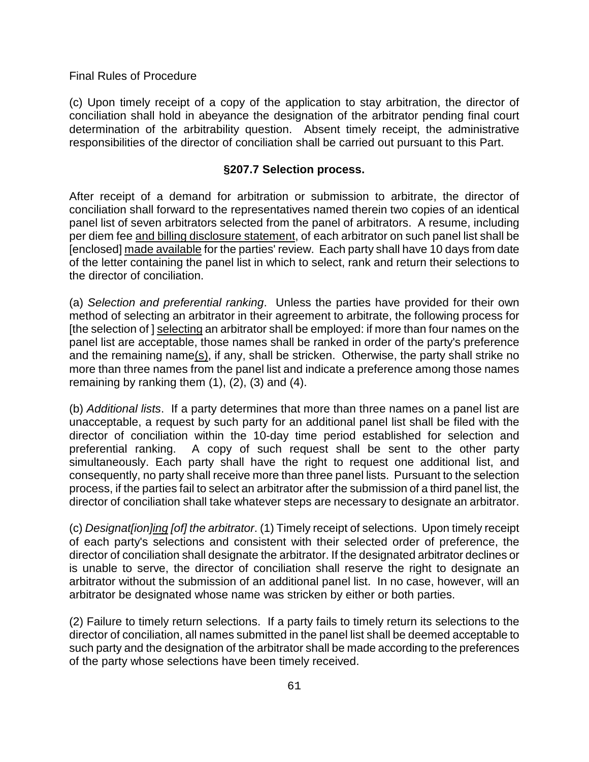(c) Upon timely receipt of a copy of the application to stay arbitration, the director of conciliation shall hold in abeyance the designation of the arbitrator pending final court determination of the arbitrability question. Absent timely receipt, the administrative responsibilities of the director of conciliation shall be carried out pursuant to this Part.

#### **§207.7 Selection process.**

After receipt of a demand for arbitration or submission to arbitrate, the director of conciliation shall forward to the representatives named therein two copies of an identical panel list of seven arbitrators selected from the panel of arbitrators. A resume, including per diem fee and billing disclosure statement, of each arbitrator on such panel list shall be [enclosed] made available for the parties' review. Each party shall have 10 days from date of the letter containing the panel list in which to select, rank and return their selections to the director of conciliation.

(a) *Selection and preferential ranking*. Unless the parties have provided for their own method of selecting an arbitrator in their agreement to arbitrate, the following process for [the selection of ] selecting an arbitrator shall be employed: if more than four names on the panel list are acceptable, those names shall be ranked in order of the party's preference and the remaining name(s), if any, shall be stricken. Otherwise, the party shall strike no more than three names from the panel list and indicate a preference among those names remaining by ranking them  $(1)$ ,  $(2)$ ,  $(3)$  and  $(4)$ .

(b) *Additional lists*. If a party determines that more than three names on a panel list are unacceptable, a request by such party for an additional panel list shall be filed with the director of conciliation within the 10-day time period established for selection and preferential ranking. A copy of such request shall be sent to the other party simultaneously. Each party shall have the right to request one additional list, and consequently, no party shall receive more than three panel lists. Pursuant to the selection process, if the parties fail to select an arbitrator after the submission of a third panel list, the director of conciliation shall take whatever steps are necessary to designate an arbitrator.

(c) *Designat[ion]ing [of] the arbitrator*. (1) Timely receipt of selections. Upon timely receipt of each party's selections and consistent with their selected order of preference, the director of conciliation shall designate the arbitrator. If the designated arbitrator declines or is unable to serve, the director of conciliation shall reserve the right to designate an arbitrator without the submission of an additional panel list. In no case, however, will an arbitrator be designated whose name was stricken by either or both parties.

(2) Failure to timely return selections. If a party fails to timely return its selections to the director of conciliation, all names submitted in the panel list shall be deemed acceptable to such party and the designation of the arbitrator shall be made according to the preferences of the party whose selections have been timely received.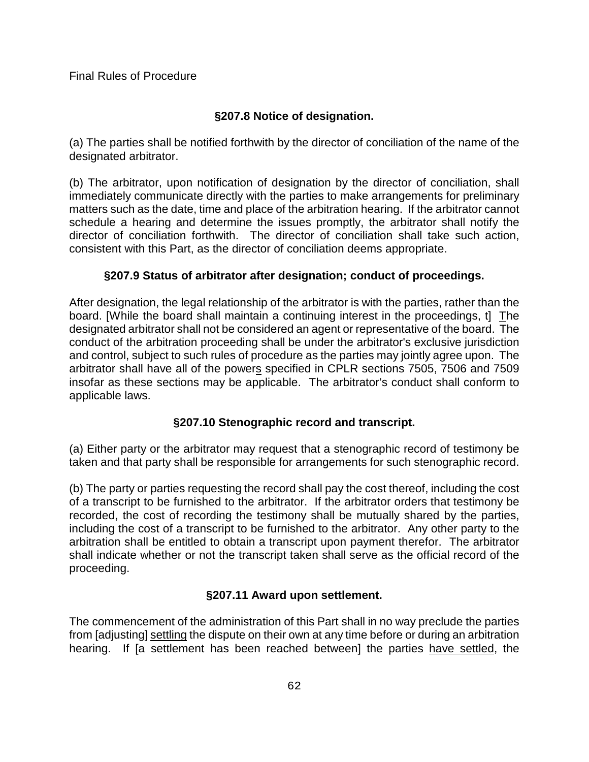# **§207.8 Notice of designation.**

(a) The parties shall be notified forthwith by the director of conciliation of the name of the designated arbitrator.

(b) The arbitrator, upon notification of designation by the director of conciliation, shall immediately communicate directly with the parties to make arrangements for preliminary matters such as the date, time and place of the arbitration hearing. If the arbitrator cannot schedule a hearing and determine the issues promptly, the arbitrator shall notify the director of conciliation forthwith. The director of conciliation shall take such action, consistent with this Part, as the director of conciliation deems appropriate.

# **§207.9 Status of arbitrator after designation; conduct of proceedings.**

After designation, the legal relationship of the arbitrator is with the parties, rather than the board. [While the board shall maintain a continuing interest in the proceedings, t] The designated arbitrator shall not be considered an agent or representative of the board. The conduct of the arbitration proceeding shall be under the arbitrator's exclusive jurisdiction and control, subject to such rules of procedure as the parties may jointly agree upon. The arbitrator shall have all of the powers specified in CPLR sections 7505, 7506 and 7509 insofar as these sections may be applicable. The arbitrator's conduct shall conform to applicable laws.

# **§207.10 Stenographic record and transcript.**

(a) Either party or the arbitrator may request that a stenographic record of testimony be taken and that party shall be responsible for arrangements for such stenographic record.

(b) The party or parties requesting the record shall pay the cost thereof, including the cost of a transcript to be furnished to the arbitrator. If the arbitrator orders that testimony be recorded, the cost of recording the testimony shall be mutually shared by the parties, including the cost of a transcript to be furnished to the arbitrator. Any other party to the arbitration shall be entitled to obtain a transcript upon payment therefor. The arbitrator shall indicate whether or not the transcript taken shall serve as the official record of the proceeding.

# **§207.11 Award upon settlement.**

The commencement of the administration of this Part shall in no way preclude the parties from [adjusting] settling the dispute on their own at any time before or during an arbitration hearing. If [a settlement has been reached between] the parties have settled, the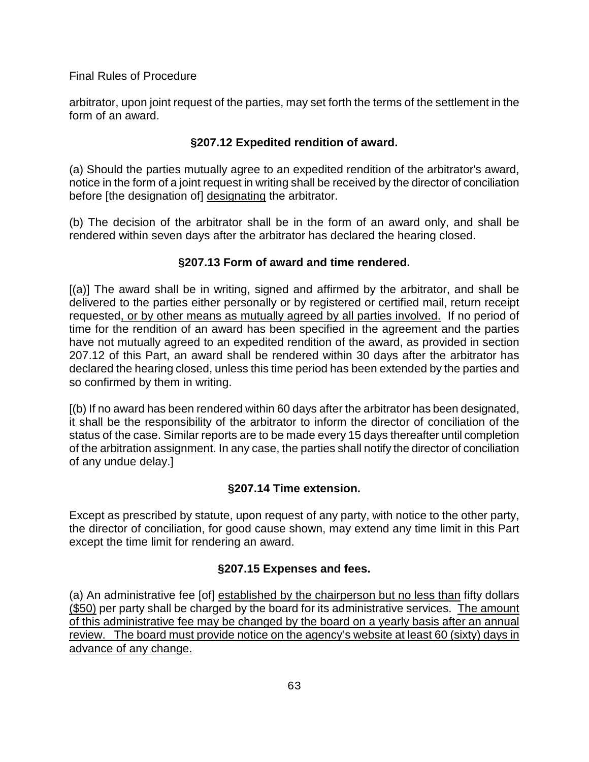arbitrator, upon joint request of the parties, may set forth the terms of the settlement in the form of an award.

# **§207.12 Expedited rendition of award.**

(a) Should the parties mutually agree to an expedited rendition of the arbitrator's award, notice in the form of a joint request in writing shall be received by the director of conciliation before [the designation of] designating the arbitrator.

(b) The decision of the arbitrator shall be in the form of an award only, and shall be rendered within seven days after the arbitrator has declared the hearing closed.

# **§207.13 Form of award and time rendered.**

[(a)] The award shall be in writing, signed and affirmed by the arbitrator, and shall be delivered to the parties either personally or by registered or certified mail, return receipt requested, or by other means as mutually agreed by all parties involved. If no period of time for the rendition of an award has been specified in the agreement and the parties have not mutually agreed to an expedited rendition of the award, as provided in section 207.12 of this Part, an award shall be rendered within 30 days after the arbitrator has declared the hearing closed, unless this time period has been extended by the parties and so confirmed by them in writing.

[(b) If no award has been rendered within 60 days after the arbitrator has been designated, it shall be the responsibility of the arbitrator to inform the director of conciliation of the status of the case. Similar reports are to be made every 15 days thereafter until completion of the arbitration assignment. In any case, the parties shall notify the director of conciliation of any undue delay.]

# **§207.14 Time extension.**

Except as prescribed by statute, upon request of any party, with notice to the other party, the director of conciliation, for good cause shown, may extend any time limit in this Part except the time limit for rendering an award.

# **§207.15 Expenses and fees.**

(a) An administrative fee [of] established by the chairperson but no less than fifty dollars (\$50) per party shall be charged by the board for its administrative services. The amount of this administrative fee may be changed by the board on a yearly basis after an annual review. The board must provide notice on the agency's website at least 60 (sixty) days in advance of any change.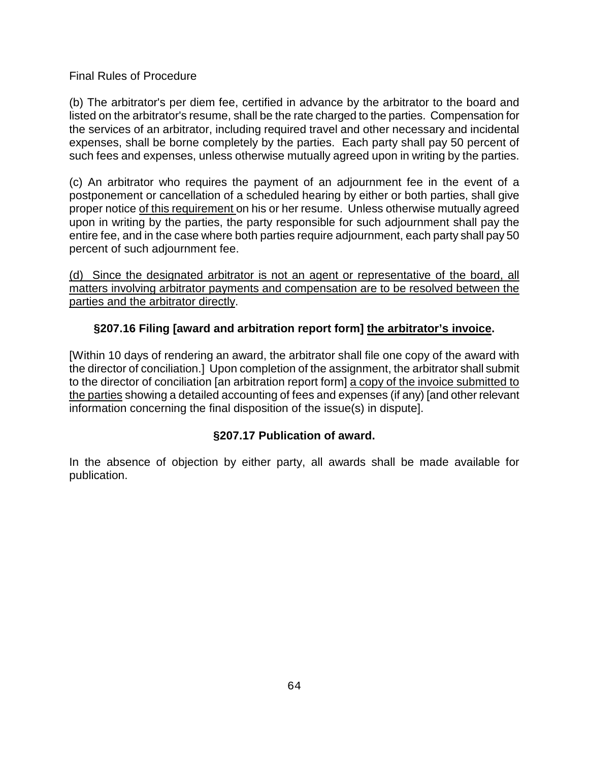(b) The arbitrator's per diem fee, certified in advance by the arbitrator to the board and listed on the arbitrator's resume, shall be the rate charged to the parties. Compensation for the services of an arbitrator, including required travel and other necessary and incidental expenses, shall be borne completely by the parties. Each party shall pay 50 percent of such fees and expenses, unless otherwise mutually agreed upon in writing by the parties.

(c) An arbitrator who requires the payment of an adjournment fee in the event of a postponement or cancellation of a scheduled hearing by either or both parties, shall give proper notice of this requirement on his or her resume. Unless otherwise mutually agreed upon in writing by the parties, the party responsible for such adjournment shall pay the entire fee, and in the case where both parties require adjournment, each party shall pay 50 percent of such adjournment fee.

(d) Since the designated arbitrator is not an agent or representative of the board, all matters involving arbitrator payments and compensation are to be resolved between the parties and the arbitrator directly.

## **§207.16 Filing [award and arbitration report form] the arbitrator's invoice.**

[Within 10 days of rendering an award, the arbitrator shall file one copy of the award with the director of conciliation.] Upon completion of the assignment, the arbitrator shall submit to the director of conciliation [an arbitration report form] a copy of the invoice submitted to the parties showing a detailed accounting of fees and expenses (if any) [and other relevant information concerning the final disposition of the issue(s) in dispute].

### **§207.17 Publication of award.**

In the absence of objection by either party, all awards shall be made available for publication.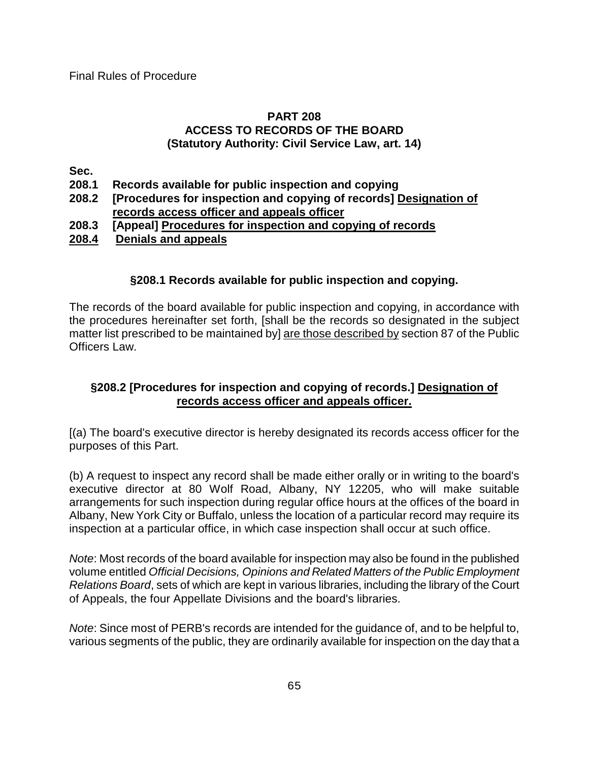### **PART 208 ACCESS TO RECORDS OF THE BOARD (Statutory Authority: Civil Service Law, art. 14)**

**Sec.**

- **208.1 Records available for public inspection and copying**
- **208.2 [Procedures for inspection and copying of records] Designation of records access officer and appeals officer**
- **208.3 [Appeal] Procedures for inspection and copying of records**
- **208.4 Denials and appeals**

## **§208.1 Records available for public inspection and copying.**

The records of the board available for public inspection and copying, in accordance with the procedures hereinafter set forth, [shall be the records so designated in the subject matter list prescribed to be maintained by] are those described by section 87 of the Public Officers Law.

# **§208.2 [Procedures for inspection and copying of records.] Designation of records access officer and appeals officer.**

[(a) The board's executive director is hereby designated its records access officer for the purposes of this Part.

(b) A request to inspect any record shall be made either orally or in writing to the board's executive director at 80 Wolf Road, Albany, NY 12205, who will make suitable arrangements for such inspection during regular office hours at the offices of the board in Albany, New York City or Buffalo, unless the location of a particular record may require its inspection at a particular office, in which case inspection shall occur at such office.

*Note*: Most records of the board available for inspection may also be found in the published volume entitled *Official Decisions, Opinions and Related Matters of the Public Employment Relations Board*, sets of which are kept in various libraries, including the library of the Court of Appeals, the four Appellate Divisions and the board's libraries.

*Note*: Since most of PERB's records are intended for the guidance of, and to be helpful to, various segments of the public, they are ordinarily available for inspection on the day that a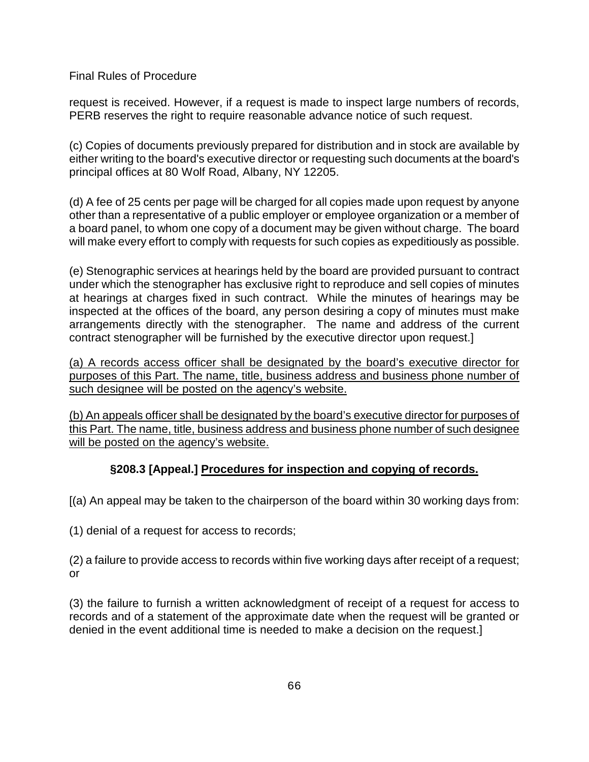request is received. However, if a request is made to inspect large numbers of records, PERB reserves the right to require reasonable advance notice of such request.

(c) Copies of documents previously prepared for distribution and in stock are available by either writing to the board's executive director or requesting such documents at the board's principal offices at 80 Wolf Road, Albany, NY 12205.

(d) A fee of 25 cents per page will be charged for all copies made upon request by anyone other than a representative of a public employer or employee organization or a member of a board panel, to whom one copy of a document may be given without charge. The board will make every effort to comply with requests for such copies as expeditiously as possible.

(e) Stenographic services at hearings held by the board are provided pursuant to contract under which the stenographer has exclusive right to reproduce and sell copies of minutes at hearings at charges fixed in such contract. While the minutes of hearings may be inspected at the offices of the board, any person desiring a copy of minutes must make arrangements directly with the stenographer. The name and address of the current contract stenographer will be furnished by the executive director upon request.]

(a) A records access officer shall be designated by the board's executive director for purposes of this Part. The name, title, business address and business phone number of such designee will be posted on the agency's website.

(b) An appeals officer shall be designated by the board's executive director for purposes of this Part. The name, title, business address and business phone number of such designee will be posted on the agency's website.

# **§208.3 [Appeal.] Procedures for inspection and copying of records.**

[(a) An appeal may be taken to the chairperson of the board within 30 working days from:

(1) denial of a request for access to records;

(2) a failure to provide access to records within five working days after receipt of a request; or

(3) the failure to furnish a written acknowledgment of receipt of a request for access to records and of a statement of the approximate date when the request will be granted or denied in the event additional time is needed to make a decision on the request.]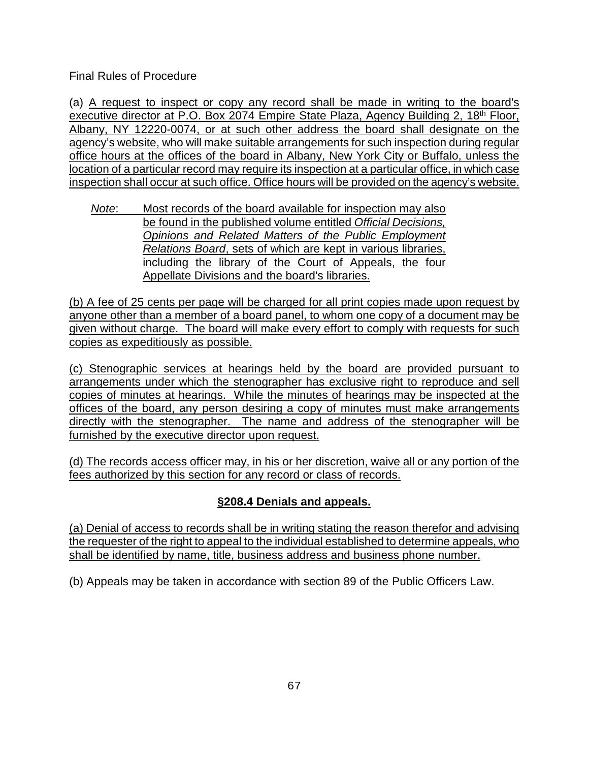(a) A request to inspect or copy any record shall be made in writing to the board's executive director at P.O. Box 2074 Empire State Plaza, Agency Building 2, 18<sup>th</sup> Floor, Albany, NY 12220-0074, or at such other address the board shall designate on the agency's website, who will make suitable arrangements for such inspection during regular office hours at the offices of the board in Albany, New York City or Buffalo, unless the location of a particular record may require its inspection at a particular office, in which case inspection shall occur at such office. Office hours will be provided on the agency's website.

*Note*: Most records of the board available for inspection may also be found in the published volume entitled *Official Decisions, Opinions and Related Matters of the Public Employment Relations Board*, sets of which are kept in various libraries, including the library of the Court of Appeals, the four Appellate Divisions and the board's libraries.

(b) A fee of 25 cents per page will be charged for all print copies made upon request by anyone other than a member of a board panel, to whom one copy of a document may be given without charge. The board will make every effort to comply with requests for such copies as expeditiously as possible.

(c) Stenographic services at hearings held by the board are provided pursuant to arrangements under which the stenographer has exclusive right to reproduce and sell copies of minutes at hearings. While the minutes of hearings may be inspected at the offices of the board, any person desiring a copy of minutes must make arrangements directly with the stenographer. The name and address of the stenographer will be furnished by the executive director upon request.

(d) The records access officer may, in his or her discretion, waive all or any portion of the fees authorized by this section for any record or class of records.

# **§208.4 Denials and appeals.**

(a) Denial of access to records shall be in writing stating the reason therefor and advising the requester of the right to appeal to the individual established to determine appeals, who shall be identified by name, title, business address and business phone number.

(b) Appeals may be taken in accordance with section 89 of the Public Officers Law.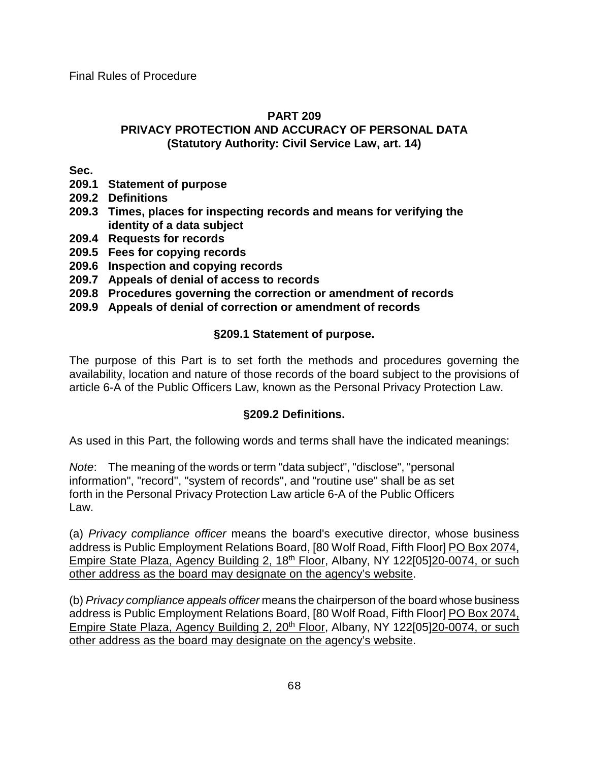### **PART 209**

## **PRIVACY PROTECTION AND ACCURACY OF PERSONAL DATA (Statutory Authority: Civil Service Law, art. 14)**

**Sec.**

- **209.1 Statement of purpose**
- **209.2 Definitions**
- **209.3 Times, places for inspecting records and means for verifying the identity of a data subject**
- **209.4 Requests for records**
- **209.5 Fees for copying records**
- **209.6 Inspection and copying records**
- **209.7 Appeals of denial of access to records**
- **209.8 Procedures governing the correction or amendment of records**
- **209.9 Appeals of denial of correction or amendment of records**

## **§209.1 Statement of purpose.**

The purpose of this Part is to set forth the methods and procedures governing the availability, location and nature of those records of the board subject to the provisions of article 6-A of the Public Officers Law, known as the Personal Privacy Protection Law.

### **§209.2 Definitions.**

As used in this Part, the following words and terms shall have the indicated meanings:

*Note*: The meaning of the words or term "data subject", "disclose", "personal information", "record", "system of records", and "routine use" shall be as set forth in the Personal Privacy Protection Law article 6-A of the Public Officers Law.

(a) *Privacy compliance officer* means the board's executive director, whose business address is Public Employment Relations Board, [80 Wolf Road, Fifth Floor] PO Box 2074, Empire State Plaza, Agency Building 2, 18<sup>th</sup> Floor, Albany, NY 122[05]20-0074, or such other address as the board may designate on the agency's website.

(b) *Privacy compliance appeals officer* means the chairperson of the board whose business address is Public Employment Relations Board, [80 Wolf Road, Fifth Floor] PO Box 2074, Empire State Plaza, Agency Building 2, 20<sup>th</sup> Floor, Albany, NY 122[05]20-0074, or such other address as the board may designate on the agency's website.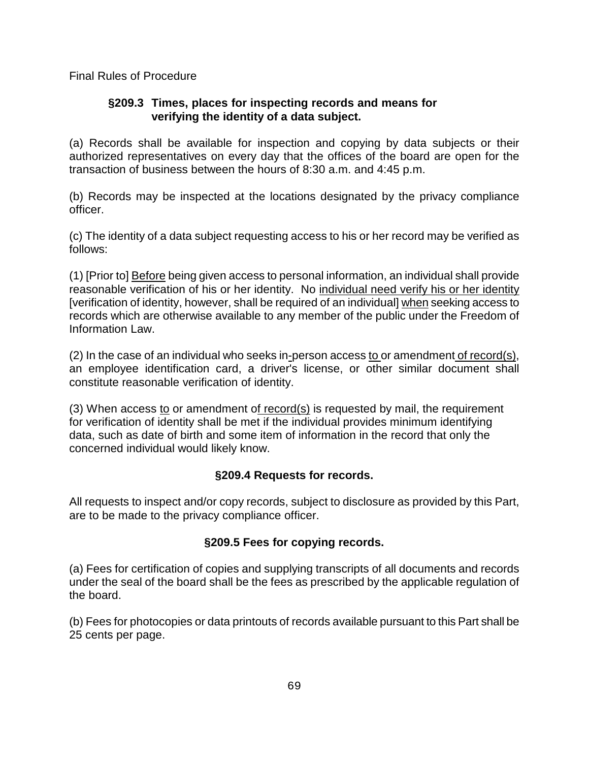## **§209.3 Times, places for inspecting records and means for verifying the identity of a data subject.**

(a) Records shall be available for inspection and copying by data subjects or their authorized representatives on every day that the offices of the board are open for the transaction of business between the hours of 8:30 a.m. and 4:45 p.m.

(b) Records may be inspected at the locations designated by the privacy compliance officer.

(c) The identity of a data subject requesting access to his or her record may be verified as follows:

(1) [Prior to] Before being given access to personal information, an individual shall provide reasonable verification of his or her identity. No individual need verify his or her identity [verification of identity, however, shall be required of an individual] when seeking access to records which are otherwise available to any member of the public under the Freedom of Information Law.

(2) In the case of an individual who seeks in-person access to or amendment of record(s), an employee identification card, a driver's license, or other similar document shall constitute reasonable verification of identity.

(3) When access to or amendment of record(s) is requested by mail, the requirement for verification of identity shall be met if the individual provides minimum identifying data, such as date of birth and some item of information in the record that only the concerned individual would likely know.

# **§209.4 Requests for records.**

All requests to inspect and/or copy records, subject to disclosure as provided by this Part, are to be made to the privacy compliance officer.

# **§209.5 Fees for copying records.**

(a) Fees for certification of copies and supplying transcripts of all documents and records under the seal of the board shall be the fees as prescribed by the applicable regulation of the board.

(b) Fees for photocopies or data printouts of records available pursuant to this Part shall be 25 cents per page.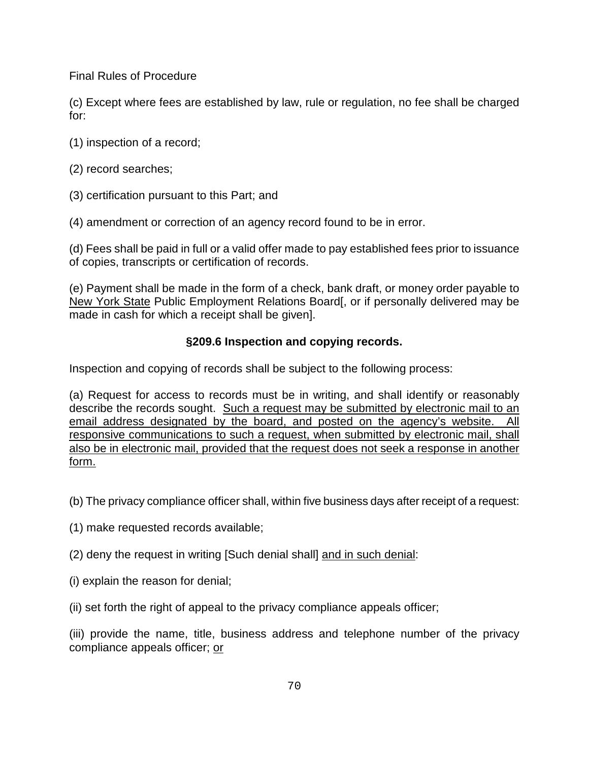(c) Except where fees are established by law, rule or regulation, no fee shall be charged for:

- (1) inspection of a record;
- (2) record searches;
- (3) certification pursuant to this Part; and
- (4) amendment or correction of an agency record found to be in error.

(d) Fees shall be paid in full or a valid offer made to pay established fees prior to issuance of copies, transcripts or certification of records.

(e) Payment shall be made in the form of a check, bank draft, or money order payable to New York State Public Employment Relations Board[, or if personally delivered may be made in cash for which a receipt shall be given].

## **§209.6 Inspection and copying records.**

Inspection and copying of records shall be subject to the following process:

(a) Request for access to records must be in writing, and shall identify or reasonably describe the records sought. Such a request may be submitted by electronic mail to an email address designated by the board, and posted on the agency's website. All responsive communications to such a request, when submitted by electronic mail, shall also be in electronic mail, provided that the request does not seek a response in another form.

(b) The privacy compliance officer shall, within five business days after receipt of a request:

(1) make requested records available;

(2) deny the request in writing [Such denial shall] and in such denial:

(i) explain the reason for denial;

(ii) set forth the right of appeal to the privacy compliance appeals officer;

(iii) provide the name, title, business address and telephone number of the privacy compliance appeals officer; or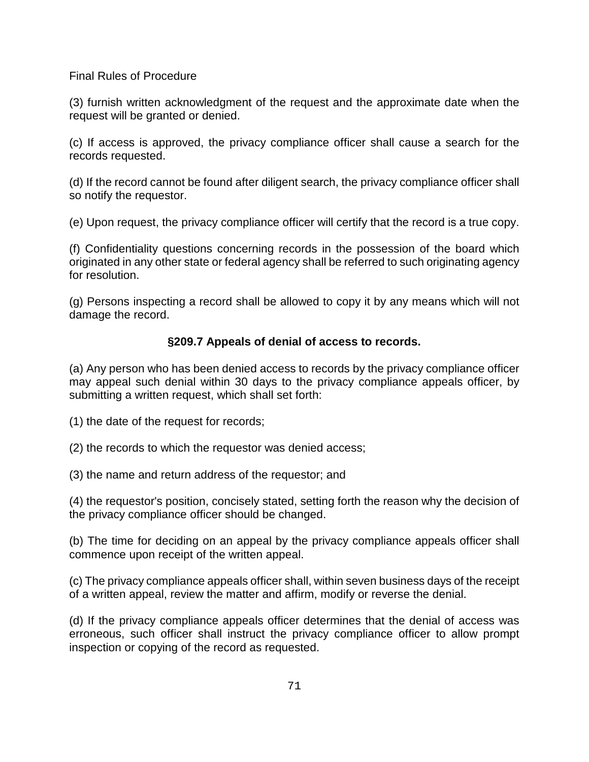(3) furnish written acknowledgment of the request and the approximate date when the request will be granted or denied.

(c) If access is approved, the privacy compliance officer shall cause a search for the records requested.

(d) If the record cannot be found after diligent search, the privacy compliance officer shall so notify the requestor.

(e) Upon request, the privacy compliance officer will certify that the record is a true copy.

(f) Confidentiality questions concerning records in the possession of the board which originated in any other state or federal agency shall be referred to such originating agency for resolution.

(g) Persons inspecting a record shall be allowed to copy it by any means which will not damage the record.

### **§209.7 Appeals of denial of access to records.**

(a) Any person who has been denied access to records by the privacy compliance officer may appeal such denial within 30 days to the privacy compliance appeals officer, by submitting a written request, which shall set forth:

(1) the date of the request for records;

- (2) the records to which the requestor was denied access;
- (3) the name and return address of the requestor; and

(4) the requestor's position, concisely stated, setting forth the reason why the decision of the privacy compliance officer should be changed.

(b) The time for deciding on an appeal by the privacy compliance appeals officer shall commence upon receipt of the written appeal.

(c) The privacy compliance appeals officer shall, within seven business days of the receipt of a written appeal, review the matter and affirm, modify or reverse the denial.

(d) If the privacy compliance appeals officer determines that the denial of access was erroneous, such officer shall instruct the privacy compliance officer to allow prompt inspection or copying of the record as requested.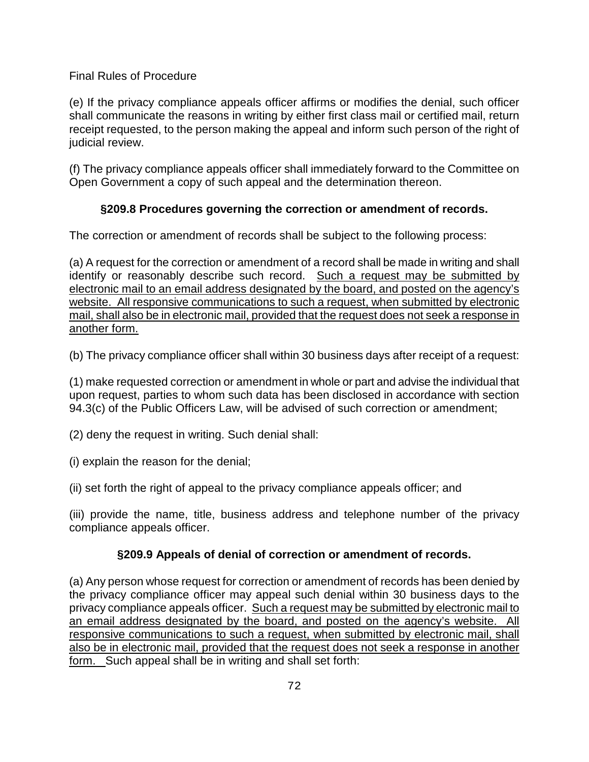(e) If the privacy compliance appeals officer affirms or modifies the denial, such officer shall communicate the reasons in writing by either first class mail or certified mail, return receipt requested, to the person making the appeal and inform such person of the right of judicial review.

(f) The privacy compliance appeals officer shall immediately forward to the Committee on Open Government a copy of such appeal and the determination thereon.

# **§209.8 Procedures governing the correction or amendment of records.**

The correction or amendment of records shall be subject to the following process:

(a) A request for the correction or amendment of a record shall be made in writing and shall identify or reasonably describe such record. Such a request may be submitted by electronic mail to an email address designated by the board, and posted on the agency's website. All responsive communications to such a request, when submitted by electronic mail, shall also be in electronic mail, provided that the request does not seek a response in another form.

(b) The privacy compliance officer shall within 30 business days after receipt of a request:

(1) make requested correction or amendment in whole or part and advise the individual that upon request, parties to whom such data has been disclosed in accordance with section 94.3(c) of the Public Officers Law, will be advised of such correction or amendment;

(2) deny the request in writing. Such denial shall:

(i) explain the reason for the denial;

(ii) set forth the right of appeal to the privacy compliance appeals officer; and

(iii) provide the name, title, business address and telephone number of the privacy compliance appeals officer.

## **§209.9 Appeals of denial of correction or amendment of records.**

(a) Any person whose request for correction or amendment of records has been denied by the privacy compliance officer may appeal such denial within 30 business days to the privacy compliance appeals officer. Such a request may be submitted by electronic mail to an email address designated by the board, and posted on the agency's website. All responsive communications to such a request, when submitted by electronic mail, shall also be in electronic mail, provided that the request does not seek a response in another form. Such appeal shall be in writing and shall set forth: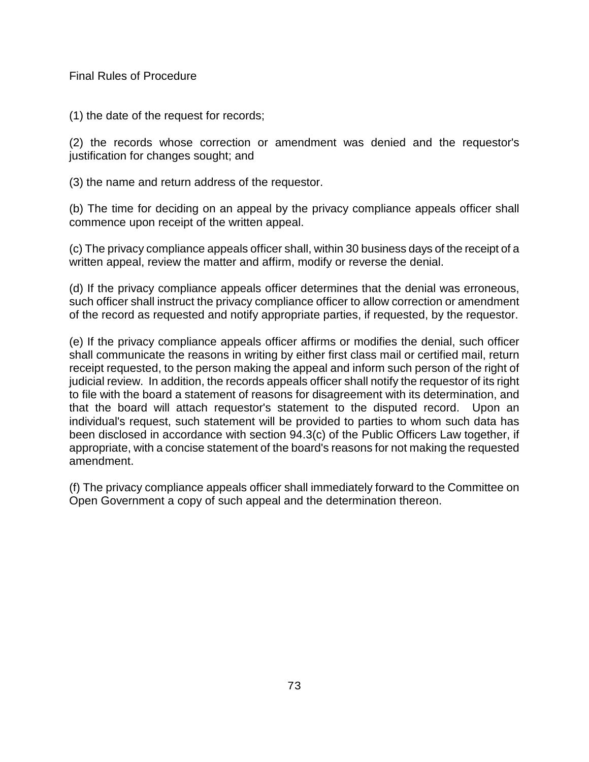(1) the date of the request for records;

(2) the records whose correction or amendment was denied and the requestor's justification for changes sought; and

(3) the name and return address of the requestor.

(b) The time for deciding on an appeal by the privacy compliance appeals officer shall commence upon receipt of the written appeal.

(c) The privacy compliance appeals officer shall, within 30 business days of the receipt of a written appeal, review the matter and affirm, modify or reverse the denial.

(d) If the privacy compliance appeals officer determines that the denial was erroneous, such officer shall instruct the privacy compliance officer to allow correction or amendment of the record as requested and notify appropriate parties, if requested, by the requestor.

(e) If the privacy compliance appeals officer affirms or modifies the denial, such officer shall communicate the reasons in writing by either first class mail or certified mail, return receipt requested, to the person making the appeal and inform such person of the right of judicial review. In addition, the records appeals officer shall notify the requestor of its right to file with the board a statement of reasons for disagreement with its determination, and that the board will attach requestor's statement to the disputed record. Upon an individual's request, such statement will be provided to parties to whom such data has been disclosed in accordance with section 94.3(c) of the Public Officers Law together, if appropriate, with a concise statement of the board's reasons for not making the requested amendment.

(f) The privacy compliance appeals officer shall immediately forward to the Committee on Open Government a copy of such appeal and the determination thereon.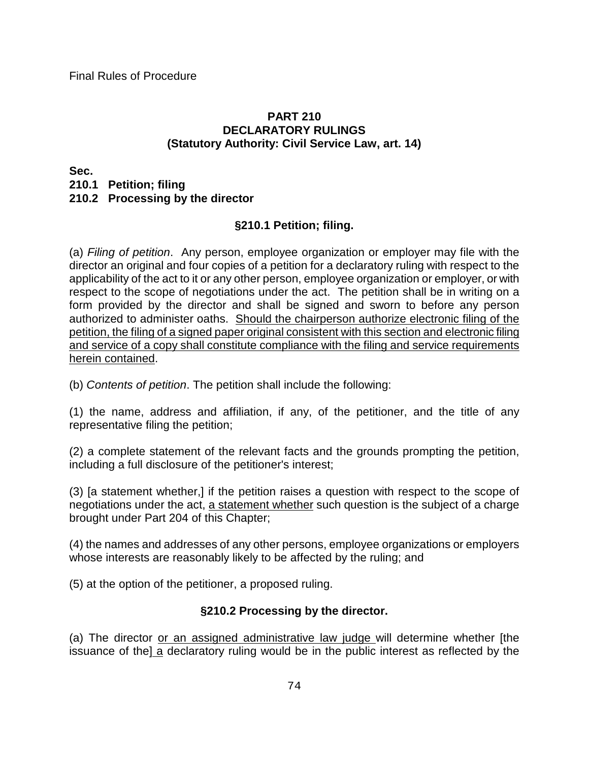#### **PART 210 DECLARATORY RULINGS (Statutory Authority: Civil Service Law, art. 14)**

**Sec.**

**210.1 Petition; filing**

#### **210.2 Processing by the director**

## **§210.1 Petition; filing.**

(a) *Filing of petition*. Any person, employee organization or employer may file with the director an original and four copies of a petition for a declaratory ruling with respect to the applicability of the act to it or any other person, employee organization or employer, or with respect to the scope of negotiations under the act. The petition shall be in writing on a form provided by the director and shall be signed and sworn to before any person authorized to administer oaths. Should the chairperson authorize electronic filing of the petition, the filing of a signed paper original consistent with this section and electronic filing and service of a copy shall constitute compliance with the filing and service requirements herein contained.

(b) *Contents of petition*. The petition shall include the following:

(1) the name, address and affiliation, if any, of the petitioner, and the title of any representative filing the petition;

(2) a complete statement of the relevant facts and the grounds prompting the petition, including a full disclosure of the petitioner's interest;

(3) [a statement whether,] if the petition raises a question with respect to the scope of negotiations under the act, a statement whether such question is the subject of a charge brought under Part 204 of this Chapter;

(4) the names and addresses of any other persons, employee organizations or employers whose interests are reasonably likely to be affected by the ruling; and

(5) at the option of the petitioner, a proposed ruling.

## **§210.2 Processing by the director.**

(a) The director or an assigned administrative law judge will determine whether [the issuance of the] a declaratory ruling would be in the public interest as reflected by the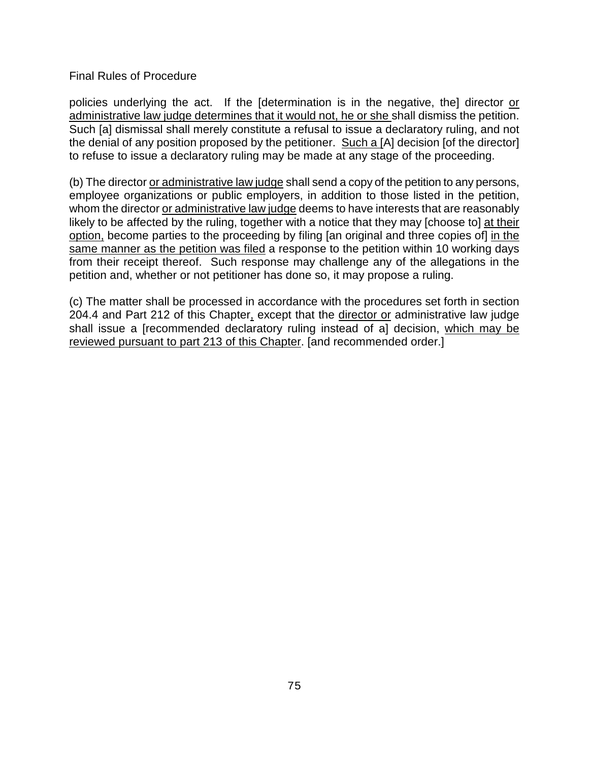policies underlying the act. If the [determination is in the negative, the] director or administrative law judge determines that it would not, he or she shall dismiss the petition. Such [a] dismissal shall merely constitute a refusal to issue a declaratory ruling, and not the denial of any position proposed by the petitioner. Such a [A] decision [of the director] to refuse to issue a declaratory ruling may be made at any stage of the proceeding.

(b) The director or administrative law judge shall send a copy of the petition to any persons, employee organizations or public employers, in addition to those listed in the petition, whom the director or administrative law judge deems to have interests that are reasonably likely to be affected by the ruling, together with a notice that they may [choose to] at their option, become parties to the proceeding by filing [an original and three copies of] in the same manner as the petition was filed a response to the petition within 10 working days from their receipt thereof. Such response may challenge any of the allegations in the petition and, whether or not petitioner has done so, it may propose a ruling.

(c) The matter shall be processed in accordance with the procedures set forth in section 204.4 and Part 212 of this Chapter, except that the director or administrative law judge shall issue a [recommended declaratory ruling instead of a] decision, which may be reviewed pursuant to part 213 of this Chapter. [and recommended order.]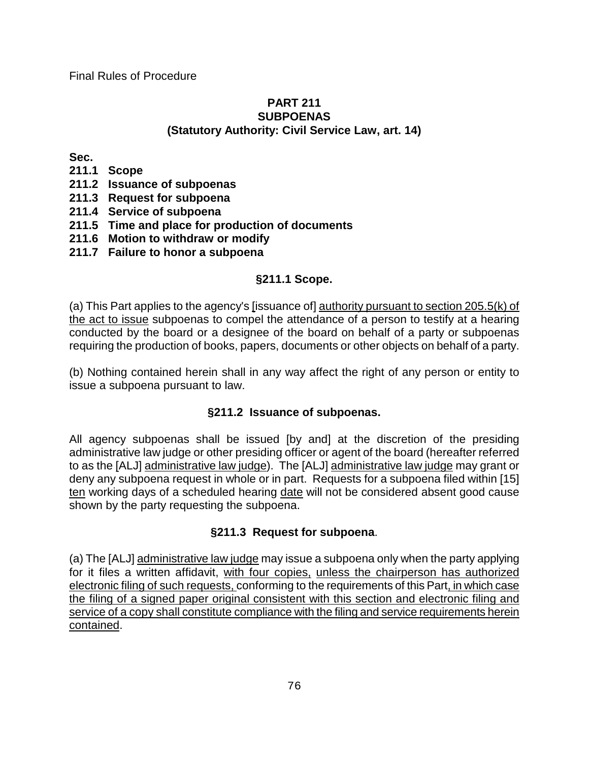#### **PART 211 SUBPOENAS (Statutory Authority: Civil Service Law, art. 14)**

**Sec.** 

- **211.1 Scope**
- **211.2 Issuance of subpoenas**
- **211.3 Request for subpoena**
- **211.4 Service of subpoena**
- **211.5 Time and place for production of documents**
- **211.6 Motion to withdraw or modify**
- **211.7 Failure to honor a subpoena**

# **§211.1 Scope.**

(a) This Part applies to the agency's [issuance of] authority pursuant to section 205.5(k) of the act to issue subpoenas to compel the attendance of a person to testify at a hearing conducted by the board or a designee of the board on behalf of a party or subpoenas requiring the production of books, papers, documents or other objects on behalf of a party.

(b) Nothing contained herein shall in any way affect the right of any person or entity to issue a subpoena pursuant to law.

## **§211.2 Issuance of subpoenas.**

All agency subpoenas shall be issued [by and] at the discretion of the presiding administrative law judge or other presiding officer or agent of the board (hereafter referred to as the [ALJ] administrative law judge). The [ALJ] administrative law judge may grant or deny any subpoena request in whole or in part. Requests for a subpoena filed within [15] ten working days of a scheduled hearing date will not be considered absent good cause shown by the party requesting the subpoena.

## **§211.3 Request for subpoena**.

(a) The [ALJ] administrative law judge may issue a subpoena only when the party applying for it files a written affidavit, with four copies, unless the chairperson has authorized electronic filing of such requests, conforming to the requirements of this Part, in which case the filing of a signed paper original consistent with this section and electronic filing and service of a copy shall constitute compliance with the filing and service requirements herein contained.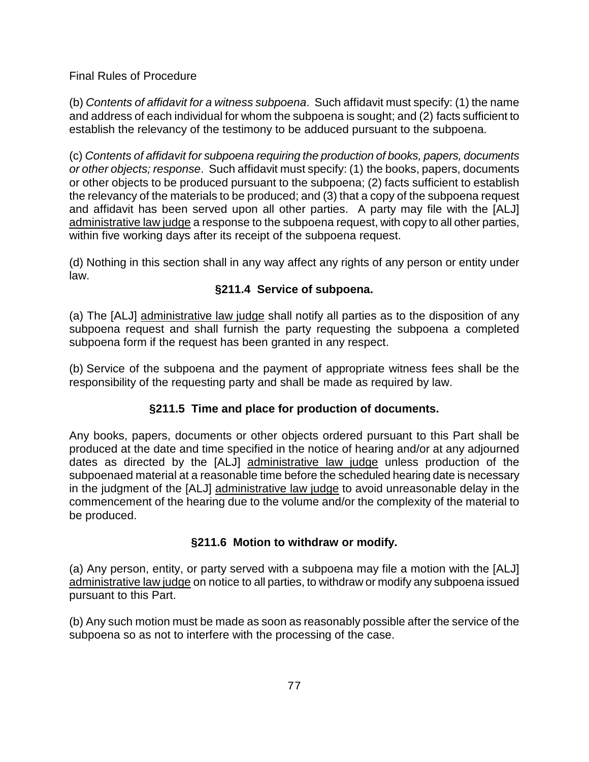(b) *Contents of affidavit for a witness subpoena*. Such affidavit must specify: (1) the name and address of each individual for whom the subpoena is sought; and (2) facts sufficient to establish the relevancy of the testimony to be adduced pursuant to the subpoena.

(c) *Contents of affidavit for subpoena requiring the production of books, papers, documents or other objects; response*. Such affidavit must specify: (1) the books, papers, documents or other objects to be produced pursuant to the subpoena; (2) facts sufficient to establish the relevancy of the materials to be produced; and (3) that a copy of the subpoena request and affidavit has been served upon all other parties. A party may file with the [ALJ] administrative law judge a response to the subpoena request, with copy to all other parties, within five working days after its receipt of the subpoena request.

(d) Nothing in this section shall in any way affect any rights of any person or entity under law.

# **§211.4 Service of subpoena.**

(a) The [ALJ] administrative law judge shall notify all parties as to the disposition of any subpoena request and shall furnish the party requesting the subpoena a completed subpoena form if the request has been granted in any respect.

(b) Service of the subpoena and the payment of appropriate witness fees shall be the responsibility of the requesting party and shall be made as required by law.

# **§211.5 Time and place for production of documents.**

Any books, papers, documents or other objects ordered pursuant to this Part shall be produced at the date and time specified in the notice of hearing and/or at any adjourned dates as directed by the [ALJ] administrative law judge unless production of the subpoenaed material at a reasonable time before the scheduled hearing date is necessary in the judgment of the [ALJ] administrative law judge to avoid unreasonable delay in the commencement of the hearing due to the volume and/or the complexity of the material to be produced.

## **§211.6 Motion to withdraw or modify.**

(a) Any person, entity, or party served with a subpoena may file a motion with the [ALJ] administrative law judge on notice to all parties, to withdraw or modify any subpoena issued pursuant to this Part.

(b) Any such motion must be made as soon as reasonably possible after the service of the subpoena so as not to interfere with the processing of the case.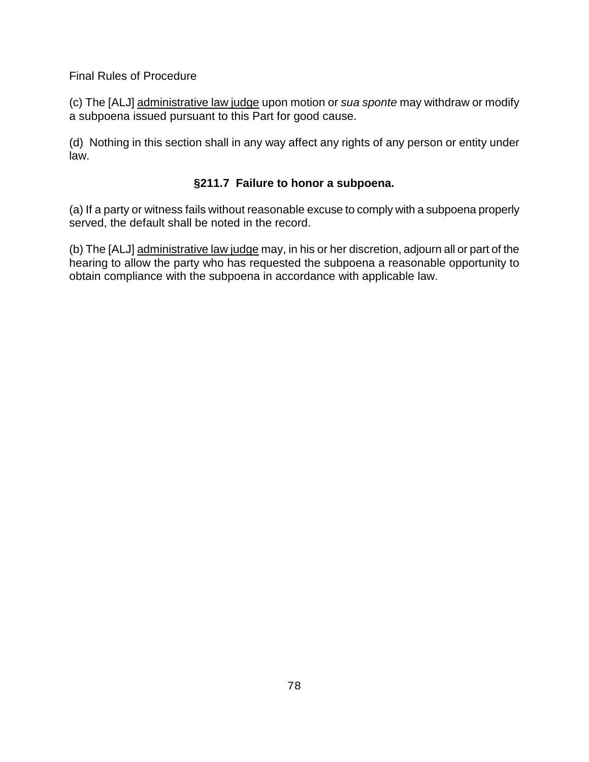(c) The [ALJ] administrative law judge upon motion or *sua sponte* may withdraw or modify a subpoena issued pursuant to this Part for good cause.

(d) Nothing in this section shall in any way affect any rights of any person or entity under law.

# **§211.7 Failure to honor a subpoena.**

(a) If a party or witness fails without reasonable excuse to comply with a subpoena properly served, the default shall be noted in the record.

(b) The [ALJ] administrative law judge may, in his or her discretion, adjourn all or part of the hearing to allow the party who has requested the subpoena a reasonable opportunity to obtain compliance with the subpoena in accordance with applicable law.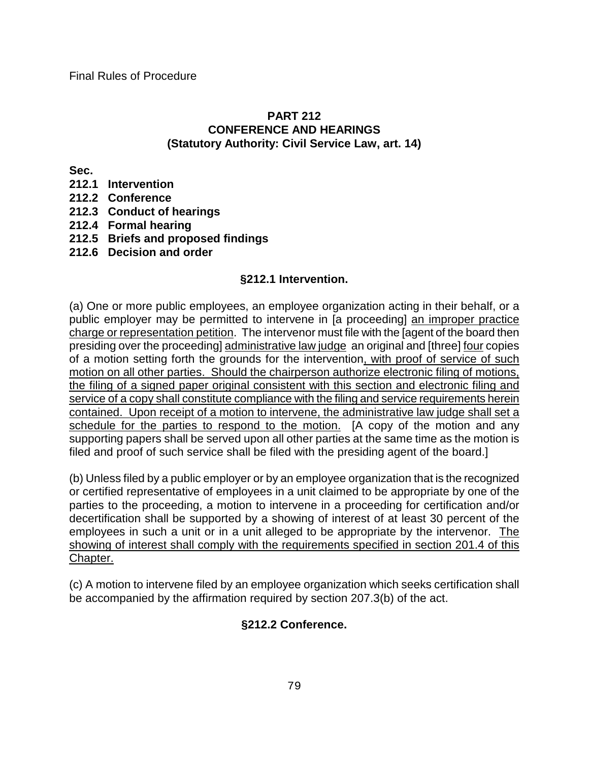#### **PART 212 CONFERENCE AND HEARINGS (Statutory Authority: Civil Service Law, art. 14)**

**Sec.**

- **212.1 Intervention**
- **212.2 Conference**
- **212.3 Conduct of hearings**
- **212.4 Formal hearing**
- **212.5 Briefs and proposed findings**
- **212.6 Decision and order**

### **§212.1 Intervention.**

(a) One or more public employees, an employee organization acting in their behalf, or a public employer may be permitted to intervene in [a proceeding] an improper practice charge or representation petition. The intervenor must file with the [agent of the board then presiding over the proceeding] administrative law judge an original and [three] four copies of a motion setting forth the grounds for the intervention, with proof of service of such motion on all other parties. Should the chairperson authorize electronic filing of motions, the filing of a signed paper original consistent with this section and electronic filing and service of a copy shall constitute compliance with the filing and service requirements herein contained. Upon receipt of a motion to intervene, the administrative law judge shall set a schedule for the parties to respond to the motion. [A copy of the motion and any supporting papers shall be served upon all other parties at the same time as the motion is filed and proof of such service shall be filed with the presiding agent of the board.]

(b) Unless filed by a public employer or by an employee organization that is the recognized or certified representative of employees in a unit claimed to be appropriate by one of the parties to the proceeding, a motion to intervene in a proceeding for certification and/or decertification shall be supported by a showing of interest of at least 30 percent of the employees in such a unit or in a unit alleged to be appropriate by the intervenor. The showing of interest shall comply with the requirements specified in section 201.4 of this Chapter.

(c) A motion to intervene filed by an employee organization which seeks certification shall be accompanied by the affirmation required by section 207.3(b) of the act.

## **§212.2 Conference.**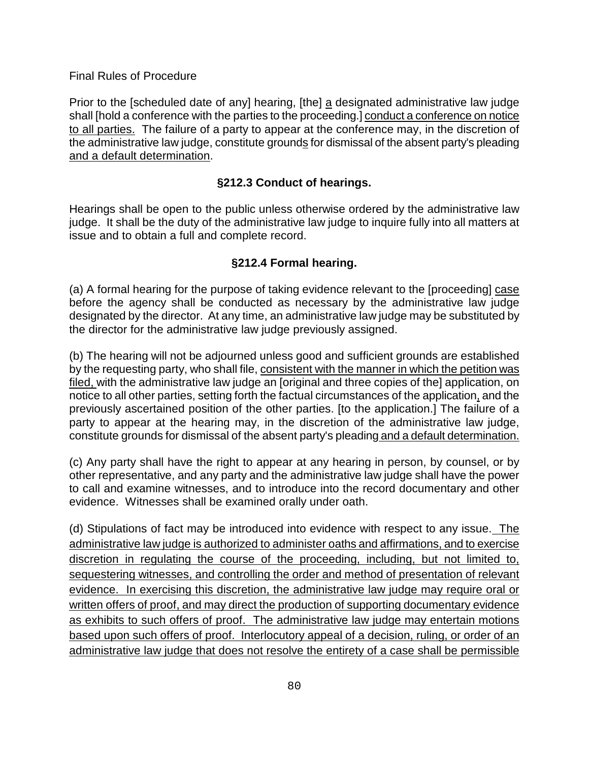Prior to the [scheduled date of any] hearing, [the] a designated administrative law judge shall [hold a conference with the parties to the proceeding.] conduct a conference on notice to all parties. The failure of a party to appear at the conference may, in the discretion of the administrative law judge, constitute grounds for dismissal of the absent party's pleading and a default determination.

### **§212.3 Conduct of hearings.**

Hearings shall be open to the public unless otherwise ordered by the administrative law judge. It shall be the duty of the administrative law judge to inquire fully into all matters at issue and to obtain a full and complete record.

### **§212.4 Formal hearing.**

(a) A formal hearing for the purpose of taking evidence relevant to the [proceeding] case before the agency shall be conducted as necessary by the administrative law judge designated by the director. At any time, an administrative law judge may be substituted by the director for the administrative law judge previously assigned.

(b) The hearing will not be adjourned unless good and sufficient grounds are established by the requesting party, who shall file, consistent with the manner in which the petition was filed, with the administrative law judge an [original and three copies of the] application, on notice to all other parties, setting forth the factual circumstances of the application, and the previously ascertained position of the other parties. [to the application.] The failure of a party to appear at the hearing may, in the discretion of the administrative law judge, constitute grounds for dismissal of the absent party's pleading and a default determination.

(c) Any party shall have the right to appear at any hearing in person, by counsel, or by other representative, and any party and the administrative law judge shall have the power to call and examine witnesses, and to introduce into the record documentary and other evidence. Witnesses shall be examined orally under oath.

(d) Stipulations of fact may be introduced into evidence with respect to any issue. The administrative law judge is authorized to administer oaths and affirmations, and to exercise discretion in regulating the course of the proceeding, including, but not limited to, sequestering witnesses, and controlling the order and method of presentation of relevant evidence. In exercising this discretion, the administrative law judge may require oral or written offers of proof, and may direct the production of supporting documentary evidence as exhibits to such offers of proof. The administrative law judge may entertain motions based upon such offers of proof. Interlocutory appeal of a decision, ruling, or order of an administrative law judge that does not resolve the entirety of a case shall be permissible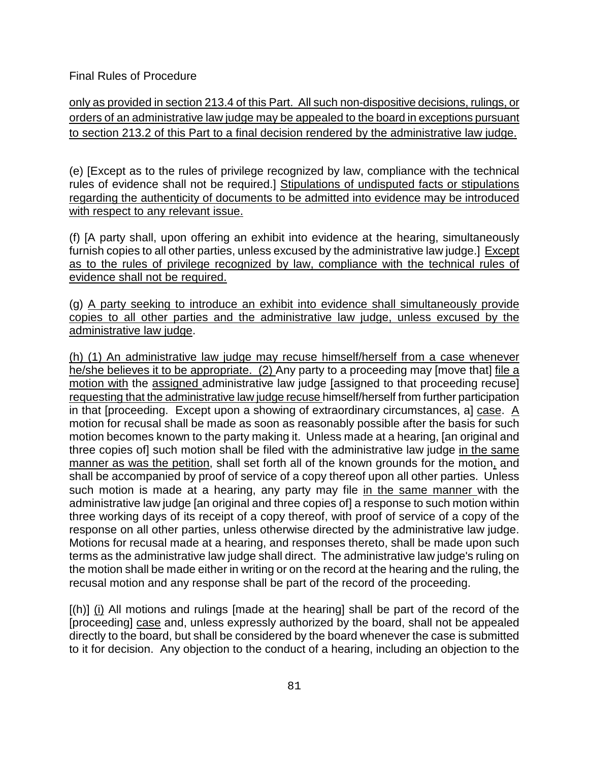only as provided in section 213.4 of this Part. All such non-dispositive decisions, rulings, or orders of an administrative law judge may be appealed to the board in exceptions pursuant to section 213.2 of this Part to a final decision rendered by the administrative law judge.

(e) [Except as to the rules of privilege recognized by law, compliance with the technical rules of evidence shall not be required.] Stipulations of undisputed facts or stipulations regarding the authenticity of documents to be admitted into evidence may be introduced with respect to any relevant issue.

(f) [A party shall, upon offering an exhibit into evidence at the hearing, simultaneously furnish copies to all other parties, unless excused by the administrative law judge.] Except as to the rules of privilege recognized by law, compliance with the technical rules of evidence shall not be required.

(g) A party seeking to introduce an exhibit into evidence shall simultaneously provide copies to all other parties and the administrative law judge, unless excused by the administrative law judge.

(h) (1) An administrative law judge may recuse himself/herself from a case whenever he/she believes it to be appropriate. (2) Any party to a proceeding may [move that] file a motion with the assigned administrative law judge [assigned to that proceeding recuse] requesting that the administrative law judge recuse himself/herself from further participation in that [proceeding. Except upon a showing of extraordinary circumstances, a] case. A motion for recusal shall be made as soon as reasonably possible after the basis for such motion becomes known to the party making it. Unless made at a hearing, [an original and three copies of] such motion shall be filed with the administrative law judge in the same manner as was the petition, shall set forth all of the known grounds for the motion, and shall be accompanied by proof of service of a copy thereof upon all other parties. Unless such motion is made at a hearing, any party may file in the same manner with the administrative law judge [an original and three copies of] a response to such motion within three working days of its receipt of a copy thereof, with proof of service of a copy of the response on all other parties, unless otherwise directed by the administrative law judge. Motions for recusal made at a hearing, and responses thereto, shall be made upon such terms as the administrative law judge shall direct. The administrative law judge's ruling on the motion shall be made either in writing or on the record at the hearing and the ruling, the recusal motion and any response shall be part of the record of the proceeding.

 $[(h)]$  (i) All motions and rulings [made at the hearing] shall be part of the record of the [proceeding] case and, unless expressly authorized by the board, shall not be appealed directly to the board, but shall be considered by the board whenever the case is submitted to it for decision. Any objection to the conduct of a hearing, including an objection to the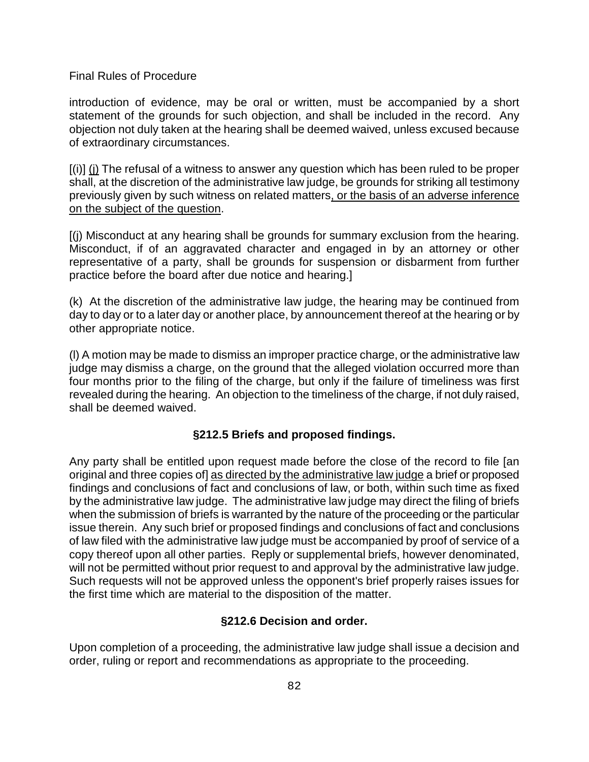introduction of evidence, may be oral or written, must be accompanied by a short statement of the grounds for such objection, and shall be included in the record. Any objection not duly taken at the hearing shall be deemed waived, unless excused because of extraordinary circumstances.

[(i)] (j) The refusal of a witness to answer any question which has been ruled to be proper shall, at the discretion of the administrative law judge, be grounds for striking all testimony previously given by such witness on related matters, or the basis of an adverse inference on the subject of the question.

[(j) Misconduct at any hearing shall be grounds for summary exclusion from the hearing. Misconduct, if of an aggravated character and engaged in by an attorney or other representative of a party, shall be grounds for suspension or disbarment from further practice before the board after due notice and hearing.]

(k) At the discretion of the administrative law judge, the hearing may be continued from day to day or to a later day or another place, by announcement thereof at the hearing or by other appropriate notice.

(l) A motion may be made to dismiss an improper practice charge, or the administrative law judge may dismiss a charge, on the ground that the alleged violation occurred more than four months prior to the filing of the charge, but only if the failure of timeliness was first revealed during the hearing. An objection to the timeliness of the charge, if not duly raised, shall be deemed waived.

#### **§212.5 Briefs and proposed findings.**

Any party shall be entitled upon request made before the close of the record to file [an original and three copies of] as directed by the administrative law judge a brief or proposed findings and conclusions of fact and conclusions of law, or both, within such time as fixed by the administrative law judge. The administrative law judge may direct the filing of briefs when the submission of briefs is warranted by the nature of the proceeding or the particular issue therein. Any such brief or proposed findings and conclusions of fact and conclusions of law filed with the administrative law judge must be accompanied by proof of service of a copy thereof upon all other parties. Reply or supplemental briefs, however denominated, will not be permitted without prior request to and approval by the administrative law judge. Such requests will not be approved unless the opponent's brief properly raises issues for the first time which are material to the disposition of the matter.

#### **§212.6 Decision and order.**

Upon completion of a proceeding, the administrative law judge shall issue a decision and order, ruling or report and recommendations as appropriate to the proceeding.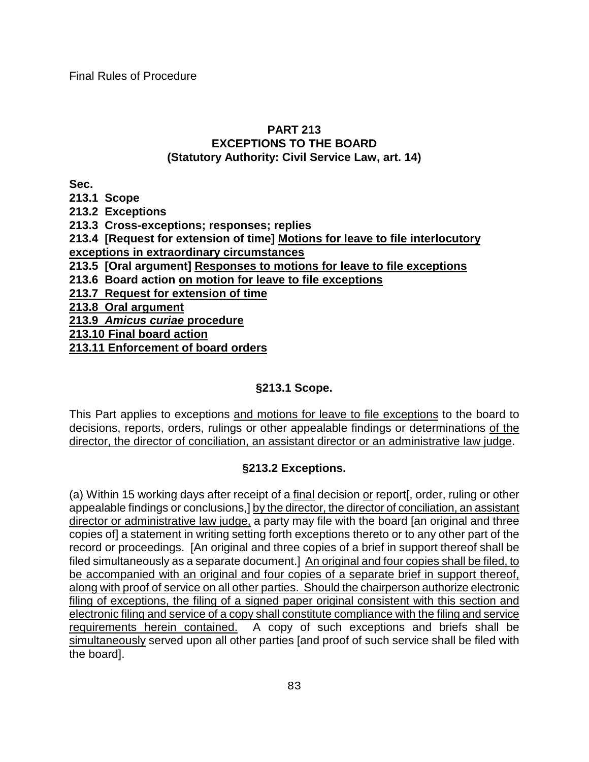### **PART 213 EXCEPTIONS TO THE BOARD (Statutory Authority: Civil Service Law, art. 14)**

**Sec.**

**213.1 Scope**

**213.2 Exceptions**

**213.3 Cross-exceptions; responses; replies**

**213.4 [Request for extension of time] Motions for leave to file interlocutory exceptions in extraordinary circumstances** 

**213.5 [Oral argument] Responses to motions for leave to file exceptions** 

**213.6 Board action on motion for leave to file exceptions**

**213.7 Request for extension of time**

**213.8 Oral argument**

**213.9** *Amicus curiae* **procedure**

**213.10 Final board action**

**213.11 Enforcement of board orders**

# **§213.1 Scope.**

This Part applies to exceptions and motions for leave to file exceptions to the board to decisions, reports, orders, rulings or other appealable findings or determinations of the director, the director of conciliation, an assistant director or an administrative law judge.

## **§213.2 Exceptions.**

(a) Within 15 working days after receipt of a final decision or report[, order, ruling or other appealable findings or conclusions,] by the director, the director of conciliation, an assistant director or administrative law judge, a party may file with the board [an original and three copies of] a statement in writing setting forth exceptions thereto or to any other part of the record or proceedings. [An original and three copies of a brief in support thereof shall be filed simultaneously as a separate document.] An original and four copies shall be filed, to be accompanied with an original and four copies of a separate brief in support thereof, along with proof of service on all other parties. Should the chairperson authorize electronic filing of exceptions, the filing of a signed paper original consistent with this section and electronic filing and service of a copy shall constitute compliance with the filing and service requirements herein contained. A copy of such exceptions and briefs shall be simultaneously served upon all other parties [and proof of such service shall be filed with the board].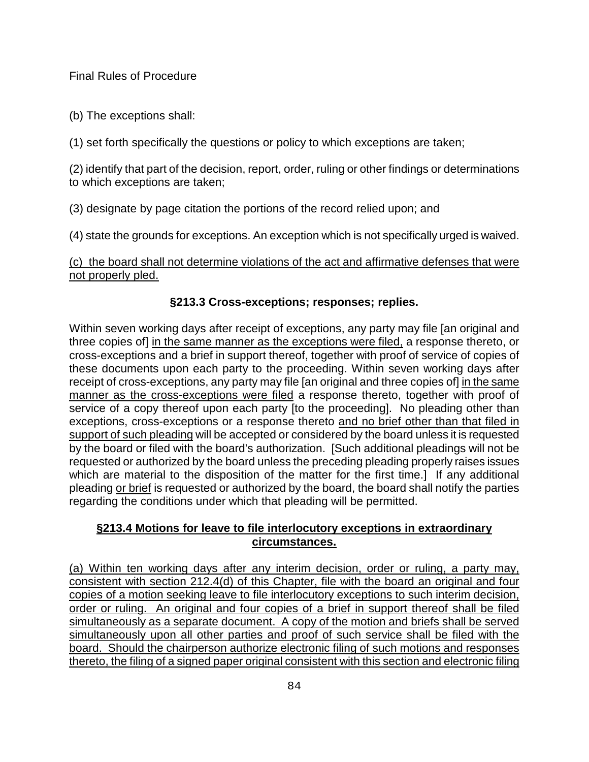(b) The exceptions shall:

(1) set forth specifically the questions or policy to which exceptions are taken;

(2) identify that part of the decision, report, order, ruling or other findings or determinations to which exceptions are taken;

(3) designate by page citation the portions of the record relied upon; and

(4) state the grounds for exceptions. An exception which is not specifically urged is waived.

(c) the board shall not determine violations of the act and affirmative defenses that were not properly pled.

### **§213.3 Cross-exceptions; responses; replies.**

Within seven working days after receipt of exceptions, any party may file [an original and three copies of] in the same manner as the exceptions were filed, a response thereto, or cross-exceptions and a brief in support thereof, together with proof of service of copies of these documents upon each party to the proceeding. Within seven working days after receipt of cross-exceptions, any party may file [an original and three copies of] in the same manner as the cross-exceptions were filed a response thereto, together with proof of service of a copy thereof upon each party [to the proceeding]. No pleading other than exceptions, cross-exceptions or a response thereto and no brief other than that filed in support of such pleading will be accepted or considered by the board unless it is requested by the board or filed with the board's authorization. [Such additional pleadings will not be requested or authorized by the board unless the preceding pleading properly raises issues which are material to the disposition of the matter for the first time.] If any additional pleading or brief is requested or authorized by the board, the board shall notify the parties regarding the conditions under which that pleading will be permitted.

## **§213.4 Motions for leave to file interlocutory exceptions in extraordinary circumstances.**

(a) Within ten working days after any interim decision, order or ruling, a party may, consistent with section 212.4(d) of this Chapter, file with the board an original and four copies of a motion seeking leave to file interlocutory exceptions to such interim decision, order or ruling. An original and four copies of a brief in support thereof shall be filed simultaneously as a separate document. A copy of the motion and briefs shall be served simultaneously upon all other parties and proof of such service shall be filed with the board. Should the chairperson authorize electronic filing of such motions and responses thereto, the filing of a signed paper original consistent with this section and electronic filing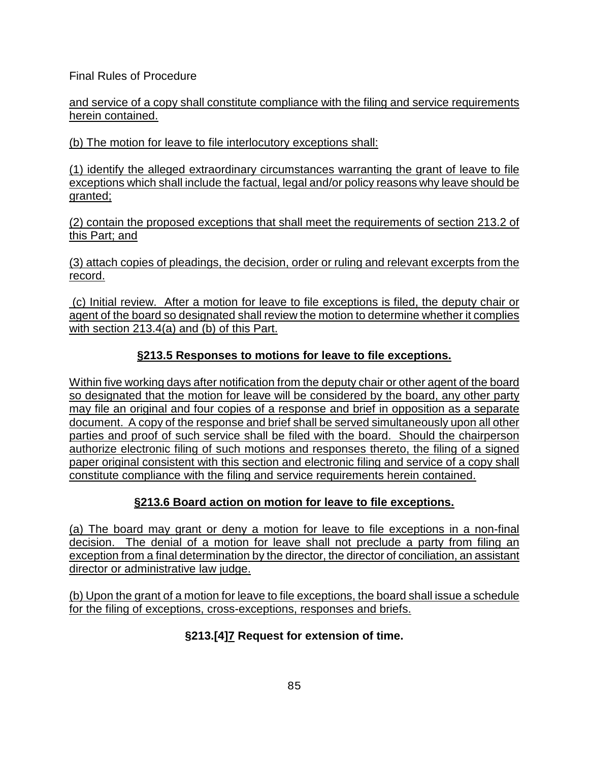and service of a copy shall constitute compliance with the filing and service requirements herein contained.

(b) The motion for leave to file interlocutory exceptions shall:

(1) identify the alleged extraordinary circumstances warranting the grant of leave to file exceptions which shall include the factual, legal and/or policy reasons why leave should be granted;

(2) contain the proposed exceptions that shall meet the requirements of section 213.2 of this Part; and

(3) attach copies of pleadings, the decision, order or ruling and relevant excerpts from the record.

(c) Initial review. After a motion for leave to file exceptions is filed, the deputy chair or agent of the board so designated shall review the motion to determine whether it complies with section 213.4(a) and (b) of this Part.

## **§213.5 Responses to motions for leave to file exceptions.**

Within five working days after notification from the deputy chair or other agent of the board so designated that the motion for leave will be considered by the board, any other party may file an original and four copies of a response and brief in opposition as a separate document. A copy of the response and brief shall be served simultaneously upon all other parties and proof of such service shall be filed with the board. Should the chairperson authorize electronic filing of such motions and responses thereto, the filing of a signed paper original consistent with this section and electronic filing and service of a copy shall constitute compliance with the filing and service requirements herein contained.

## **§213.6 Board action on motion for leave to file exceptions.**

(a) The board may grant or deny a motion for leave to file exceptions in a non-final decision. The denial of a motion for leave shall not preclude a party from filing an exception from a final determination by the director, the director of conciliation, an assistant director or administrative law judge.

(b) Upon the grant of a motion for leave to file exceptions, the board shall issue a schedule for the filing of exceptions, cross-exceptions, responses and briefs.

## **§213.[4]7 Request for extension of time.**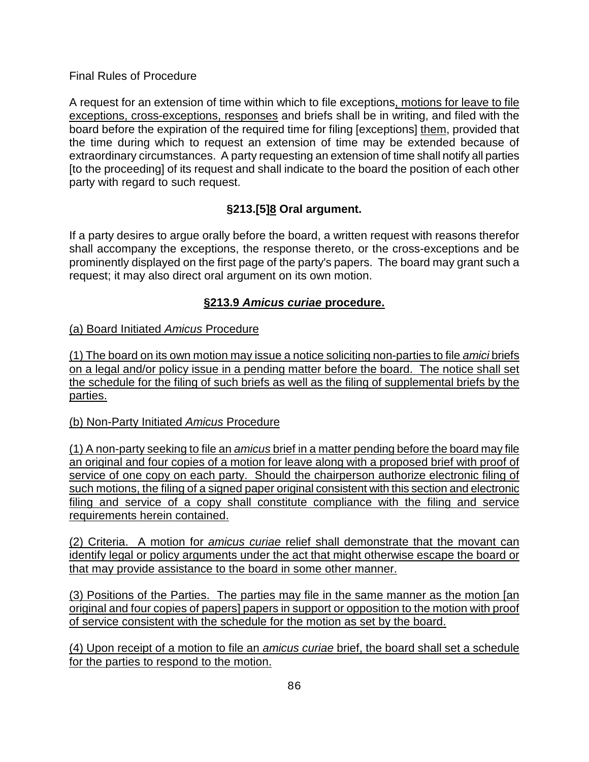A request for an extension of time within which to file exceptions, motions for leave to file exceptions, cross-exceptions, responses and briefs shall be in writing, and filed with the board before the expiration of the required time for filing [exceptions] them, provided that the time during which to request an extension of time may be extended because of extraordinary circumstances. A party requesting an extension of time shall notify all parties [to the proceeding] of its request and shall indicate to the board the position of each other party with regard to such request.

# **§213.[5]8 Oral argument.**

If a party desires to argue orally before the board, a written request with reasons therefor shall accompany the exceptions, the response thereto, or the cross-exceptions and be prominently displayed on the first page of the party's papers. The board may grant such a request; it may also direct oral argument on its own motion.

## **§213.9** *Amicus curiae* **procedure.**

### (a) Board Initiated *Amicus* Procedure

(1) The board on its own motion may issue a notice soliciting non-parties to file *amici* briefs on a legal and/or policy issue in a pending matter before the board. The notice shall set the schedule for the filing of such briefs as well as the filing of supplemental briefs by the parties.

#### (b) Non-Party Initiated *Amicus* Procedure

(1) A non-party seeking to file an *amicus* brief in a matter pending before the board may file an original and four copies of a motion for leave along with a proposed brief with proof of service of one copy on each party. Should the chairperson authorize electronic filing of such motions, the filing of a signed paper original consistent with this section and electronic filing and service of a copy shall constitute compliance with the filing and service requirements herein contained.

(2) Criteria. A motion for *amicus curiae* relief shall demonstrate that the movant can identify legal or policy arguments under the act that might otherwise escape the board or that may provide assistance to the board in some other manner.

(3) Positions of the Parties. The parties may file in the same manner as the motion [an original and four copies of papers] papers in support or opposition to the motion with proof of service consistent with the schedule for the motion as set by the board.

(4) Upon receipt of a motion to file an *amicus curiae* brief, the board shall set a schedule for the parties to respond to the motion.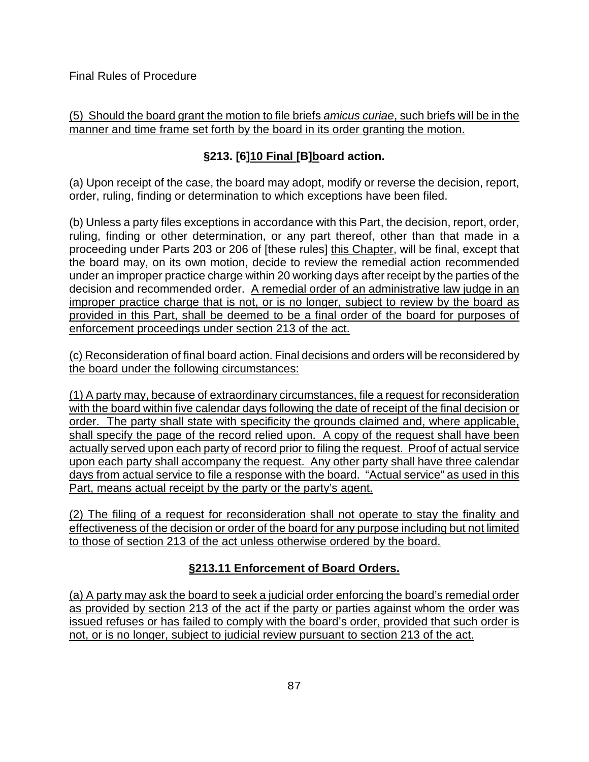### (5) Should the board grant the motion to file briefs *amicus curiae*, such briefs will be in the manner and time frame set forth by the board in its order granting the motion.

# **§213. [6]10 Final [B]board action.**

(a) Upon receipt of the case, the board may adopt, modify or reverse the decision, report, order, ruling, finding or determination to which exceptions have been filed.

(b) Unless a party files exceptions in accordance with this Part, the decision, report, order, ruling, finding or other determination, or any part thereof, other than that made in a proceeding under Parts 203 or 206 of [these rules] this Chapter, will be final, except that the board may, on its own motion, decide to review the remedial action recommended under an improper practice charge within 20 working days after receipt by the parties of the decision and recommended order. A remedial order of an administrative law judge in an improper practice charge that is not, or is no longer, subject to review by the board as provided in this Part, shall be deemed to be a final order of the board for purposes of enforcement proceedings under section 213 of the act.

(c) Reconsideration of final board action. Final decisions and orders will be reconsidered by the board under the following circumstances:

(1) A party may, because of extraordinary circumstances, file a request for reconsideration with the board within five calendar days following the date of receipt of the final decision or order. The party shall state with specificity the grounds claimed and, where applicable, shall specify the page of the record relied upon. A copy of the request shall have been actually served upon each party of record prior to filing the request. Proof of actual service upon each party shall accompany the request. Any other party shall have three calendar days from actual service to file a response with the board. "Actual service" as used in this Part, means actual receipt by the party or the party's agent.

(2) The filing of a request for reconsideration shall not operate to stay the finality and effectiveness of the decision or order of the board for any purpose including but not limited to those of section 213 of the act unless otherwise ordered by the board.

# **§213.11 Enforcement of Board Orders.**

(a) A party may ask the board to seek a judicial order enforcing the board's remedial order as provided by section 213 of the act if the party or parties against whom the order was issued refuses or has failed to comply with the board's order, provided that such order is not, or is no longer, subject to judicial review pursuant to section 213 of the act.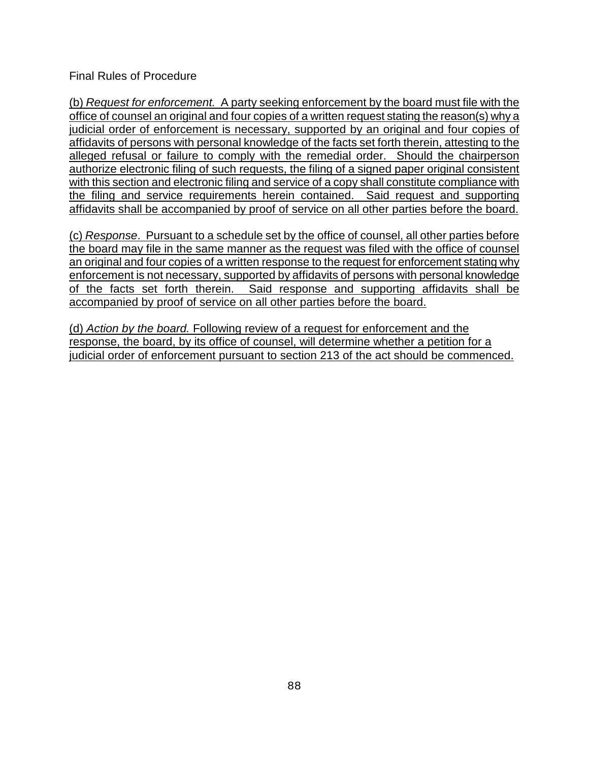(b) *Request for enforcement.* A party seeking enforcement by the board must file with the office of counsel an original and four copies of a written request stating the reason(s) why a judicial order of enforcement is necessary, supported by an original and four copies of affidavits of persons with personal knowledge of the facts set forth therein, attesting to the alleged refusal or failure to comply with the remedial order. Should the chairperson authorize electronic filing of such requests, the filing of a signed paper original consistent with this section and electronic filing and service of a copy shall constitute compliance with the filing and service requirements herein contained. Said request and supporting affidavits shall be accompanied by proof of service on all other parties before the board.

(c) *Response*. Pursuant to a schedule set by the office of counsel, all other parties before the board may file in the same manner as the request was filed with the office of counsel an original and four copies of a written response to the request for enforcement stating why enforcement is not necessary, supported by affidavits of persons with personal knowledge of the facts set forth therein. Said response and supporting affidavits shall be accompanied by proof of service on all other parties before the board.

(d) *Action by the board.* Following review of a request for enforcement and the response, the board, by its office of counsel, will determine whether a petition for a judicial order of enforcement pursuant to section 213 of the act should be commenced.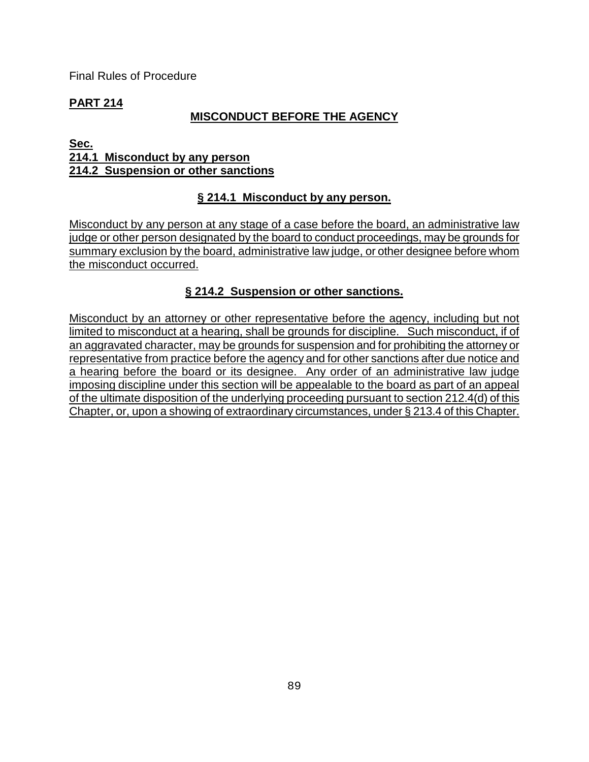# **PART 214**

# **MISCONDUCT BEFORE THE AGENCY**

#### **Sec. 214.1 Misconduct by any person 214.2 Suspension or other sanctions**

# **§ 214.1 Misconduct by any person.**

Misconduct by any person at any stage of a case before the board, an administrative law judge or other person designated by the board to conduct proceedings, may be grounds for summary exclusion by the board, administrative law judge, or other designee before whom the misconduct occurred.

## **§ 214.2 Suspension or other sanctions.**

Misconduct by an attorney or other representative before the agency, including but not limited to misconduct at a hearing, shall be grounds for discipline. Such misconduct, if of an aggravated character, may be grounds for suspension and for prohibiting the attorney or representative from practice before the agency and for other sanctions after due notice and a hearing before the board or its designee. Any order of an administrative law judge imposing discipline under this section will be appealable to the board as part of an appeal of the ultimate disposition of the underlying proceeding pursuant to section 212.4(d) of this Chapter, or, upon a showing of extraordinary circumstances, under § 213.4 of this Chapter.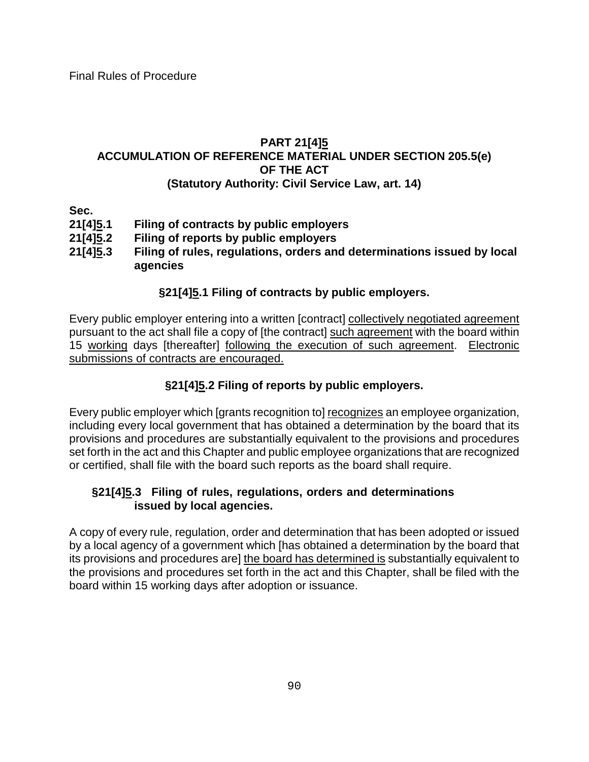#### **PART 21[4]5 ACCUMULATION OF REFERENCE MATERIAL UNDER SECTION 205.5(e) OF THE ACT (Statutory Authority: Civil Service Law, art. 14)**

Sec.<br>21[4]<u>5</u>.1 **21[4]5.1 Filing of contracts by public employers**

- **21[4]5.2 Filing of reports by public employers**
- **21[4]5.3 Filing of rules, regulations, orders and determinations issued by local agencies**

### **§21[4]5.1 Filing of contracts by public employers.**

Every public employer entering into a written [contract] collectively negotiated agreement pursuant to the act shall file a copy of [the contract] such agreement with the board within 15 working days [thereafter] following the execution of such agreement. Electronic submissions of contracts are encouraged.

## **§21[4]5.2 Filing of reports by public employers.**

Every public employer which [grants recognition to] recognizes an employee organization, including every local government that has obtained a determination by the board that its provisions and procedures are substantially equivalent to the provisions and procedures set forth in the act and this Chapter and public employee organizations that are recognized or certified, shall file with the board such reports as the board shall require.

#### **§21[4]5.3 Filing of rules, regulations, orders and determinations issued by local agencies.**

A copy of every rule, regulation, order and determination that has been adopted or issued by a local agency of a government which [has obtained a determination by the board that its provisions and procedures are] the board has determined is substantially equivalent to the provisions and procedures set forth in the act and this Chapter, shall be filed with the board within 15 working days after adoption or issuance.